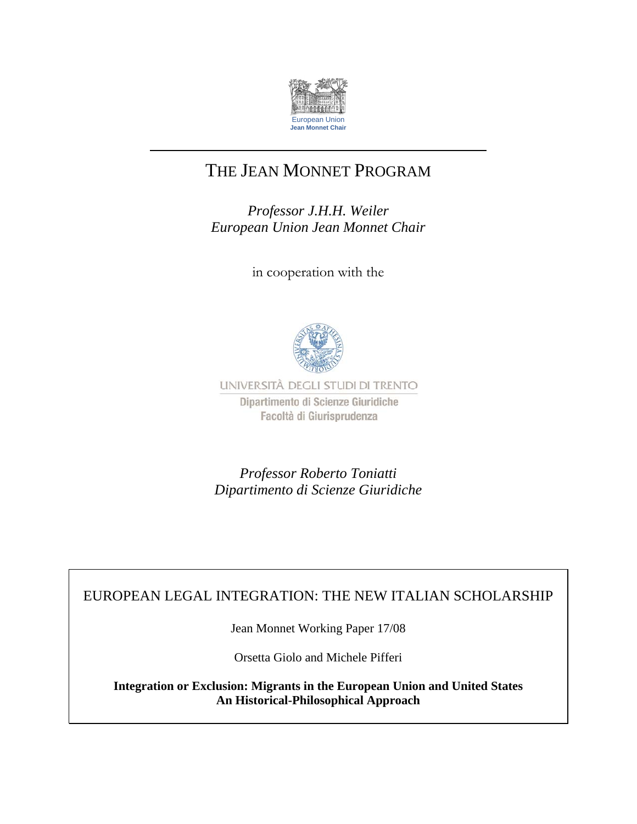

# THE JEAN MONNET PROGRAM

*Professor J.H.H. Weiler European Union Jean Monnet Chair* 

in cooperation with the



UNIVERSITÀ DEGLI STUDI DI TRENTO

Dipartimento di Scienze Giuridiche Facoltà di Giurisprudenza

*Professor Roberto Toniatti Dipartimento di Scienze Giuridiche* 

### EUROPEAN LEGAL INTEGRATION: THE NEW ITALIAN SCHOLARSHIP

Jean Monnet Working Paper 17/08

Orsetta Giolo and Michele Pifferi

**Integration or Exclusion: Migrants in the European Union and United States An Historical-Philosophical Approach**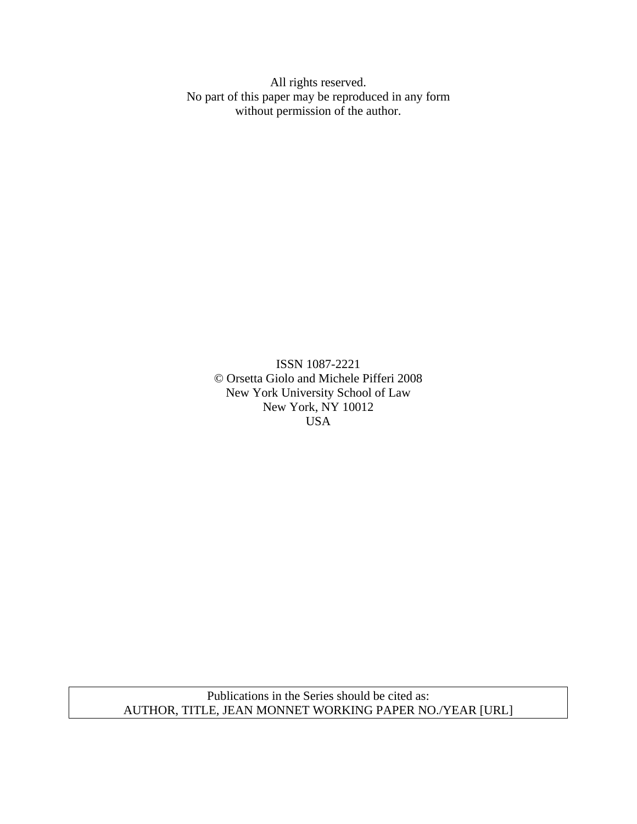All rights reserved. No part of this paper may be reproduced in any form without permission of the author.

> ISSN 1087-2221 © Orsetta Giolo and Michele Pifferi 2008 New York University School of Law New York, NY 10012 USA

Publications in the Series should be cited as: AUTHOR, TITLE, JEAN MONNET WORKING PAPER NO./YEAR [URL]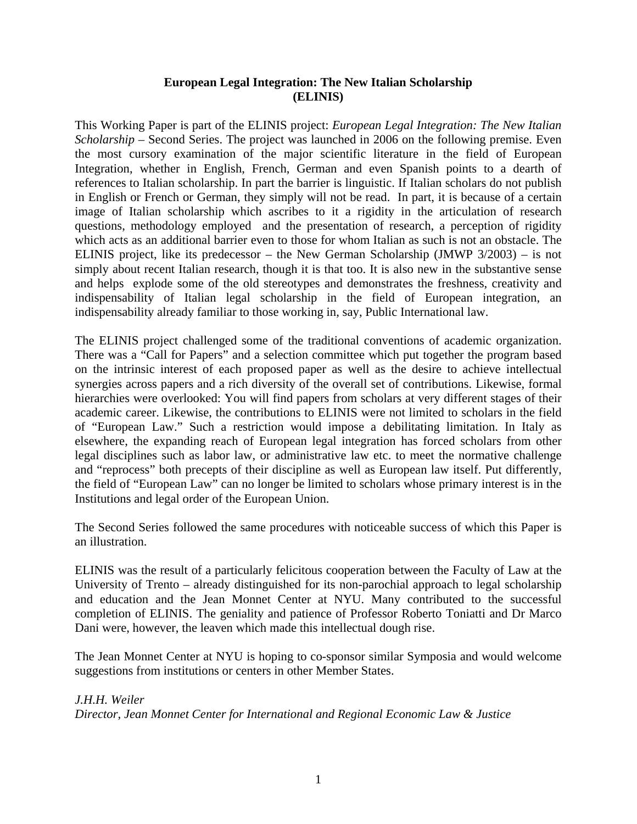### **European Legal Integration: The New Italian Scholarship (ELINIS)**

This Working Paper is part of the ELINIS project: *European Legal Integration: The New Italian Scholarship* – Second Series. The project was launched in 2006 on the following premise. Even the most cursory examination of the major scientific literature in the field of European Integration, whether in English, French, German and even Spanish points to a dearth of references to Italian scholarship. In part the barrier is linguistic. If Italian scholars do not publish in English or French or German, they simply will not be read. In part, it is because of a certain image of Italian scholarship which ascribes to it a rigidity in the articulation of research questions, methodology employed and the presentation of research, a perception of rigidity which acts as an additional barrier even to those for whom Italian as such is not an obstacle. The ELINIS project, like its predecessor – the New German Scholarship (JMWP  $3/2003$ ) – is not simply about recent Italian research, though it is that too. It is also new in the substantive sense and helps explode some of the old stereotypes and demonstrates the freshness, creativity and indispensability of Italian legal scholarship in the field of European integration, an indispensability already familiar to those working in, say, Public International law.

The ELINIS project challenged some of the traditional conventions of academic organization. There was a "Call for Papers" and a selection committee which put together the program based on the intrinsic interest of each proposed paper as well as the desire to achieve intellectual synergies across papers and a rich diversity of the overall set of contributions. Likewise, formal hierarchies were overlooked: You will find papers from scholars at very different stages of their academic career. Likewise, the contributions to ELINIS were not limited to scholars in the field of "European Law." Such a restriction would impose a debilitating limitation. In Italy as elsewhere, the expanding reach of European legal integration has forced scholars from other legal disciplines such as labor law, or administrative law etc. to meet the normative challenge and "reprocess" both precepts of their discipline as well as European law itself. Put differently, the field of "European Law" can no longer be limited to scholars whose primary interest is in the Institutions and legal order of the European Union.

The Second Series followed the same procedures with noticeable success of which this Paper is an illustration.

ELINIS was the result of a particularly felicitous cooperation between the Faculty of Law at the University of Trento – already distinguished for its non-parochial approach to legal scholarship and education and the Jean Monnet Center at NYU. Many contributed to the successful completion of ELINIS. The geniality and patience of Professor Roberto Toniatti and Dr Marco Dani were, however, the leaven which made this intellectual dough rise.

The Jean Monnet Center at NYU is hoping to co-sponsor similar Symposia and would welcome suggestions from institutions or centers in other Member States.

*J.H.H. Weiler Director, Jean Monnet Center for International and Regional Economic Law & Justice*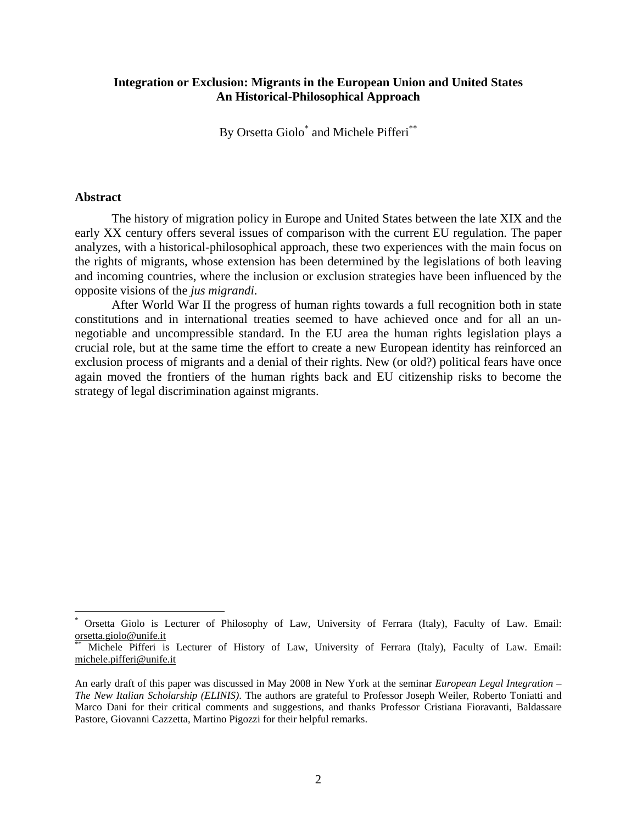### **Integration or Exclusion: Migrants in the European Union and United States An Historical-Philosophical Approach**

By Orsetta Giolo\* and Michele Pifferi\*\*

### **Abstract**

 $\overline{a}$ 

The history of migration policy in Europe and United States between the late XIX and the early XX century offers several issues of comparison with the current EU regulation. The paper analyzes, with a historical-philosophical approach, these two experiences with the main focus on the rights of migrants, whose extension has been determined by the legislations of both leaving and incoming countries, where the inclusion or exclusion strategies have been influenced by the opposite visions of the *jus migrandi*.

After World War II the progress of human rights towards a full recognition both in state constitutions and in international treaties seemed to have achieved once and for all an unnegotiable and uncompressible standard. In the EU area the human rights legislation plays a crucial role, but at the same time the effort to create a new European identity has reinforced an exclusion process of migrants and a denial of their rights. New (or old?) political fears have once again moved the frontiers of the human rights back and EU citizenship risks to become the strategy of legal discrimination against migrants.

<sup>\*</sup> Orsetta Giolo is Lecturer of Philosophy of Law, University of Ferrara (Italy), Faculty of Law. Email: orsetta.giolo@unife.it

Michele Pifferi is Lecturer of History of Law, University of Ferrara (Italy), Faculty of Law. Email: michele.pifferi@unife.it

An early draft of this paper was discussed in May 2008 in New York at the seminar *European Legal Integration – The New Italian Scholarship (ELINIS)*. The authors are grateful to Professor Joseph Weiler, Roberto Toniatti and Marco Dani for their critical comments and suggestions, and thanks Professor Cristiana Fioravanti, Baldassare Pastore, Giovanni Cazzetta, Martino Pigozzi for their helpful remarks.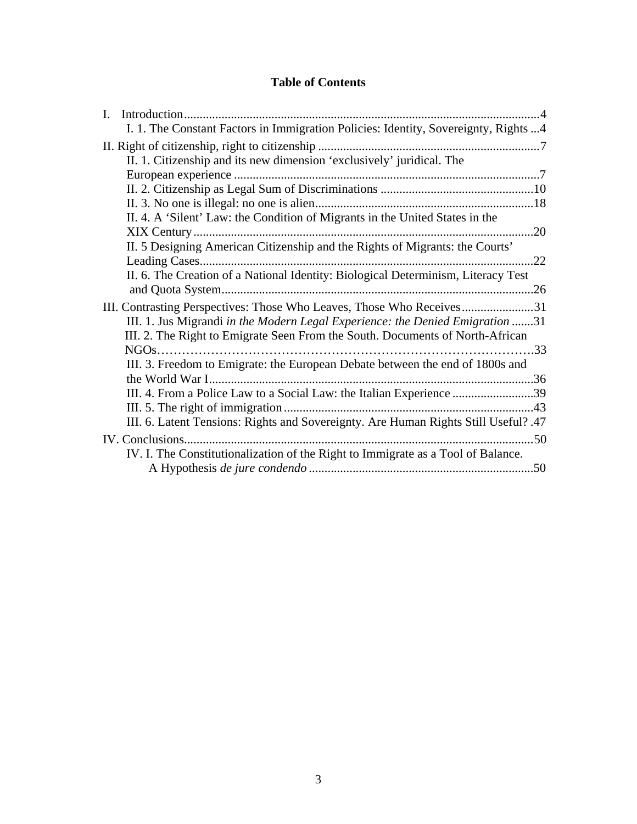### **Table of Contents**

| L.<br>$\sim$ 4                                                                       |
|--------------------------------------------------------------------------------------|
| I. 1. The Constant Factors in Immigration Policies: Identity, Sovereignty, Rights  4 |
|                                                                                      |
| II. 1. Citizenship and its new dimension 'exclusively' juridical. The                |
|                                                                                      |
|                                                                                      |
|                                                                                      |
| II. 4. A 'Silent' Law: the Condition of Migrants in the United States in the         |
|                                                                                      |
| II. 5 Designing American Citizenship and the Rights of Migrants: the Courts'         |
| .22                                                                                  |
| II. 6. The Creation of a National Identity: Biological Determinism, Literacy Test    |
|                                                                                      |
| III. Contrasting Perspectives: Those Who Leaves, Those Who Receives31                |
| III. 1. Jus Migrandi in the Modern Legal Experience: the Denied Emigration 31        |
| III. 2. The Right to Emigrate Seen From the South. Documents of North-African        |
|                                                                                      |
| III. 3. Freedom to Emigrate: the European Debate between the end of 1800s and        |
|                                                                                      |
| III. 4. From a Police Law to a Social Law: the Italian Experience 39                 |
|                                                                                      |
| III. 6. Latent Tensions: Rights and Sovereignty. Are Human Rights Still Useful? .47  |
|                                                                                      |
| IV. I. The Constitutionalization of the Right to Immigrate as a Tool of Balance.     |
|                                                                                      |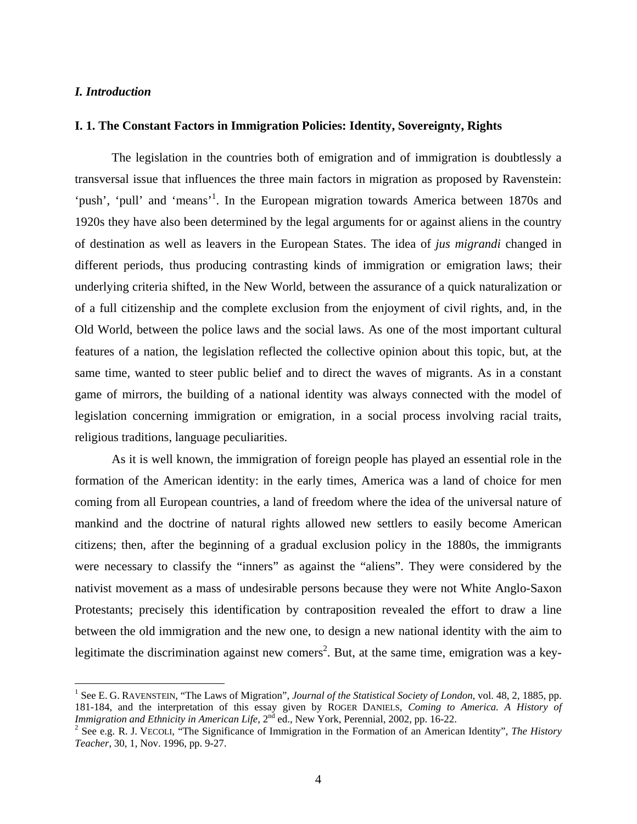### *I. Introduction*

 $\overline{a}$ 

### **I. 1. The Constant Factors in Immigration Policies: Identity, Sovereignty, Rights**

The legislation in the countries both of emigration and of immigration is doubtlessly a transversal issue that influences the three main factors in migration as proposed by Ravenstein: 'push', 'pull' and 'means'<sup>1</sup>. In the European migration towards America between 1870s and 1920s they have also been determined by the legal arguments for or against aliens in the country of destination as well as leavers in the European States. The idea of *jus migrandi* changed in different periods, thus producing contrasting kinds of immigration or emigration laws; their underlying criteria shifted, in the New World, between the assurance of a quick naturalization or of a full citizenship and the complete exclusion from the enjoyment of civil rights, and, in the Old World, between the police laws and the social laws. As one of the most important cultural features of a nation, the legislation reflected the collective opinion about this topic, but, at the same time, wanted to steer public belief and to direct the waves of migrants. As in a constant game of mirrors, the building of a national identity was always connected with the model of legislation concerning immigration or emigration, in a social process involving racial traits, religious traditions, language peculiarities.

As it is well known, the immigration of foreign people has played an essential role in the formation of the American identity: in the early times, America was a land of choice for men coming from all European countries, a land of freedom where the idea of the universal nature of mankind and the doctrine of natural rights allowed new settlers to easily become American citizens; then, after the beginning of a gradual exclusion policy in the 1880s, the immigrants were necessary to classify the "inners" as against the "aliens". They were considered by the nativist movement as a mass of undesirable persons because they were not White Anglo-Saxon Protestants; precisely this identification by contraposition revealed the effort to draw a line between the old immigration and the new one, to design a new national identity with the aim to legitimate the discrimination against new comers<sup>2</sup>. But, at the same time, emigration was a key-

<sup>&</sup>lt;sup>1</sup> See E. G. RAVENSTEIN, "The Laws of Migration", *Journal of the Statistical Society of London*, vol. 48, 2, 1885, pp. 181-184, and the interpretation of this essay given by ROGER DANIELS, *Coming to America. A History of Immigration and Ethnicity in American Life*, 2<sup>nd</sup> ed., New York, Perennial, 2002, pp. 16-22.

<sup>&</sup>lt;sup>2</sup> See e.g. R. J. VECOLI, "The Significance of Immigration in the Formation of an American Identity", *The History Teacher*, 30, 1, Nov. 1996, pp. 9-27.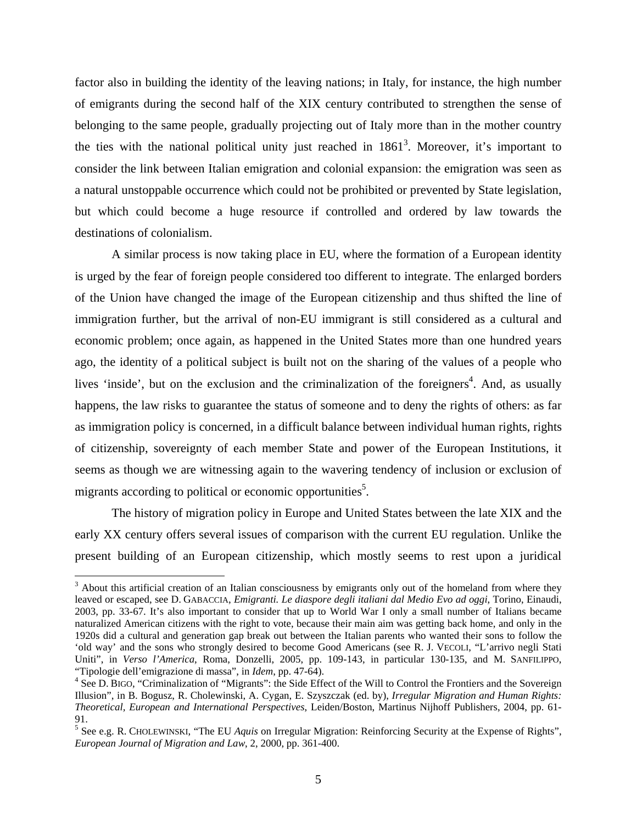factor also in building the identity of the leaving nations; in Italy, for instance, the high number of emigrants during the second half of the XIX century contributed to strengthen the sense of belonging to the same people, gradually projecting out of Italy more than in the mother country the ties with the national political unity just reached in  $1861<sup>3</sup>$ . Moreover, it's important to consider the link between Italian emigration and colonial expansion: the emigration was seen as a natural unstoppable occurrence which could not be prohibited or prevented by State legislation, but which could become a huge resource if controlled and ordered by law towards the destinations of colonialism.

A similar process is now taking place in EU, where the formation of a European identity is urged by the fear of foreign people considered too different to integrate. The enlarged borders of the Union have changed the image of the European citizenship and thus shifted the line of immigration further, but the arrival of non-EU immigrant is still considered as a cultural and economic problem; once again, as happened in the United States more than one hundred years ago, the identity of a political subject is built not on the sharing of the values of a people who lives 'inside', but on the exclusion and the criminalization of the foreigners<sup>4</sup>. And, as usually happens, the law risks to guarantee the status of someone and to deny the rights of others: as far as immigration policy is concerned, in a difficult balance between individual human rights, rights of citizenship, sovereignty of each member State and power of the European Institutions, it seems as though we are witnessing again to the wavering tendency of inclusion or exclusion of migrants according to political or economic opportunities<sup>5</sup>.

The history of migration policy in Europe and United States between the late XIX and the early XX century offers several issues of comparison with the current EU regulation. Unlike the present building of an European citizenship, which mostly seems to rest upon a juridical

 $3$  About this artificial creation of an Italian consciousness by emigrants only out of the homeland from where they leaved or escaped, see D. GABACCIA, *Emigranti. Le diaspore degli italiani dal Medio Evo ad oggi*, Torino, Einaudi, 2003, pp. 33-67. It's also important to consider that up to World War I only a small number of Italians became naturalized American citizens with the right to vote, because their main aim was getting back home, and only in the 1920s did a cultural and generation gap break out between the Italian parents who wanted their sons to follow the 'old way' and the sons who strongly desired to become Good Americans (see R. J. VECOLI, "L'arrivo negli Stati Uniti", in *Verso l'America*, Roma, Donzelli, 2005, pp. 109-143, in particular 130-135, and M. SANFILIPPO, "Tipologie dell'emigrazione di massa", in *Idem*, pp. 47-64). 4

<sup>&</sup>lt;sup>4</sup> See D. BIGO, "Criminalization of "Migrants": the Side Effect of the Will to Control the Frontiers and the Sovereign Illusion", in B. Bogusz, R. Cholewinski, A. Cygan, E. Szyszczak (ed. by), *Irregular Migration and Human Rights: Theoretical, European and International Perspectives*, Leiden/Boston, Martinus Nijhoff Publishers, 2004, pp. 61- 91.

<sup>5</sup> See e.g. R. CHOLEWINSKI, "The EU *Aquis* on Irregular Migration: Reinforcing Security at the Expense of Rights", *European Journal of Migration and Law*, 2, 2000, pp. 361-400.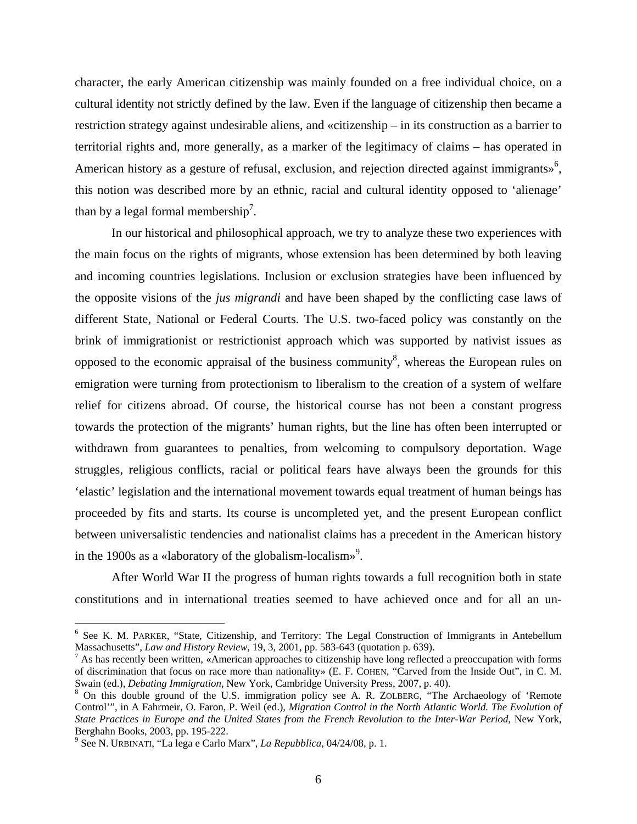character, the early American citizenship was mainly founded on a free individual choice, on a cultural identity not strictly defined by the law. Even if the language of citizenship then became a restriction strategy against undesirable aliens, and «citizenship – in its construction as a barrier to territorial rights and, more generally, as a marker of the legitimacy of claims – has operated in American history as a gesture of refusal, exclusion, and rejection directed against immigrants»<sup>6</sup>, this notion was described more by an ethnic, racial and cultural identity opposed to 'alienage' than by a legal formal membership<sup>7</sup>.

In our historical and philosophical approach, we try to analyze these two experiences with the main focus on the rights of migrants, whose extension has been determined by both leaving and incoming countries legislations. Inclusion or exclusion strategies have been influenced by the opposite visions of the *jus migrandi* and have been shaped by the conflicting case laws of different State, National or Federal Courts. The U.S. two-faced policy was constantly on the brink of immigrationist or restrictionist approach which was supported by nativist issues as opposed to the economic appraisal of the business community<sup>8</sup>, whereas the European rules on emigration were turning from protectionism to liberalism to the creation of a system of welfare relief for citizens abroad. Of course, the historical course has not been a constant progress towards the protection of the migrants' human rights, but the line has often been interrupted or withdrawn from guarantees to penalties, from welcoming to compulsory deportation. Wage struggles, religious conflicts, racial or political fears have always been the grounds for this 'elastic' legislation and the international movement towards equal treatment of human beings has proceeded by fits and starts. Its course is uncompleted yet, and the present European conflict between universalistic tendencies and nationalist claims has a precedent in the American history in the 1900s as a «laboratory of the globalism-localism»<sup>9</sup>.

After World War II the progress of human rights towards a full recognition both in state constitutions and in international treaties seemed to have achieved once and for all an un-

<sup>&</sup>lt;sup>6</sup> See K. M. PARKER, "State, Citizenship, and Territory: The Legal Construction of Immigrants in Antebellum Massachusetts", *Law and History Review*, 19, 3, 2001, pp. 583-643 (quotation p. 639). 7

 $<sup>7</sup>$  As has recently been written, «American approaches to citizenship have long reflected a preoccupation with forms</sup> of discrimination that focus on race more than nationality» (E. F. COHEN, "Carved from the Inside Out", in C. M. Swain (ed.), *Debating Immigration*, New York, Cambridge University Press, 2007, p. 40).

<sup>&</sup>lt;sup>8</sup> On this double ground of the U.S. immigration policy see A. R. ZOLBERG, "The Archaeology of 'Remote Control'", in A Fahrmeir, O. Faron, P. Weil (ed.), *Migration Control in the North Atlantic World. The Evolution of State Practices in Europe and the United States from the French Revolution to the Inter-War Period*, New York, Berghahn Books, 2003, pp. 195-222.

<sup>9</sup> See N. URBINATI, "La lega e Carlo Marx", *La Repubblica*, 04/24/08, p. 1.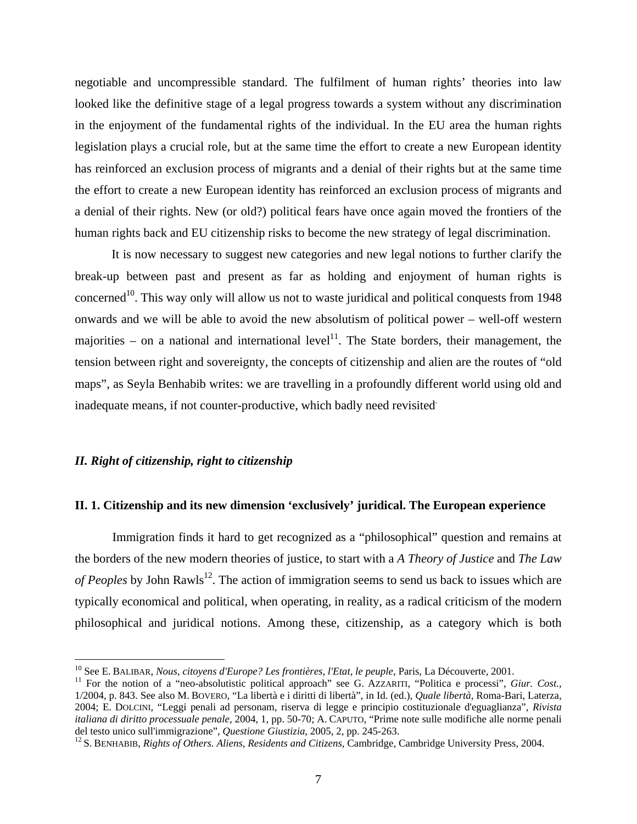negotiable and uncompressible standard. The fulfilment of human rights' theories into law looked like the definitive stage of a legal progress towards a system without any discrimination in the enjoyment of the fundamental rights of the individual. In the EU area the human rights legislation plays a crucial role, but at the same time the effort to create a new European identity has reinforced an exclusion process of migrants and a denial of their rights but at the same time the effort to create a new European identity has reinforced an exclusion process of migrants and a denial of their rights. New (or old?) political fears have once again moved the frontiers of the human rights back and EU citizenship risks to become the new strategy of legal discrimination.

It is now necessary to suggest new categories and new legal notions to further clarify the break-up between past and present as far as holding and enjoyment of human rights is concerned<sup>10</sup>. This way only will allow us not to waste juridical and political conquests from 1948 onwards and we will be able to avoid the new absolutism of political power – well-off western majorities – on a national and international level<sup>11</sup>. The State borders, their management, the tension between right and sovereignty, the concepts of citizenship and alien are the routes of "old maps", as Seyla Benhabib writes: we are travelling in a profoundly different world using old and inadequate means, if not counter-productive, which badly need revisited.

### *II. Right of citizenship, right to citizenship*

### **II. 1. Citizenship and its new dimension 'exclusively' juridical. The European experience**

Immigration finds it hard to get recognized as a "philosophical" question and remains at the borders of the new modern theories of justice, to start with a *A Theory of Justice* and *The Law of Peoples* by John Rawls<sup>12</sup>. The action of immigration seems to send us back to issues which are typically economical and political, when operating, in reality, as a radical criticism of the modern philosophical and juridical notions. Among these, citizenship, as a category which is both

<sup>&</sup>lt;sup>10</sup> See E. BALIBAR, Nous, citoyens d'Europe? Les frontières, l'Etat, le peuple, Paris, La Découverte, 2001.

<sup>&</sup>lt;sup>11</sup> For the notion of a "neo-absolutistic political approach" see G. AZZARITI, "Politica e processi", Giur. Cost., 1/2004, p. 843. See also M. BOVERO, "La libertà e i diritti di libertà", in Id. (ed.), *Quale libertà*, Roma-Bari, Laterza, 2004; E. DOLCINI, "Leggi penali ad personam, riserva di legge e principio costituzionale d'eguaglianza", *Rivista italiana di diritto processuale penale*, 2004, 1, pp. 50-70; A. CAPUTO, "Prime note sulle modifiche alle norme penali del testo unico sull'immigrazione", *Questione Giustizia*, 2005, 2, pp. 245-263.<br><sup>12</sup> S. BENHABIB, *Rights of Others. Aliens, Residents and Citizens*, Cambridge, Cambridge University Press, 2004.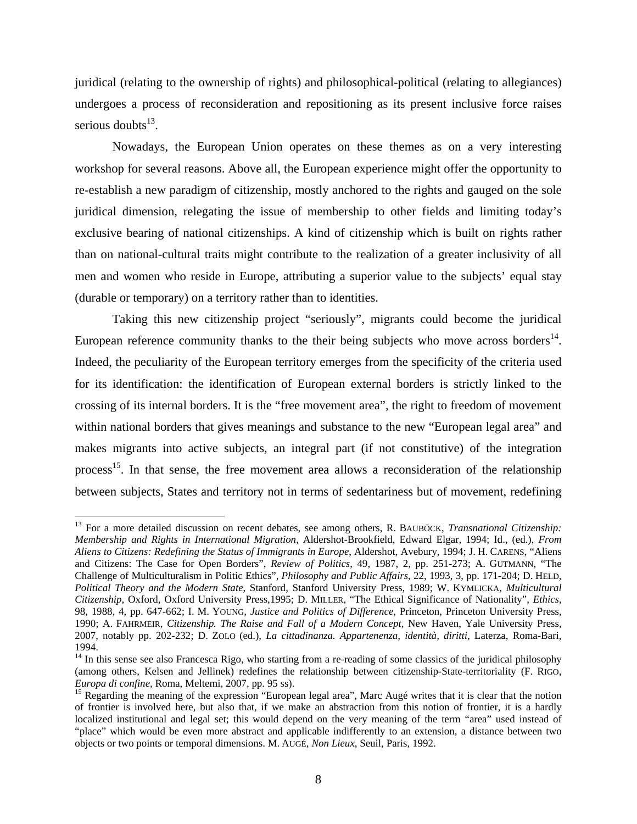juridical (relating to the ownership of rights) and philosophical-political (relating to allegiances) undergoes a process of reconsideration and repositioning as its present inclusive force raises serious doubts $^{13}$ .

 Nowadays, the European Union operates on these themes as on a very interesting workshop for several reasons. Above all, the European experience might offer the opportunity to re-establish a new paradigm of citizenship, mostly anchored to the rights and gauged on the sole juridical dimension, relegating the issue of membership to other fields and limiting today's exclusive bearing of national citizenships. A kind of citizenship which is built on rights rather than on national-cultural traits might contribute to the realization of a greater inclusivity of all men and women who reside in Europe, attributing a superior value to the subjects' equal stay (durable or temporary) on a territory rather than to identities.

 Taking this new citizenship project "seriously", migrants could become the juridical European reference community thanks to the their being subjects who move across borders $^{14}$ . Indeed, the peculiarity of the European territory emerges from the specificity of the criteria used for its identification: the identification of European external borders is strictly linked to the crossing of its internal borders. It is the "free movement area", the right to freedom of movement within national borders that gives meanings and substance to the new "European legal area" and makes migrants into active subjects, an integral part (if not constitutive) of the integration process<sup>15</sup>. In that sense, the free movement area allows a reconsideration of the relationship between subjects, States and territory not in terms of sedentariness but of movement, redefining

<sup>13</sup> For a more detailed discussion on recent debates, see among others, R. BAUBÖCK, *Transnational Citizenship: Membership and Rights in International Migration*, Aldershot-Brookfield, Edward Elgar, 1994; Id., (ed.), *From Aliens to Citizens: Redefining the Status of Immigrants in Europe*, Aldershot, Avebury, 1994; J. H. CARENS, "Aliens and Citizens: The Case for Open Borders", *Review of Politics*, 49, 1987, 2, pp. 251-273; A. GUTMANN, "The Challenge of Multiculturalism in Politic Ethics", *Philosophy and Public Affairs*, 22, 1993, 3, pp. 171-204; D. HELD, *Political Theory and the Modern State*, Stanford, Stanford University Press, 1989; W. KYMLICKA, *Multicultural Citizenship*, Oxford, Oxford University Press,1995; D. MILLER, "The Ethical Significance of Nationality", *Ethics*, 98, 1988, 4, pp. 647-662; I. M. YOUNG, *Justice and Politics of Difference*, Princeton, Princeton University Press, 1990; A. FAHRMEIR, *Citizenship. The Raise and Fall of a Modern Concept*, New Haven, Yale University Press, 2007, notably pp. 202-232; D. ZOLO (ed.), *La cittadinanza. Appartenenza, identità, diritti*, Laterza, Roma-Bari, 1994.

<sup>&</sup>lt;sup>14</sup> In this sense see also Francesca Rigo, who starting from a re-reading of some classics of the juridical philosophy (among others, Kelsen and Jellinek) redefines the relationship between citizenship-State-territoriality (F. RIGO, *Europa di confine*, Roma, Meltemi, 2007, pp. 95 ss).<br><sup>15</sup> Regarding the meaning of the expression "European legal area", Marc Augé writes that it is clear that the notion

of frontier is involved here, but also that, if we make an abstraction from this notion of frontier, it is a hardly localized institutional and legal set; this would depend on the very meaning of the term "area" used instead of "place" which would be even more abstract and applicable indifferently to an extension, a distance between two objects or two points or temporal dimensions. M. AUGÉ, *Non Lieux*, Seuil, Paris, 1992.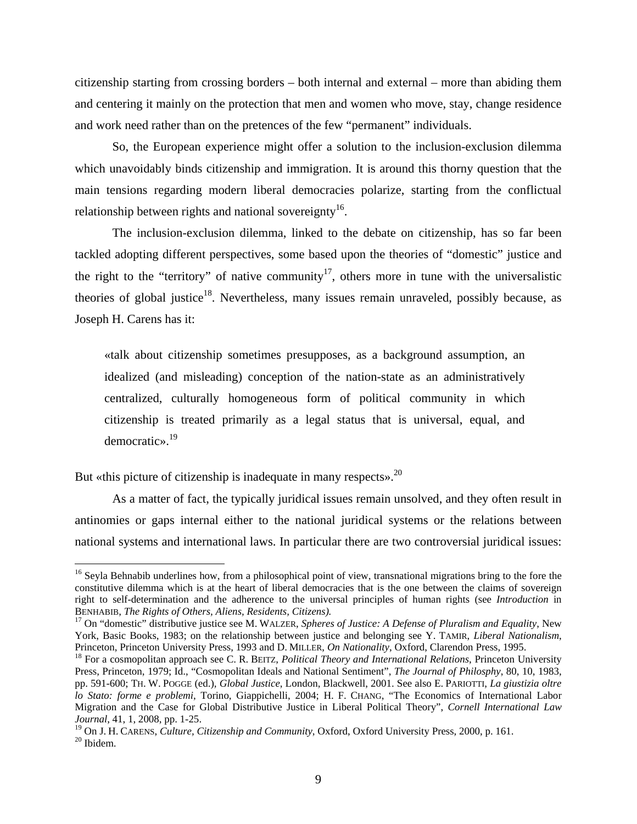citizenship starting from crossing borders – both internal and external – more than abiding them and centering it mainly on the protection that men and women who move, stay, change residence and work need rather than on the pretences of the few "permanent" individuals.

So, the European experience might offer a solution to the inclusion-exclusion dilemma which unavoidably binds citizenship and immigration. It is around this thorny question that the main tensions regarding modern liberal democracies polarize, starting from the conflictual relationship between rights and national sovereignty<sup>16</sup>.

 The inclusion-exclusion dilemma, linked to the debate on citizenship, has so far been tackled adopting different perspectives, some based upon the theories of "domestic" justice and the right to the "territory" of native community<sup>17</sup>, others more in tune with the universalistic theories of global justice<sup>18</sup>. Nevertheless, many issues remain unraveled, possibly because, as Joseph H. Carens has it:

«talk about citizenship sometimes presupposes, as a background assumption, an idealized (and misleading) conception of the nation-state as an administratively centralized, culturally homogeneous form of political community in which citizenship is treated primarily as a legal status that is universal, equal, and democratic».19

But «this picture of citizenship is inadequate in many respects».<sup>20</sup>

 $\overline{a}$ 

 As a matter of fact, the typically juridical issues remain unsolved, and they often result in antinomies or gaps internal either to the national juridical systems or the relations between national systems and international laws. In particular there are two controversial juridical issues:

<sup>&</sup>lt;sup>16</sup> Seyla Behnabib underlines how, from a philosophical point of view, transnational migrations bring to the fore the constitutive dilemma which is at the heart of liberal democracies that is the one between the claims of sovereign right to self-determination and the adherence to the universal principles of human rights (see *Introduction* in BENHABIB, *The Rights of Others, Aliens, Residents, Citizens).* 17 On "domestic" distributive justice see M. WALZER, *Spheres of Justice: A Defense of Pluralism and Equality*, New

York, Basic Books, 1983; on the relationship between justice and belonging see Y. TAMIR, *Liberal Nationalism*, Princeton, Princeton University Press, 1993 and D. MILLER, On Nationality, Oxford, Clarendon Press, 1995.

<sup>&</sup>lt;sup>18</sup> For a cosmopolitan approach see C. R. BEITZ, *Political Theory and International Relations*, Princeton University Press, Princeton, 1979; Id., "Cosmopolitan Ideals and National Sentiment", *The Journal of Philosphy*, 80, 10, 1983, pp. 591-600; TH. W. POGGE (ed.), *Global Justice*, London, Blackwell, 2001. See also E. PARIOTTI, *La giustizia oltre lo Stato: forme e problemi*, Torino, Giappichelli, 2004; H. F. CHANG, "The Economics of International Labor Migration and the Case for Global Distributive Justice in Liberal Political Theory", *Cornell International Law Journal*, 41, 1, 2008, pp. 1-25.

<sup>&</sup>lt;sup>19</sup> On J. H. CARENS, *Culture, Citizenship and Community*, Oxford, Oxford University Press, 2000, p. 161.<br><sup>20</sup> Ibidem.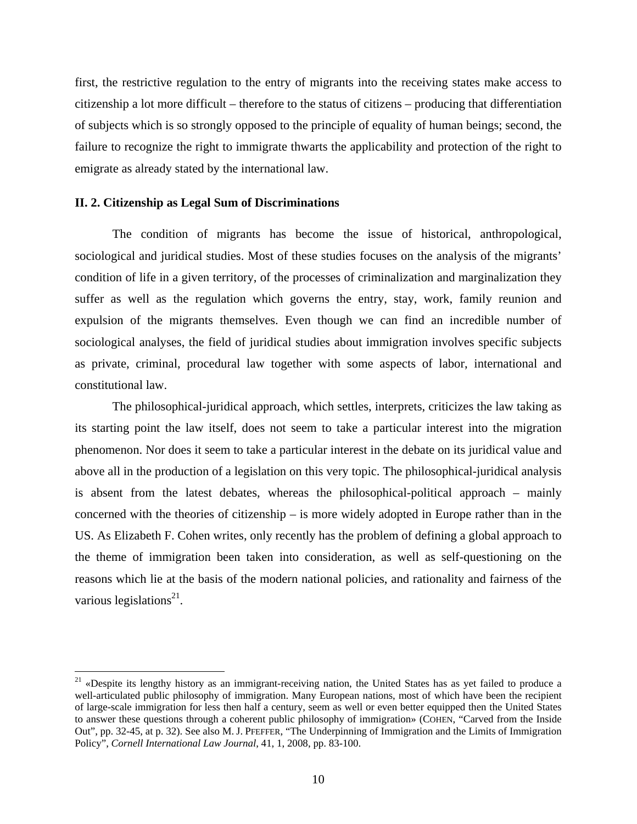first, the restrictive regulation to the entry of migrants into the receiving states make access to citizenship a lot more difficult – therefore to the status of citizens – producing that differentiation of subjects which is so strongly opposed to the principle of equality of human beings; second, the failure to recognize the right to immigrate thwarts the applicability and protection of the right to emigrate as already stated by the international law.

### **II. 2. Citizenship as Legal Sum of Discriminations**

 $\overline{a}$ 

 The condition of migrants has become the issue of historical, anthropological, sociological and juridical studies. Most of these studies focuses on the analysis of the migrants' condition of life in a given territory, of the processes of criminalization and marginalization they suffer as well as the regulation which governs the entry, stay, work, family reunion and expulsion of the migrants themselves. Even though we can find an incredible number of sociological analyses, the field of juridical studies about immigration involves specific subjects as private, criminal, procedural law together with some aspects of labor, international and constitutional law.

 The philosophical-juridical approach, which settles, interprets, criticizes the law taking as its starting point the law itself, does not seem to take a particular interest into the migration phenomenon. Nor does it seem to take a particular interest in the debate on its juridical value and above all in the production of a legislation on this very topic. The philosophical-juridical analysis is absent from the latest debates, whereas the philosophical-political approach – mainly concerned with the theories of citizenship – is more widely adopted in Europe rather than in the US. As Elizabeth F. Cohen writes, only recently has the problem of defining a global approach to the theme of immigration been taken into consideration, as well as self-questioning on the reasons which lie at the basis of the modern national policies, and rationality and fairness of the various legislations $^{21}$ .

<sup>&</sup>lt;sup>21</sup> «Despite its lengthy history as an immigrant-receiving nation, the United States has as yet failed to produce a well-articulated public philosophy of immigration. Many European nations, most of which have been the recipient of large-scale immigration for less then half a century, seem as well or even better equipped then the United States to answer these questions through a coherent public philosophy of immigration» (COHEN, "Carved from the Inside Out", pp. 32-45, at p. 32). See also M. J. PFEFFER, "The Underpinning of Immigration and the Limits of Immigration Policy", *Cornell International Law Journal*, 41, 1, 2008, pp. 83-100.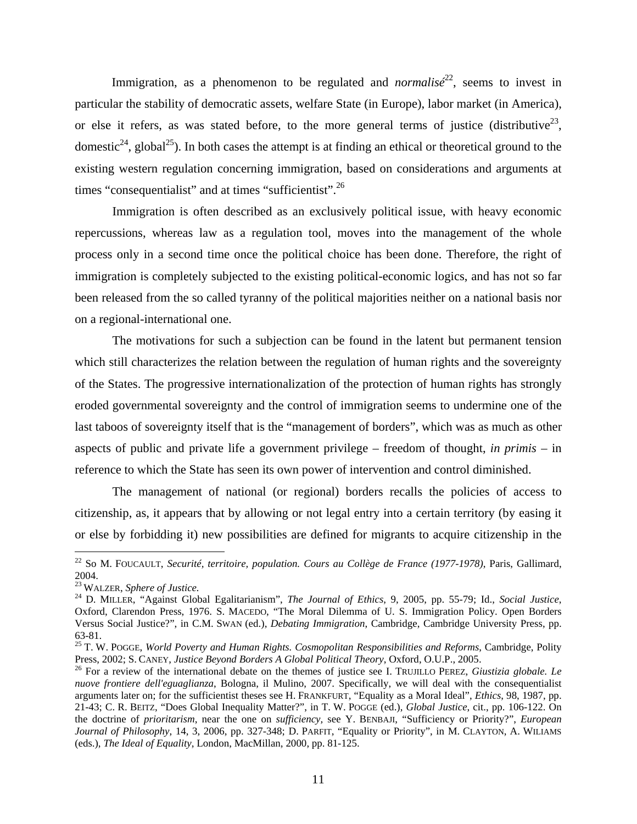Immigration, as a phenomenon to be regulated and *normalisé*<sup>22</sup>, seems to invest in particular the stability of democratic assets, welfare State (in Europe), labor market (in America), or else it refers, as was stated before, to the more general terms of justice (distributive<sup>23</sup>, domestic<sup>24</sup>, global<sup>25</sup>). In both cases the attempt is at finding an ethical or theoretical ground to the existing western regulation concerning immigration, based on considerations and arguments at times "consequentialist" and at times "sufficientist".<sup>26</sup>

 Immigration is often described as an exclusively political issue, with heavy economic repercussions, whereas law as a regulation tool, moves into the management of the whole process only in a second time once the political choice has been done. Therefore, the right of immigration is completely subjected to the existing political-economic logics, and has not so far been released from the so called tyranny of the political majorities neither on a national basis nor on a regional-international one.

 The motivations for such a subjection can be found in the latent but permanent tension which still characterizes the relation between the regulation of human rights and the sovereignty of the States. The progressive internationalization of the protection of human rights has strongly eroded governmental sovereignty and the control of immigration seems to undermine one of the last taboos of sovereignty itself that is the "management of borders", which was as much as other aspects of public and private life a government privilege – freedom of thought, *in primis* – in reference to which the State has seen its own power of intervention and control diminished.

 The management of national (or regional) borders recalls the policies of access to citizenship, as, it appears that by allowing or not legal entry into a certain territory (by easing it or else by forbidding it) new possibilities are defined for migrants to acquire citizenship in the

<sup>22</sup> So M. FOUCAULT, *Securité, territoire, population. Cours au Collège de France (1977-1978)*, Paris, Gallimard, 2004.<br> $^{23}$ WALZER, *Sphere of Justice*.

<sup>&</sup>lt;sup>24</sup> D. MILLER, "Against Global Egalitarianism", *The Journal of Ethics*, 9, 2005, pp. 55-79; Id., *Social Justice*, Oxford, Clarendon Press, 1976. S. MACEDO, "The Moral Dilemma of U. S. Immigration Policy. Open Borders Versus Social Justice?", in C.M. SWAN (ed.), *Debating Immigration*, Cambridge, Cambridge University Press, pp. 63-81.

<sup>25</sup> T. W. POGGE, *World Poverty and Human Rights. Cosmopolitan Responsibilities and Reforms*, Cambridge, Polity Press, 2002; S. CANEY, *Justice Beyond Borders A Global Political Theory*, Oxford, O.U.P., 2005.<br><sup>26</sup> For a review of the international debate on the themes of justice see I. TRUJILLO PEREZ, *Giustizia globale. Le* 

*nuove frontiere dell'eguaglianza*, Bologna, il Mulino, 2007. Specifically, we will deal with the consequentialist arguments later on; for the sufficientist theses see H. FRANKFURT, "Equality as a Moral Ideal", *Ethics*, 98, 1987, pp. 21-43; C. R. BEITZ, "Does Global Inequality Matter?", in T. W. POGGE (ed.), *Global Justice*, cit., pp. 106-122. On the doctrine of *prioritarism*, near the one on *sufficiency,* see Y. BENBAJI, "Sufficiency or Priority?", *European Journal of Philosophy*, 14, 3, 2006, pp. 327-348; D. PARFIT, "Equality or Priority", in M. CLAYTON, A. WILIAMS (eds.), *The Ideal of Equality*, London, MacMillan, 2000, pp. 81-125.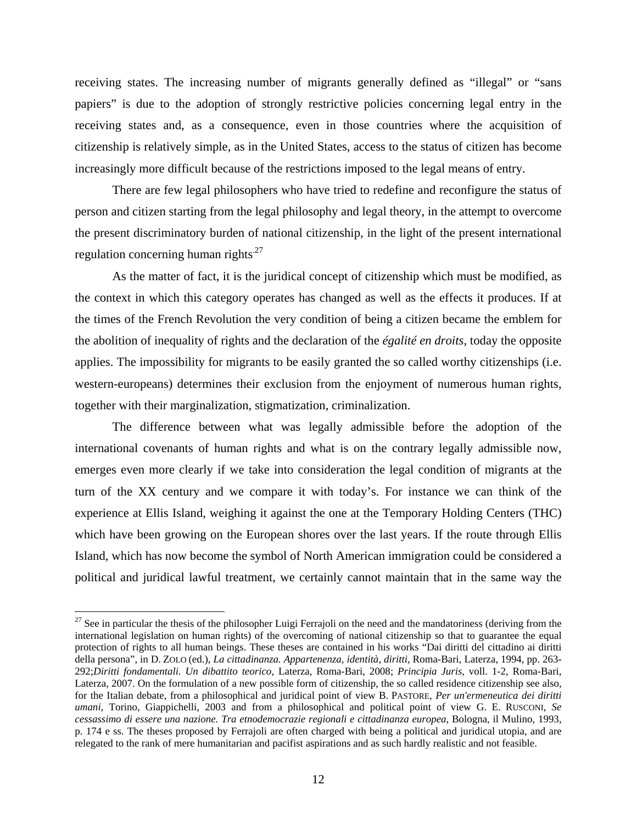receiving states. The increasing number of migrants generally defined as "illegal" or "sans papiers" is due to the adoption of strongly restrictive policies concerning legal entry in the receiving states and, as a consequence, even in those countries where the acquisition of citizenship is relatively simple, as in the United States, access to the status of citizen has become increasingly more difficult because of the restrictions imposed to the legal means of entry.

 There are few legal philosophers who have tried to redefine and reconfigure the status of person and citizen starting from the legal philosophy and legal theory, in the attempt to overcome the present discriminatory burden of national citizenship, in the light of the present international regulation concerning human rights $^{27}$ 

 As the matter of fact, it is the juridical concept of citizenship which must be modified, as the context in which this category operates has changed as well as the effects it produces. If at the times of the French Revolution the very condition of being a citizen became the emblem for the abolition of inequality of rights and the declaration of the *égalité en droits*, today the opposite applies. The impossibility for migrants to be easily granted the so called worthy citizenships (i.e. western-europeans) determines their exclusion from the enjoyment of numerous human rights, together with their marginalization, stigmatization, criminalization.

 The difference between what was legally admissible before the adoption of the international covenants of human rights and what is on the contrary legally admissible now, emerges even more clearly if we take into consideration the legal condition of migrants at the turn of the XX century and we compare it with today's. For instance we can think of the experience at Ellis Island, weighing it against the one at the Temporary Holding Centers (THC) which have been growing on the European shores over the last years. If the route through Ellis Island, which has now become the symbol of North American immigration could be considered a political and juridical lawful treatment, we certainly cannot maintain that in the same way the

1

 $27$  See in particular the thesis of the philosopher Luigi Ferrajoli on the need and the mandatoriness (deriving from the international legislation on human rights) of the overcoming of national citizenship so that to guarantee the equal protection of rights to all human beings. These theses are contained in his works "Dai diritti del cittadino ai diritti della persona", in D. ZOLO (ed.), *La cittadinanza. Appartenenza, identità, diritti*, Roma-Bari, Laterza, 1994, pp. 263- 292;*Diritti fondamentali. Un dibattito teorico*, Laterza, Roma-Bari, 2008; *Principia Juris*, voll. 1-2, Roma-Bari, Laterza, 2007. On the formulation of a new possible form of citizenship, the so called residence citizenship see also, for the Italian debate, from a philosophical and juridical point of view B. PASTORE, *Per un'ermeneutica dei diritti umani*, Torino, Giappichelli, 2003 and from a philosophical and political point of view G. E. RUSCONI, *Se cessassimo di essere una nazione. Tra etnodemocrazie regionali e cittadinanza europea*, Bologna, il Mulino, 1993, p. 174 e ss. The theses proposed by Ferrajoli are often charged with being a political and juridical utopia, and are relegated to the rank of mere humanitarian and pacifist aspirations and as such hardly realistic and not feasible.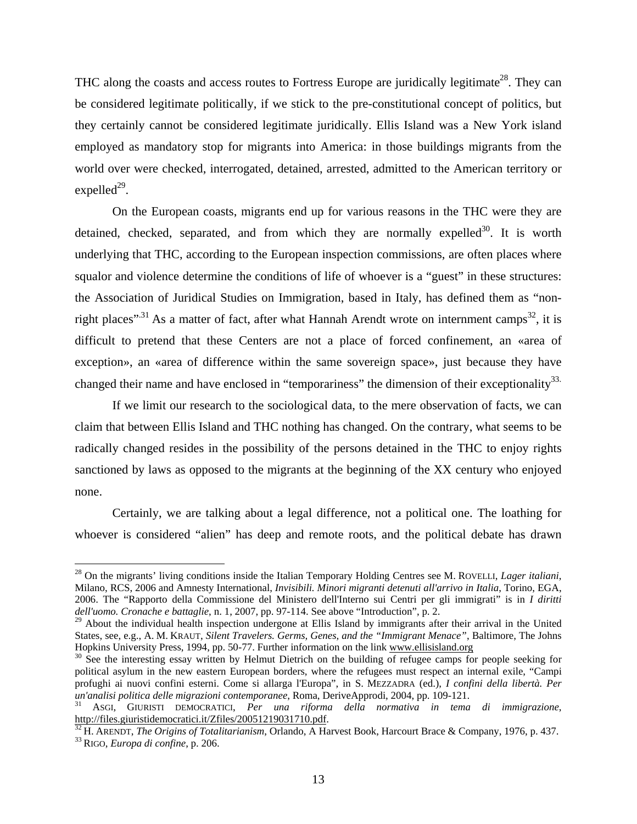THC along the coasts and access routes to Fortress Europe are juridically legitimate<sup>28</sup>. They can be considered legitimate politically, if we stick to the pre-constitutional concept of politics, but they certainly cannot be considered legitimate juridically. Ellis Island was a New York island employed as mandatory stop for migrants into America: in those buildings migrants from the world over were checked, interrogated, detained, arrested, admitted to the American territory or expelled $^{29}$ .

 On the European coasts, migrants end up for various reasons in the THC were they are detained, checked, separated, and from which they are normally expelled<sup>30</sup>. It is worth underlying that THC, according to the European inspection commissions, are often places where squalor and violence determine the conditions of life of whoever is a "guest" in these structures: the Association of Juridical Studies on Immigration, based in Italy, has defined them as "nonright places"<sup>.31</sup> As a matter of fact, after what Hannah Arendt wrote on internment camps<sup>32</sup>, it is difficult to pretend that these Centers are not a place of forced confinement, an «area of exception», an «area of difference within the same sovereign space», just because they have changed their name and have enclosed in "temporariness" the dimension of their exceptionality<sup>33.</sup>

 If we limit our research to the sociological data, to the mere observation of facts, we can claim that between Ellis Island and THC nothing has changed. On the contrary, what seems to be radically changed resides in the possibility of the persons detained in the THC to enjoy rights sanctioned by laws as opposed to the migrants at the beginning of the XX century who enjoyed none.

 Certainly, we are talking about a legal difference, not a political one. The loathing for whoever is considered "alien" has deep and remote roots, and the political debate has drawn

<sup>28</sup> On the migrants' living conditions inside the Italian Temporary Holding Centres see M. ROVELLI, *Lager italiani*, Milano, RCS, 2006 and Amnesty International, *Invisibili. Minori migranti detenuti all'arrivo in Italia*, Torino, EGA, 2006. The "Rapporto della Commissione del Ministero dell'Interno sui Centri per gli immigrati" is in *I diritti dell'uomo. Cronache e battaglie*, n. 1, 2007, pp. 97-114. See above "Introduction", p. 2.

 $29$  About the individual health inspection undergone at Ellis Island by immigrants after their arrival in the United States, see, e.g., A. M. KRAUT, *Silent Travelers. Germs, Genes, and the "Immigrant Menace"*, Baltimore, The Johns

 $^{30}$  See the interesting essay written by Helmut Dietrich on the building of refugee camps for people seeking for political asylum in the new eastern European borders, where the refugees must respect an internal exile, "Campi profughi ai nuovi confini esterni. Come si allarga l'Europa", in S. MEZZADRA (ed.), *I confini della libertà. Per* 

*un'analisi politica delle migrazioni contemporanee*, Roma, DeriveApprodi, 2004, pp. 109-121.<br><sup>31</sup> ASGI, GIURISTI DEMOCRATICI, *Per una riforma della normativa in tema di immigrazione*, http://files.giuristidemocratici.it/

<sup>&</sup>lt;sup>32</sup> H. ARENDT, *The Origins of Totalitarianism*, Orlando, A Harvest Book, Harcourt Brace & Company, 1976, p. 437. <sup>33</sup> RIGO, *Europa di confine*, p. 206.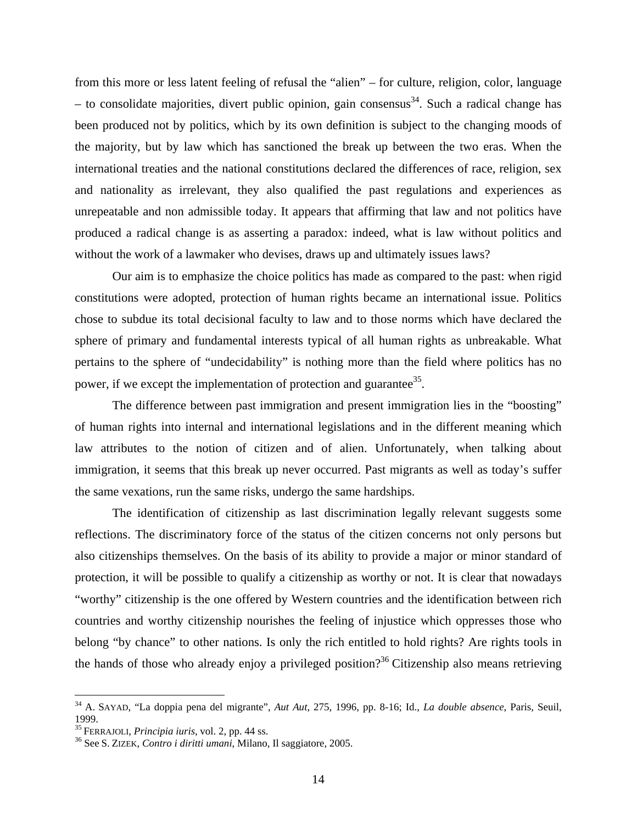from this more or less latent feeling of refusal the "alien" – for culture, religion, color, language – to consolidate majorities, divert public opinion, gain consensus<sup>34</sup>. Such a radical change has been produced not by politics, which by its own definition is subject to the changing moods of the majority, but by law which has sanctioned the break up between the two eras. When the international treaties and the national constitutions declared the differences of race, religion, sex and nationality as irrelevant, they also qualified the past regulations and experiences as unrepeatable and non admissible today. It appears that affirming that law and not politics have produced a radical change is as asserting a paradox: indeed, what is law without politics and without the work of a lawmaker who devises, draws up and ultimately issues laws?

 Our aim is to emphasize the choice politics has made as compared to the past: when rigid constitutions were adopted, protection of human rights became an international issue. Politics chose to subdue its total decisional faculty to law and to those norms which have declared the sphere of primary and fundamental interests typical of all human rights as unbreakable. What pertains to the sphere of "undecidability" is nothing more than the field where politics has no power, if we except the implementation of protection and guarantee<sup>35</sup>.

 The difference between past immigration and present immigration lies in the "boosting" of human rights into internal and international legislations and in the different meaning which law attributes to the notion of citizen and of alien. Unfortunately, when talking about immigration, it seems that this break up never occurred. Past migrants as well as today's suffer the same vexations, run the same risks, undergo the same hardships.

 The identification of citizenship as last discrimination legally relevant suggests some reflections. The discriminatory force of the status of the citizen concerns not only persons but also citizenships themselves. On the basis of its ability to provide a major or minor standard of protection, it will be possible to qualify a citizenship as worthy or not. It is clear that nowadays "worthy" citizenship is the one offered by Western countries and the identification between rich countries and worthy citizenship nourishes the feeling of injustice which oppresses those who belong "by chance" to other nations. Is only the rich entitled to hold rights? Are rights tools in the hands of those who already enjoy a privileged position?<sup>36</sup> Citizenship also means retrieving

<sup>34</sup> A. SAYAD, "La doppia pena del migrante", *Aut Aut*, 275, 1996, pp. 8-16; Id., *La double absence*, Paris, Seuil, 1999.

<sup>&</sup>lt;sup>35</sup> FERRAJOLI, *Principia iuris*, vol. 2, pp. 44 ss.<br><sup>36</sup> See S. ZIzEK, *Contro i diritti umani*, Milano, Il saggiatore, 2005.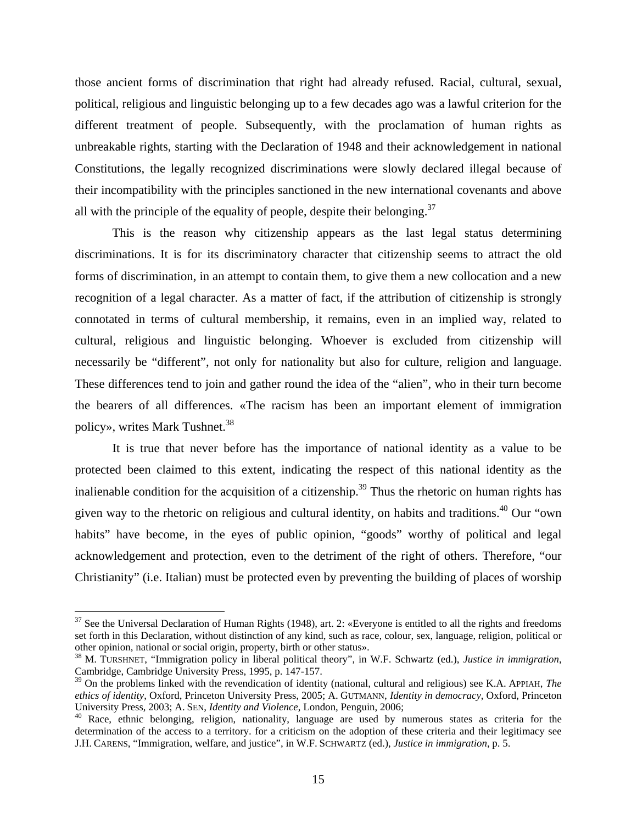those ancient forms of discrimination that right had already refused. Racial, cultural, sexual, political, religious and linguistic belonging up to a few decades ago was a lawful criterion for the different treatment of people. Subsequently, with the proclamation of human rights as unbreakable rights, starting with the Declaration of 1948 and their acknowledgement in national Constitutions, the legally recognized discriminations were slowly declared illegal because of their incompatibility with the principles sanctioned in the new international covenants and above all with the principle of the equality of people, despite their belonging.<sup>37</sup>

 This is the reason why citizenship appears as the last legal status determining discriminations. It is for its discriminatory character that citizenship seems to attract the old forms of discrimination, in an attempt to contain them, to give them a new collocation and a new recognition of a legal character. As a matter of fact, if the attribution of citizenship is strongly connotated in terms of cultural membership, it remains, even in an implied way, related to cultural, religious and linguistic belonging. Whoever is excluded from citizenship will necessarily be "different", not only for nationality but also for culture, religion and language. These differences tend to join and gather round the idea of the "alien", who in their turn become the bearers of all differences. «The racism has been an important element of immigration policy», writes Mark Tushnet.<sup>38</sup>

 It is true that never before has the importance of national identity as a value to be protected been claimed to this extent, indicating the respect of this national identity as the inalienable condition for the acquisition of a citizenship.<sup>39</sup> Thus the rhetoric on human rights has given way to the rhetoric on religious and cultural identity, on habits and traditions.40 Our "own habits" have become, in the eyes of public opinion, "goods" worthy of political and legal acknowledgement and protection, even to the detriment of the right of others. Therefore, "our Christianity" (i.e. Italian) must be protected even by preventing the building of places of worship

 $37$  See the Universal Declaration of Human Rights (1948), art. 2: «Everyone is entitled to all the rights and freedoms set forth in this Declaration, without distinction of any kind, such as race, colour, sex, language, religion, political or other opinion, national or social origin, property, birth or other status».

<sup>38</sup> M. TURSHNET, "Immigration policy in liberal political theory", in W.F. Schwartz (ed.), *Justice in immigration*, Cambridge, Cambridge University Press, 1995, p. 147-157.

<sup>39</sup> On the problems linked with the revendication of identity (national, cultural and religious) see K.A. APPIAH, *The ethics of identity*, Oxford, Princeton University Press, 2005; A. GUTMANN, *Identity in democracy*, Oxford, Princeton University Press, 2003; A. SEN, *Identity and Violence*, London, Penguin, 2006;<br><sup>40</sup> Race, ethnic belonging, religion, nationality, language are used by numerous states as criteria for the

determination of the access to a territory. for a criticism on the adoption of these criteria and their legitimacy see J.H. CARENS, "Immigration, welfare, and justice", in W.F. SCHWARTZ (ed.), *Justice in immigration*, p. 5.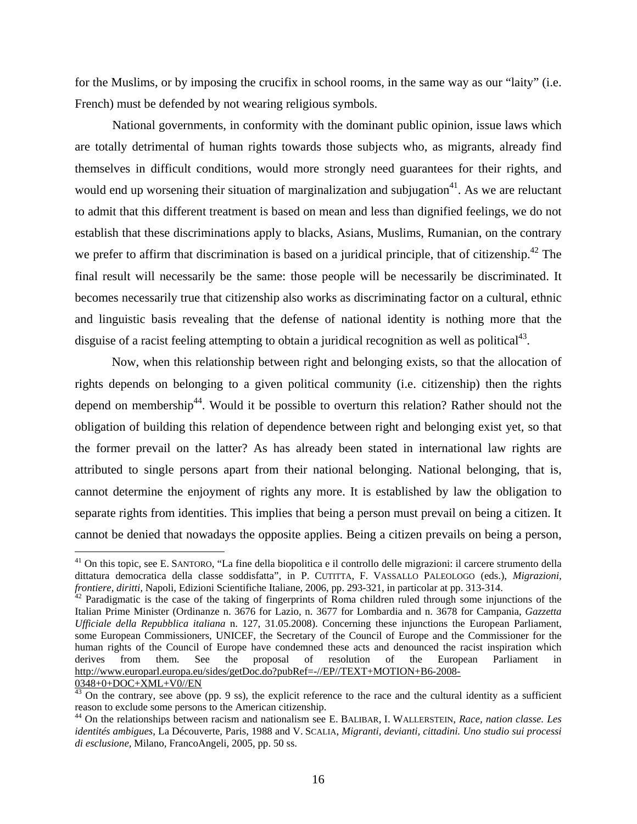for the Muslims, or by imposing the crucifix in school rooms, in the same way as our "laity" (i.e. French) must be defended by not wearing religious symbols.

 National governments, in conformity with the dominant public opinion, issue laws which are totally detrimental of human rights towards those subjects who, as migrants, already find themselves in difficult conditions, would more strongly need guarantees for their rights, and would end up worsening their situation of marginalization and subjugation<sup>41</sup>. As we are reluctant to admit that this different treatment is based on mean and less than dignified feelings, we do not establish that these discriminations apply to blacks, Asians, Muslims, Rumanian, on the contrary we prefer to affirm that discrimination is based on a juridical principle, that of citizenship.<sup>42</sup> The final result will necessarily be the same: those people will be necessarily be discriminated. It becomes necessarily true that citizenship also works as discriminating factor on a cultural, ethnic and linguistic basis revealing that the defense of national identity is nothing more that the disguise of a racist feeling attempting to obtain a juridical recognition as well as political<sup>43</sup>.

Now, when this relationship between right and belonging exists, so that the allocation of rights depends on belonging to a given political community (i.e. citizenship) then the rights depend on membership<sup>44</sup>. Would it be possible to overturn this relation? Rather should not the obligation of building this relation of dependence between right and belonging exist yet, so that the former prevail on the latter? As has already been stated in international law rights are attributed to single persons apart from their national belonging. National belonging, that is, cannot determine the enjoyment of rights any more. It is established by law the obligation to separate rights from identities. This implies that being a person must prevail on being a citizen. It cannot be denied that nowadays the opposite applies. Being a citizen prevails on being a person,

<sup>41</sup> On this topic, see E. SANTORO, "La fine della biopolitica e il controllo delle migrazioni: il carcere strumento della dittatura democratica della classe soddisfatta", in P. CUTITTA, F. VASSALLO PALEOLOGO (eds.), *Migrazioni, frontiere, diritti, Napoli, Edizioni Scientifiche Italiane, 2006, pp. 293-321, in particolar at pp. 313-314.*<br><sup>42</sup> Paradigmatic is the case of the taking of fingerprints of Roma children ruled through some injunctions of

Italian Prime Minister (Ordinanze n. 3676 for Lazio, n. 3677 for Lombardia and n. 3678 for Campania, *Gazzetta Ufficiale della Repubblica italiana* n. 127, 31.05.2008). Concerning these injunctions the European Parliament, some European Commissioners, UNICEF, the Secretary of the Council of Europe and the Commissioner for the human rights of the Council of Europe have condemned these acts and denounced the racist inspiration which derives from them. See the proposal of resolution of the European Parliament in http://www.europarl.europa.eu/sides/getDoc.do?pubRef=-//EP//TEXT+MOTION+B6-2008-

<sup>0348+0+</sup>DOC+XML+V0//EN

 $\frac{43}{43}$  On the contrary, see above (pp. 9 ss), the explicit reference to the race and the cultural identity as a sufficient reason to exclude some persons to the American citizenship.

<sup>&</sup>lt;sup>44</sup> On the relationships between racism and nationalism see E. BALIBAR, I. WALLERSTEIN, *Race, nation classe. Les identités ambigues*, La Découverte, Paris, 1988 and V. SCALIA, *Migranti, devianti, cittadini. Uno studio sui processi di esclusione*, Milano, FrancoAngeli, 2005, pp. 50 ss.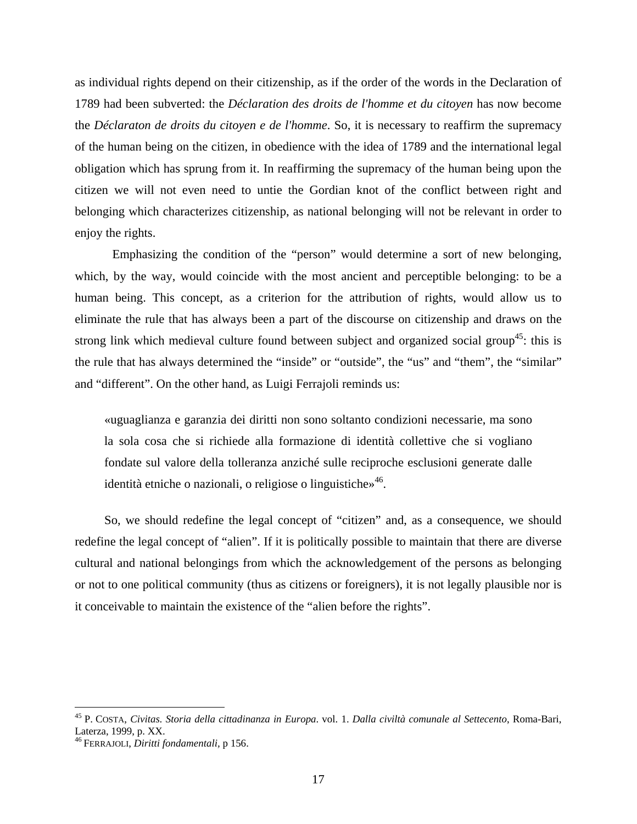as individual rights depend on their citizenship, as if the order of the words in the Declaration of 1789 had been subverted: the *Déclaration des droits de l'homme et du citoyen* has now become the *Déclaraton de droits du citoyen e de l'homme*. So, it is necessary to reaffirm the supremacy of the human being on the citizen, in obedience with the idea of 1789 and the international legal obligation which has sprung from it. In reaffirming the supremacy of the human being upon the citizen we will not even need to untie the Gordian knot of the conflict between right and belonging which characterizes citizenship, as national belonging will not be relevant in order to enjoy the rights.

 Emphasizing the condition of the "person" would determine a sort of new belonging, which, by the way, would coincide with the most ancient and perceptible belonging: to be a human being. This concept, as a criterion for the attribution of rights, would allow us to eliminate the rule that has always been a part of the discourse on citizenship and draws on the strong link which medieval culture found between subject and organized social group<sup>45</sup>: this is the rule that has always determined the "inside" or "outside", the "us" and "them", the "similar" and "different". On the other hand, as Luigi Ferrajoli reminds us:

«uguaglianza e garanzia dei diritti non sono soltanto condizioni necessarie, ma sono la sola cosa che si richiede alla formazione di identità collettive che si vogliano fondate sul valore della tolleranza anziché sulle reciproche esclusioni generate dalle identità etniche o nazionali, o religiose o linguistiche $\frac{1}{6}$ .

So, we should redefine the legal concept of "citizen" and, as a consequence, we should redefine the legal concept of "alien". If it is politically possible to maintain that there are diverse cultural and national belongings from which the acknowledgement of the persons as belonging or not to one political community (thus as citizens or foreigners), it is not legally plausible nor is it conceivable to maintain the existence of the "alien before the rights".

1

<sup>45</sup> P. COSTA, *Civitas. Storia della cittadinanza in Europa*. vol. 1. *Dalla civiltà comunale al Settecento*, Roma-Bari, Laterza, 1999, p. XX.

<sup>46</sup> FERRAJOLI, *Diritti fondamentali,* p 156.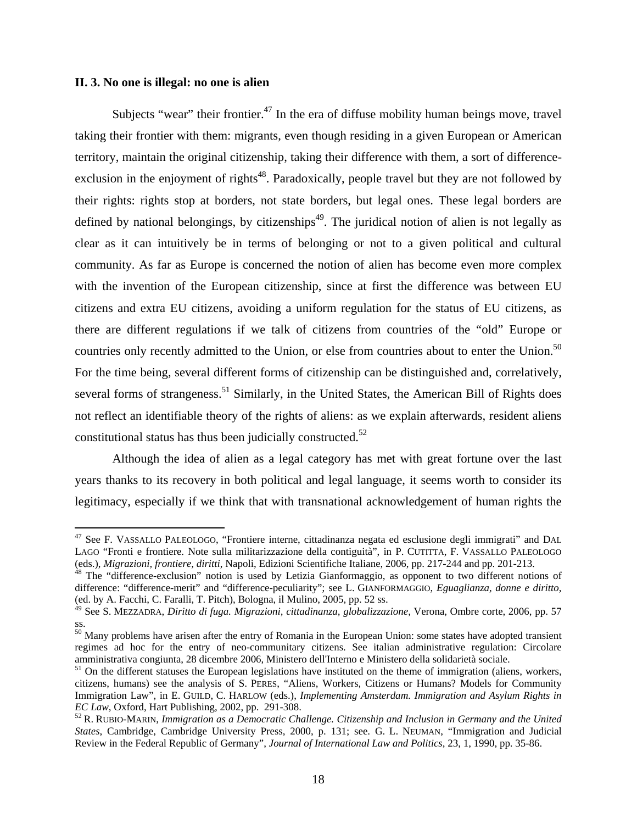### **II. 3. No one is illegal: no one is alien**

 $\overline{a}$ 

Subjects "wear" their frontier. $47$  In the era of diffuse mobility human beings move, travel taking their frontier with them: migrants, even though residing in a given European or American territory, maintain the original citizenship, taking their difference with them, a sort of differenceexclusion in the enjoyment of rights<sup>48</sup>. Paradoxically, people travel but they are not followed by their rights: rights stop at borders, not state borders, but legal ones. These legal borders are defined by national belongings, by citizenships<sup>49</sup>. The juridical notion of alien is not legally as clear as it can intuitively be in terms of belonging or not to a given political and cultural community. As far as Europe is concerned the notion of alien has become even more complex with the invention of the European citizenship, since at first the difference was between EU citizens and extra EU citizens, avoiding a uniform regulation for the status of EU citizens, as there are different regulations if we talk of citizens from countries of the "old" Europe or countries only recently admitted to the Union, or else from countries about to enter the Union.<sup>50</sup> For the time being, several different forms of citizenship can be distinguished and, correlatively, several forms of strangeness.<sup>51</sup> Similarly, in the United States, the American Bill of Rights does not reflect an identifiable theory of the rights of aliens: as we explain afterwards, resident aliens constitutional status has thus been judicially constructed.<sup>52</sup>

 Although the idea of alien as a legal category has met with great fortune over the last years thanks to its recovery in both political and legal language, it seems worth to consider its legitimacy, especially if we think that with transnational acknowledgement of human rights the

<sup>&</sup>lt;sup>47</sup> See F. VASSALLO PALEOLOGO, "Frontiere interne, cittadinanza negata ed esclusione degli immigrati" and DAL LAGO "Fronti e frontiere. Note sulla militarizzazione della contiguità", in P. CUTITTA, F. VASSALLO PALEOLOGO

<sup>(</sup>eds.), *Migrazioni, frontiere, diritti*, Napoli, Edizioni Scientifiche Italiane, 2006, pp. 217-244 and pp. 201-213.<br><sup>48</sup> The "difference-exclusion" notion is used by Letizia Gianformaggio, as opponent to two different not difference: "difference-merit" and "difference-peculiarity"; see L. GIANFORMAGGIO, *Eguaglianza, donne e diritto*, (ed. by A. Facchi, C. Faralli, T. Pitch), Bologna, il Mulino, 2005, pp. 52 ss.

<sup>49</sup> See S. MEZZADRA, *Diritto di fuga. Migrazioni, cittadinanza, globalizzazione*, Verona, Ombre corte, 2006, pp. 57 ss.

 $50$  Many problems have arisen after the entry of Romania in the European Union: some states have adopted transient regimes ad hoc for the entry of neo-communitary citizens. See italian administrative regulation: Circolare amministrativa congiunta, 28 dicembre 2006, Ministero dell'Interno e Ministero della solidarietà sociale.

 $<sup>51</sup>$  On the different statuses the European legislations have instituted on the theme of immigration (aliens, workers,</sup> citizens, humans) see the analysis of S. PERES, "Aliens, Workers, Citizens or Humans? Models for Community Immigration Law", in E. GUILD, C. HARLOW (eds.), *Implementing Amsterdam. Immigration and Asylum Rights in EC Law*, Oxford, Hart Publishing, 2002, pp. 291-308.<br><sup>52</sup> R. RUBIO-MARIN, *Immigration as a Democratic Challenge. Citizenship and Inclusion in Germany and the United* 

*States*, Cambridge, Cambridge University Press, 2000, p. 131; see. G. L. NEUMAN, "Immigration and Judicial Review in the Federal Republic of Germany", *Journal of International Law and Politics*, 23, 1, 1990, pp. 35-86.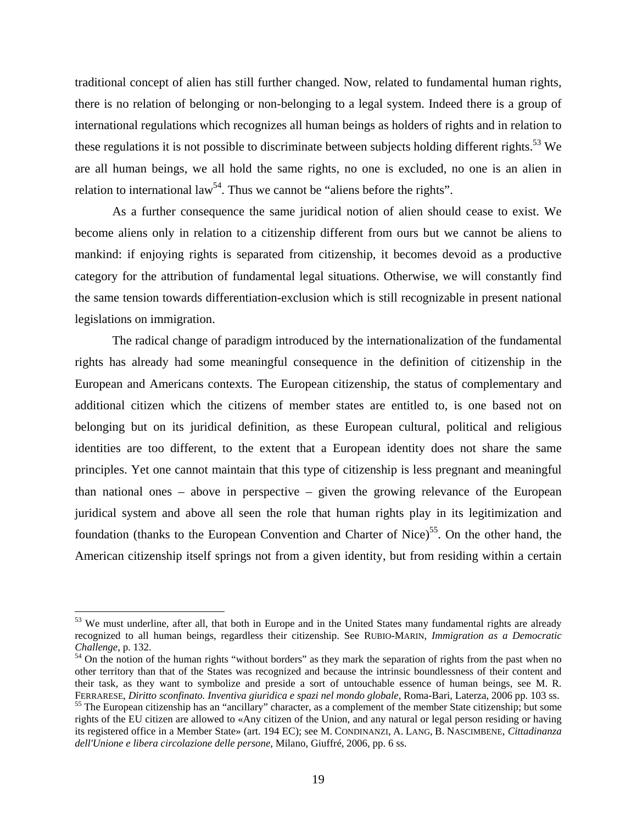traditional concept of alien has still further changed. Now, related to fundamental human rights, there is no relation of belonging or non-belonging to a legal system. Indeed there is a group of international regulations which recognizes all human beings as holders of rights and in relation to these regulations it is not possible to discriminate between subjects holding different rights.<sup>53</sup> We are all human beings, we all hold the same rights, no one is excluded, no one is an alien in relation to international law<sup>54</sup>. Thus we cannot be "aliens before the rights".

 As a further consequence the same juridical notion of alien should cease to exist. We become aliens only in relation to a citizenship different from ours but we cannot be aliens to mankind: if enjoying rights is separated from citizenship, it becomes devoid as a productive category for the attribution of fundamental legal situations. Otherwise, we will constantly find the same tension towards differentiation-exclusion which is still recognizable in present national legislations on immigration.

 The radical change of paradigm introduced by the internationalization of the fundamental rights has already had some meaningful consequence in the definition of citizenship in the European and Americans contexts. The European citizenship, the status of complementary and additional citizen which the citizens of member states are entitled to, is one based not on belonging but on its juridical definition, as these European cultural, political and religious identities are too different, to the extent that a European identity does not share the same principles. Yet one cannot maintain that this type of citizenship is less pregnant and meaningful than national ones – above in perspective – given the growing relevance of the European juridical system and above all seen the role that human rights play in its legitimization and foundation (thanks to the European Convention and Charter of Nice)<sup>55</sup>. On the other hand, the American citizenship itself springs not from a given identity, but from residing within a certain

<sup>&</sup>lt;sup>53</sup> We must underline, after all, that both in Europe and in the United States many fundamental rights are already recognized to all human beings, regardless their citizenship. See RUBIO-MARIN, *Immigration as a Democratic Challenge*, p. 132.<br><sup>54</sup> On the notion of the human rights "without borders" as they mark the separation of rights from the past when no

other territory than that of the States was recognized and because the intrinsic boundlessness of their content and their task, as they want to symbolize and preside a sort of untouchable essence of human beings, see M. R. FERRARESE, *Diritto sconfinato. Inventiva giuridica e spazi nel mondo globale*, Roma-Bari, Laterza, 2006 pp. 103 ss.<br><sup>55</sup> The European citizenship has an "ancillary" character, as a complement of the member State citizensh

rights of the EU citizen are allowed to «Any citizen of the Union, and any natural or legal person residing or having its registered office in a Member State» (art. 194 EC); see M. CONDINANZI, A. LANG, B. NASCIMBENE, *Cittadinanza dell'Unione e libera circolazione delle persone*, Milano, Giuffré, 2006, pp. 6 ss.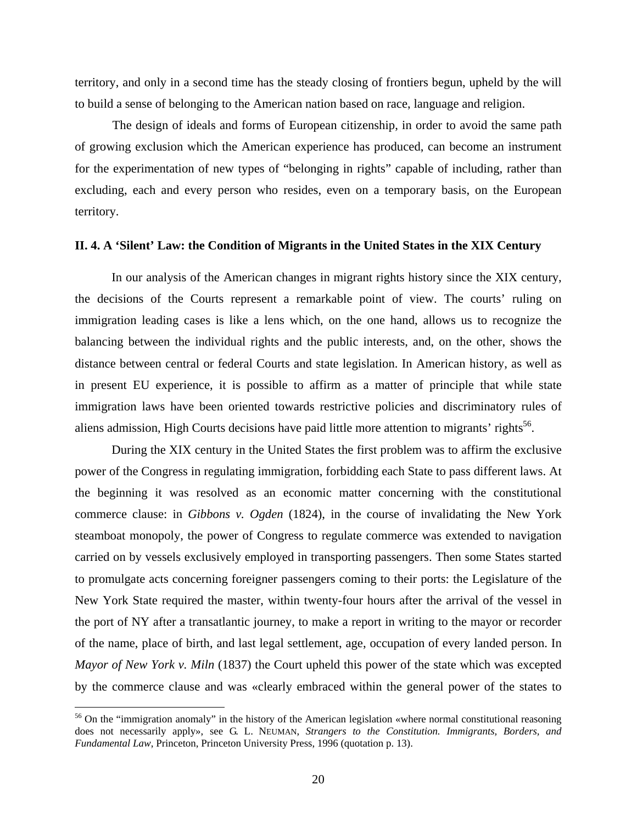territory, and only in a second time has the steady closing of frontiers begun, upheld by the will to build a sense of belonging to the American nation based on race, language and religion.

 The design of ideals and forms of European citizenship, in order to avoid the same path of growing exclusion which the American experience has produced, can become an instrument for the experimentation of new types of "belonging in rights" capable of including, rather than excluding, each and every person who resides, even on a temporary basis, on the European territory.

### **II. 4. A 'Silent' Law: the Condition of Migrants in the United States in the XIX Century**

In our analysis of the American changes in migrant rights history since the XIX century, the decisions of the Courts represent a remarkable point of view. The courts' ruling on immigration leading cases is like a lens which, on the one hand, allows us to recognize the balancing between the individual rights and the public interests, and, on the other, shows the distance between central or federal Courts and state legislation. In American history, as well as in present EU experience, it is possible to affirm as a matter of principle that while state immigration laws have been oriented towards restrictive policies and discriminatory rules of aliens admission, High Courts decisions have paid little more attention to migrants' rights<sup>56</sup>.

During the XIX century in the United States the first problem was to affirm the exclusive power of the Congress in regulating immigration, forbidding each State to pass different laws. At the beginning it was resolved as an economic matter concerning with the constitutional commerce clause: in *Gibbons v. Ogden* (1824), in the course of invalidating the New York steamboat monopoly, the power of Congress to regulate commerce was extended to navigation carried on by vessels exclusively employed in transporting passengers. Then some States started to promulgate acts concerning foreigner passengers coming to their ports: the Legislature of the New York State required the master, within twenty-four hours after the arrival of the vessel in the port of NY after a transatlantic journey, to make a report in writing to the mayor or recorder of the name, place of birth, and last legal settlement, age, occupation of every landed person. In *Mayor of New York v. Miln* (1837) the Court upheld this power of the state which was excepted by the commerce clause and was «clearly embraced within the general power of the states to

<sup>&</sup>lt;sup>56</sup> On the "immigration anomaly" in the history of the American legislation «where normal constitutional reasoning does not necessarily apply», see G. L. NEUMAN, *Strangers to the Constitution. Immigrants, Borders, and Fundamental Law*, Princeton, Princeton University Press, 1996 (quotation p. 13).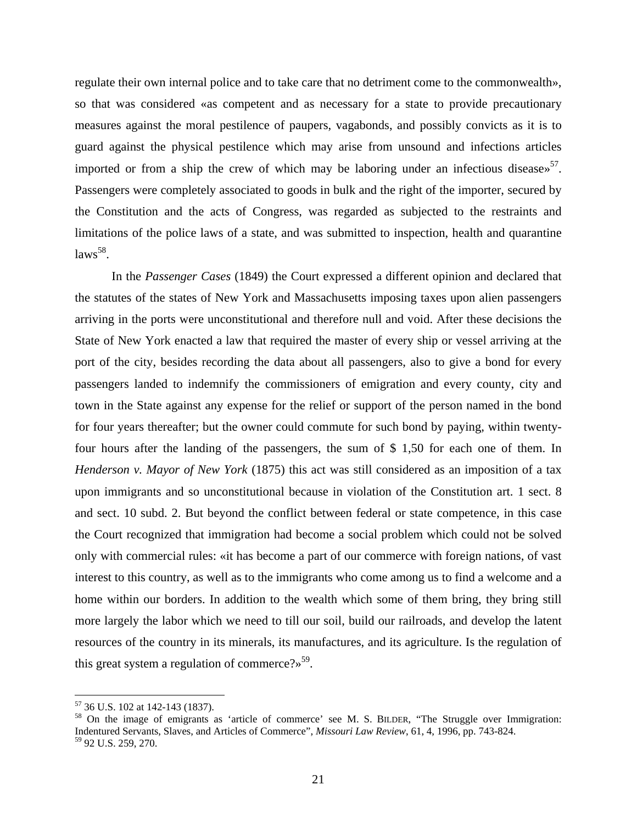regulate their own internal police and to take care that no detriment come to the commonwealth», so that was considered «as competent and as necessary for a state to provide precautionary measures against the moral pestilence of paupers, vagabonds, and possibly convicts as it is to guard against the physical pestilence which may arise from unsound and infections articles imported or from a ship the crew of which may be laboring under an infectious disease»<sup>57</sup>. Passengers were completely associated to goods in bulk and the right of the importer, secured by the Constitution and the acts of Congress, was regarded as subjected to the restraints and limitations of the police laws of a state, and was submitted to inspection, health and quarantine  $laws<sup>58</sup>$ .

In the *Passenger Cases* (1849) the Court expressed a different opinion and declared that the statutes of the states of New York and Massachusetts imposing taxes upon alien passengers arriving in the ports were unconstitutional and therefore null and void. After these decisions the State of New York enacted a law that required the master of every ship or vessel arriving at the port of the city, besides recording the data about all passengers, also to give a bond for every passengers landed to indemnify the commissioners of emigration and every county, city and town in the State against any expense for the relief or support of the person named in the bond for four years thereafter; but the owner could commute for such bond by paying, within twentyfour hours after the landing of the passengers, the sum of \$ 1,50 for each one of them. In *Henderson v. Mayor of New York* (1875) this act was still considered as an imposition of a tax upon immigrants and so unconstitutional because in violation of the Constitution art. 1 sect. 8 and sect. 10 subd. 2. But beyond the conflict between federal or state competence, in this case the Court recognized that immigration had become a social problem which could not be solved only with commercial rules: «it has become a part of our commerce with foreign nations, of vast interest to this country, as well as to the immigrants who come among us to find a welcome and a home within our borders. In addition to the wealth which some of them bring, they bring still more largely the labor which we need to till our soil, build our railroads, and develop the latent resources of the country in its minerals, its manufactures, and its agriculture. Is the regulation of this great system a regulation of commerce? $\mathbb{R}^{59}$ .

<sup>57 36</sup> U.S. 102 at 142-143 (1837).

<sup>58</sup> On the image of emigrants as 'article of commerce' see M. S. BILDER, "The Struggle over Immigration: Indentured Servants, Slaves, and Articles of Commerce", *Missouri Law Review*, 61, 4, 1996, pp. 743-824. 59 92 U.S. 259, 270.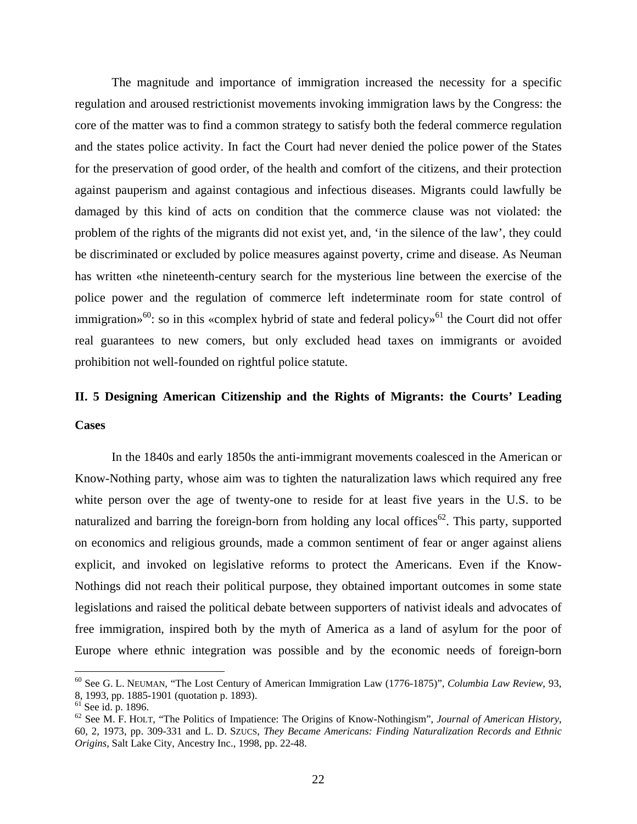The magnitude and importance of immigration increased the necessity for a specific regulation and aroused restrictionist movements invoking immigration laws by the Congress: the core of the matter was to find a common strategy to satisfy both the federal commerce regulation and the states police activity. In fact the Court had never denied the police power of the States for the preservation of good order, of the health and comfort of the citizens, and their protection against pauperism and against contagious and infectious diseases. Migrants could lawfully be damaged by this kind of acts on condition that the commerce clause was not violated: the problem of the rights of the migrants did not exist yet, and, 'in the silence of the law', they could be discriminated or excluded by police measures against poverty, crime and disease. As Neuman has written «the nineteenth-century search for the mysterious line between the exercise of the police power and the regulation of commerce left indeterminate room for state control of immigration»<sup>60</sup>: so in this «complex hybrid of state and federal policy»<sup>61</sup> the Court did not offer real guarantees to new comers, but only excluded head taxes on immigrants or avoided prohibition not well-founded on rightful police statute.

## **II. 5 Designing American Citizenship and the Rights of Migrants: the Courts' Leading Cases**

In the 1840s and early 1850s the anti-immigrant movements coalesced in the American or Know-Nothing party, whose aim was to tighten the naturalization laws which required any free white person over the age of twenty-one to reside for at least five years in the U.S. to be naturalized and barring the foreign-born from holding any local offices<sup>62</sup>. This party, supported on economics and religious grounds, made a common sentiment of fear or anger against aliens explicit, and invoked on legislative reforms to protect the Americans. Even if the Know-Nothings did not reach their political purpose, they obtained important outcomes in some state legislations and raised the political debate between supporters of nativist ideals and advocates of free immigration, inspired both by the myth of America as a land of asylum for the poor of Europe where ethnic integration was possible and by the economic needs of foreign-born

1

<sup>60</sup> See G. L. NEUMAN, "The Lost Century of American Immigration Law (1776-1875)", *Columbia Law Review*, 93, 8, 1993, pp. 1885-1901 (quotation p. 1893).

 $61$  See id. p. 1896.

<sup>62</sup> See M. F. HOLT, "The Politics of Impatience: The Origins of Know-Nothingism", *Journal of American History*, 60, 2, 1973, pp. 309-331 and L. D. SZUCS, *They Became Americans: Finding Naturalization Records and Ethnic Origins*, Salt Lake City, Ancestry Inc., 1998, pp. 22-48.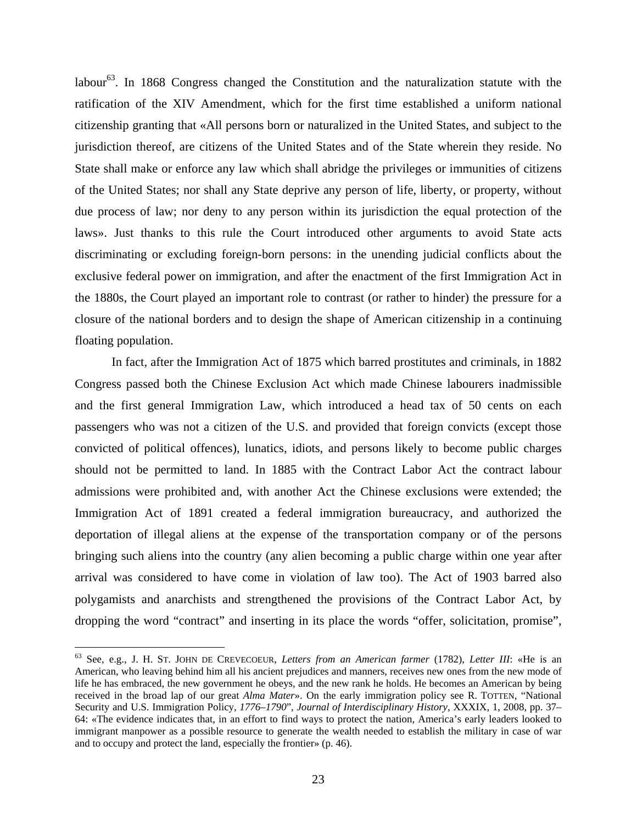labour<sup>63</sup>. In 1868 Congress changed the Constitution and the naturalization statute with the ratification of the XIV Amendment, which for the first time established a uniform national citizenship granting that «All persons born or naturalized in the United States, and subject to the jurisdiction thereof, are citizens of the United States and of the State wherein they reside. No State shall make or enforce any law which shall abridge the privileges or immunities of citizens of the United States; nor shall any State deprive any person of life, liberty, or property, without due process of law; nor deny to any person within its jurisdiction the equal protection of the laws». Just thanks to this rule the Court introduced other arguments to avoid State acts discriminating or excluding foreign-born persons: in the unending judicial conflicts about the exclusive federal power on immigration, and after the enactment of the first Immigration Act in the 1880s, the Court played an important role to contrast (or rather to hinder) the pressure for a closure of the national borders and to design the shape of American citizenship in a continuing floating population.

In fact, after the Immigration Act of 1875 which barred prostitutes and criminals, in 1882 Congress passed both the Chinese Exclusion Act which made Chinese labourers inadmissible and the first general Immigration Law, which introduced a head tax of 50 cents on each passengers who was not a citizen of the U.S. and provided that foreign convicts (except those convicted of political offences), lunatics, idiots, and persons likely to become public charges should not be permitted to land. In 1885 with the Contract Labor Act the contract labour admissions were prohibited and, with another Act the Chinese exclusions were extended; the Immigration Act of 1891 created a federal immigration bureaucracy, and authorized the deportation of illegal aliens at the expense of the transportation company or of the persons bringing such aliens into the country (any alien becoming a public charge within one year after arrival was considered to have come in violation of law too). The Act of 1903 barred also polygamists and anarchists and strengthened the provisions of the Contract Labor Act, by dropping the word "contract" and inserting in its place the words "offer, solicitation, promise",

<sup>63</sup> See, e.g., J. H. ST. JOHN DE CREVECOEUR, *Letters from an American farmer* (1782), *Letter III*: «He is an American, who leaving behind him all his ancient prejudices and manners, receives new ones from the new mode of life he has embraced, the new government he obeys, and the new rank he holds. He becomes an American by being received in the broad lap of our great *Alma Mater*». On the early immigration policy see R. TOTTEN, "National Security and U.S. Immigration Policy*, 1776–1790*", *Journal of Interdisciplinary History*, XXXIX, 1, 2008, pp. 37– 64: «The evidence indicates that, in an effort to find ways to protect the nation, America's early leaders looked to immigrant manpower as a possible resource to generate the wealth needed to establish the military in case of war and to occupy and protect the land, especially the frontier» (p. 46).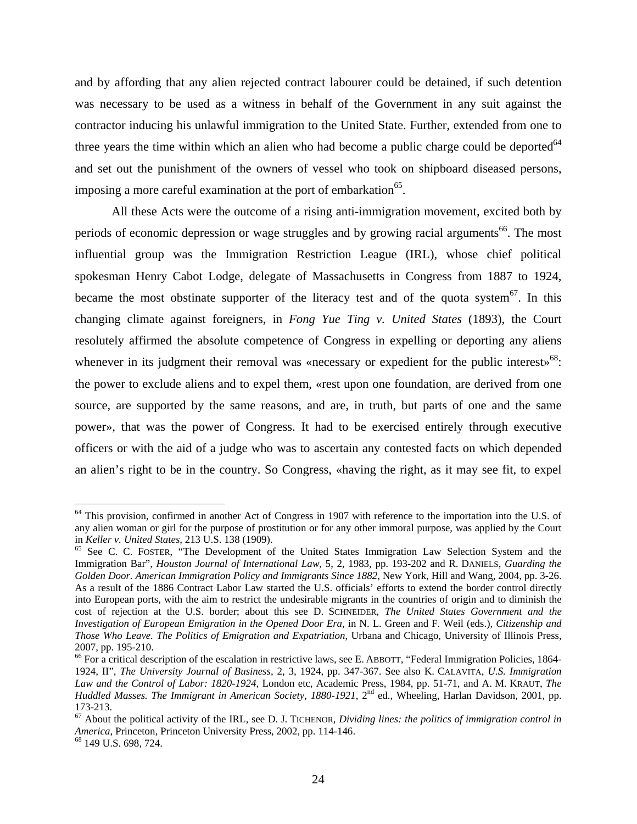and by affording that any alien rejected contract labourer could be detained, if such detention was necessary to be used as a witness in behalf of the Government in any suit against the contractor inducing his unlawful immigration to the United State. Further, extended from one to three years the time within which an alien who had become a public charge could be deported $64$ and set out the punishment of the owners of vessel who took on shipboard diseased persons, imposing a more careful examination at the port of embarkation<sup>65</sup>.

All these Acts were the outcome of a rising anti-immigration movement, excited both by periods of economic depression or wage struggles and by growing racial arguments<sup>66</sup>. The most influential group was the Immigration Restriction League (IRL), whose chief political spokesman Henry Cabot Lodge, delegate of Massachusetts in Congress from 1887 to 1924, became the most obstinate supporter of the literacy test and of the quota system<sup>67</sup>. In this changing climate against foreigners, in *Fong Yue Ting v. United States* (1893), the Court resolutely affirmed the absolute competence of Congress in expelling or deporting any aliens whenever in its judgment their removal was «necessary or expedient for the public interest»<sup>68</sup>: the power to exclude aliens and to expel them, «rest upon one foundation, are derived from one source, are supported by the same reasons, and are, in truth, but parts of one and the same power», that was the power of Congress. It had to be exercised entirely through executive officers or with the aid of a judge who was to ascertain any contested facts on which depended an alien's right to be in the country. So Congress, «having the right, as it may see fit, to expel

 $64$  This provision, confirmed in another Act of Congress in 1907 with reference to the importation into the U.S. of any alien woman or girl for the purpose of prostitution or for any other immoral purpose, was applied by the Court in *Keller v. United States*, 213 U.S. 138 (1909).<br><sup>65</sup> See C. C. FOSTER, "The Development of the United States Immigration Law Selection System and the

Immigration Bar", *Houston Journal of International Law*, 5, 2, 1983, pp. 193-202 and R. DANIELS, *Guarding the Golden Door. American Immigration Policy and Immigrants Since 1882*, New York, Hill and Wang, 2004, pp. 3-26. As a result of the 1886 Contract Labor Law started the U.S. officials' efforts to extend the border control directly into European ports, with the aim to restrict the undesirable migrants in the countries of origin and to diminish the cost of rejection at the U.S. border; about this see D. SCHNEIDER, *The United States Government and the Investigation of European Emigration in the Opened Door Era*, in N. L. Green and F. Weil (eds.), *Citizenship and Those Who Leave. The Politics of Emigration and Expatriation*, Urbana and Chicago, University of Illinois Press, 2007, pp. 195-210.

<sup>&</sup>lt;sup>66</sup> For a critical description of the escalation in restrictive laws, see E. ABBOTT, "Federal Immigration Policies, 1864-1924, II", *The University Journal of Business*, 2, 3, 1924, pp. 347-367. See also K. CALAVITA, *U.S. Immigration Law and the Control of Labor: 1820-1924*, London etc, Academic Press, 1984, pp. 51-71, and A. M. KRAUT, *The Huddled Masses. The Immigrant in American Society, 1880-1921*, 2<sup>nd</sup> ed., Wheeling, Harlan Davidson, 2001, pp. 173-213.

<sup>67</sup> About the political activity of the IRL, see D. J. TICHENOR, *Dividing lines: the politics of immigration control in America*, Princeton, Princeton University Press, 2002, pp. 114-146. 68 149 U.S. 698, 724.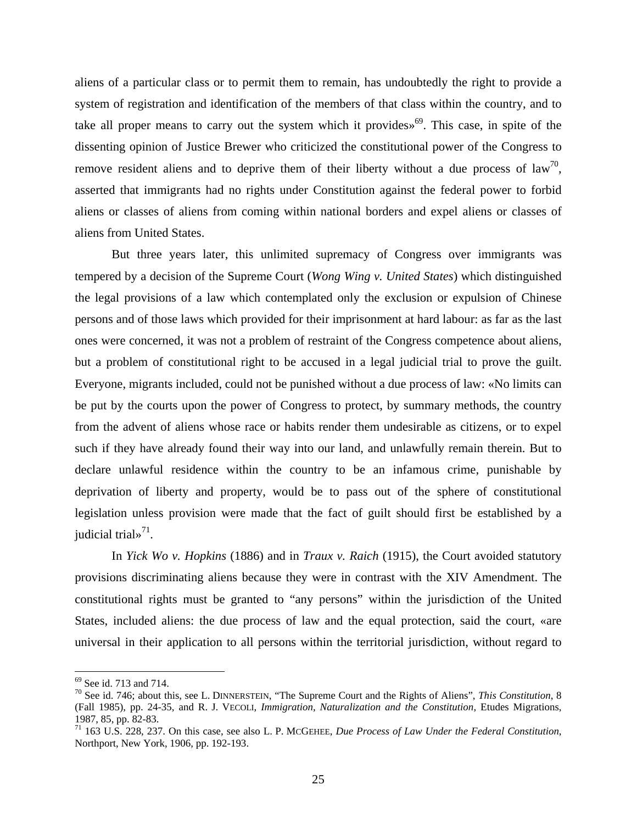aliens of a particular class or to permit them to remain, has undoubtedly the right to provide a system of registration and identification of the members of that class within the country, and to take all proper means to carry out the system which it provides» $69$ . This case, in spite of the dissenting opinion of Justice Brewer who criticized the constitutional power of the Congress to remove resident aliens and to deprive them of their liberty without a due process of  $law^{70}$ , asserted that immigrants had no rights under Constitution against the federal power to forbid aliens or classes of aliens from coming within national borders and expel aliens or classes of aliens from United States.

But three years later, this unlimited supremacy of Congress over immigrants was tempered by a decision of the Supreme Court (*Wong Wing v. United States*) which distinguished the legal provisions of a law which contemplated only the exclusion or expulsion of Chinese persons and of those laws which provided for their imprisonment at hard labour: as far as the last ones were concerned, it was not a problem of restraint of the Congress competence about aliens, but a problem of constitutional right to be accused in a legal judicial trial to prove the guilt. Everyone, migrants included, could not be punished without a due process of law: «No limits can be put by the courts upon the power of Congress to protect, by summary methods, the country from the advent of aliens whose race or habits render them undesirable as citizens, or to expel such if they have already found their way into our land, and unlawfully remain therein. But to declare unlawful residence within the country to be an infamous crime, punishable by deprivation of liberty and property, would be to pass out of the sphere of constitutional legislation unless provision were made that the fact of guilt should first be established by a judicial trial $\frac{1}{2}$ <sup>71</sup>.

In *Yick Wo v. Hopkins* (1886) and in *Traux v. Raich* (1915), the Court avoided statutory provisions discriminating aliens because they were in contrast with the XIV Amendment. The constitutional rights must be granted to "any persons" within the jurisdiction of the United States, included aliens: the due process of law and the equal protection, said the court, «are universal in their application to all persons within the territorial jurisdiction, without regard to

<sup>69</sup> See id. 713 and 714.

<sup>70</sup> See id. 746; about this, see L. DINNERSTEIN, "The Supreme Court and the Rights of Aliens", *This Constitution*, 8 (Fall 1985), pp. 24-35, and R. J. VECOLI, *Immigration, Naturalization and the Constitution*, Etudes Migrations, 1987, 85, pp. 82-83.

<sup>71 163</sup> U.S. 228, 237. On this case, see also L. P. MCGEHEE, *Due Process of Law Under the Federal Constitution*, Northport, New York, 1906, pp. 192-193.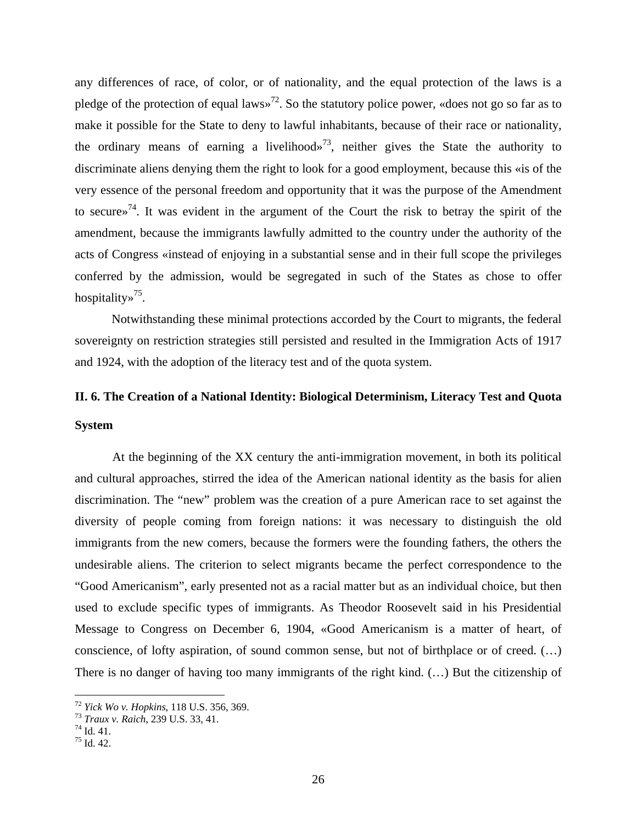any differences of race, of color, or of nationality, and the equal protection of the laws is a pledge of the protection of equal laws»<sup>72</sup>. So the statutory police power, «does not go so far as to make it possible for the State to deny to lawful inhabitants, because of their race or nationality, the ordinary means of earning a livelihood»<sup>73</sup>, neither gives the State the authority to discriminate aliens denying them the right to look for a good employment, because this «is of the very essence of the personal freedom and opportunity that it was the purpose of the Amendment to secure»<sup>74</sup>. It was evident in the argument of the Court the risk to betray the spirit of the amendment, because the immigrants lawfully admitted to the country under the authority of the acts of Congress «instead of enjoying in a substantial sense and in their full scope the privileges conferred by the admission, would be segregated in such of the States as chose to offer hospitality»<sup>75</sup>.

Notwithstanding these minimal protections accorded by the Court to migrants, the federal sovereignty on restriction strategies still persisted and resulted in the Immigration Acts of 1917 and 1924, with the adoption of the literacy test and of the quota system.

### **II. 6. The Creation of a National Identity: Biological Determinism, Literacy Test and Quota System**

 At the beginning of the XX century the anti-immigration movement, in both its political and cultural approaches, stirred the idea of the American national identity as the basis for alien discrimination. The "new" problem was the creation of a pure American race to set against the diversity of people coming from foreign nations: it was necessary to distinguish the old immigrants from the new comers, because the formers were the founding fathers, the others the undesirable aliens. The criterion to select migrants became the perfect correspondence to the "Good Americanism", early presented not as a racial matter but as an individual choice, but then used to exclude specific types of immigrants. As Theodor Roosevelt said in his Presidential Message to Congress on December 6, 1904, «Good Americanism is a matter of heart, of conscience, of lofty aspiration, of sound common sense, but not of birthplace or of creed. (…) There is no danger of having too many immigrants of the right kind. (…) But the citizenship of

<sup>&</sup>lt;sup>72</sup> Yick Wo v. Hopkins, 118 U.S. 356, 369.<br><sup>73</sup> Traux v. Raich, 239 U.S. 33, 41.<br><sup>74</sup> Id. 41.

 $^{74}$  Id. 41.<br> $^{75}$  Id. 42.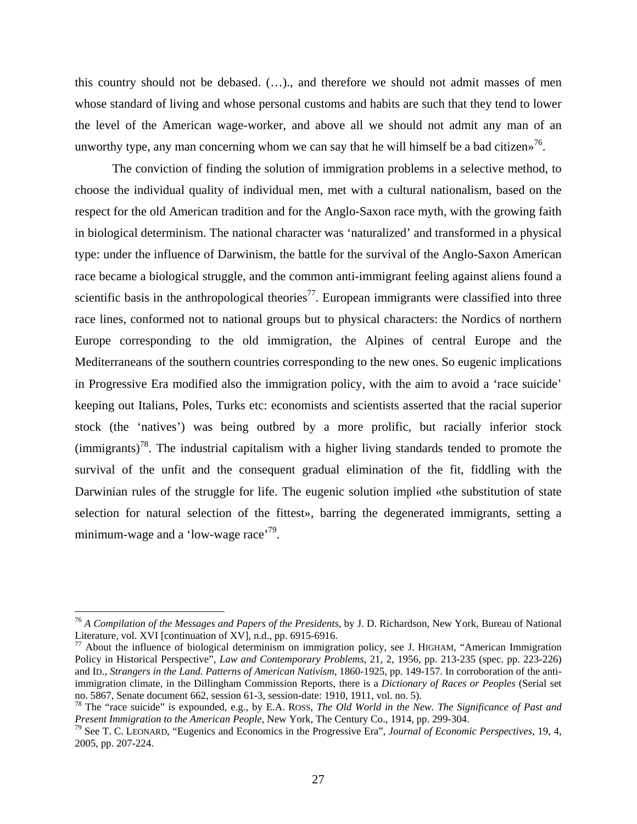this country should not be debased. (…)., and therefore we should not admit masses of men whose standard of living and whose personal customs and habits are such that they tend to lower the level of the American wage-worker, and above all we should not admit any man of an unworthy type, any man concerning whom we can say that he will himself be a bad citizen $\frac{1}{6}$ .

 The conviction of finding the solution of immigration problems in a selective method, to choose the individual quality of individual men, met with a cultural nationalism, based on the respect for the old American tradition and for the Anglo-Saxon race myth, with the growing faith in biological determinism. The national character was 'naturalized' and transformed in a physical type: under the influence of Darwinism, the battle for the survival of the Anglo-Saxon American race became a biological struggle, and the common anti-immigrant feeling against aliens found a scientific basis in the anthropological theories<sup>77</sup>. European immigrants were classified into three race lines, conformed not to national groups but to physical characters: the Nordics of northern Europe corresponding to the old immigration, the Alpines of central Europe and the Mediterraneans of the southern countries corresponding to the new ones. So eugenic implications in Progressive Era modified also the immigration policy, with the aim to avoid a 'race suicide' keeping out Italians, Poles, Turks etc: economists and scientists asserted that the racial superior stock (the 'natives') was being outbred by a more prolific, but racially inferior stock  $\rm (immigrants)^{78}$ . The industrial capitalism with a higher living standards tended to promote the survival of the unfit and the consequent gradual elimination of the fit, fiddling with the Darwinian rules of the struggle for life. The eugenic solution implied «the substitution of state selection for natural selection of the fittest», barring the degenerated immigrants, setting a minimum-wage and a 'low-wage race'<sup>79</sup>.

1

<sup>76</sup> *A Compilation of the Messages and Papers of the Presidents*, by J. D. Richardson, New York, Bureau of National Literature, vol. XVI [continuation of XV], n.d., pp. 6915-6916.

 $77$  About the influence of biological determinism on immigration policy, see J. HIGHAM, "American Immigration Policy in Historical Perspective", *Law and Contemporary Problems*, 21, 2, 1956, pp. 213-235 (spec. pp. 223-226) and ID., *Strangers in the Land. Patterns of American Nativism*, 1860-1925, pp. 149-157. In corroboration of the antiimmigration climate, in the Dillingham Commission Reports, there is a *Dictionary of Races or Peoples* (Serial set no. 5867, Senate document 662, session 61-3, session-date: 1910, 1911, vol. no. 5).

<sup>&</sup>lt;sup>78</sup> The "race suicide" is expounded, e.g., by E.A. ROSS, *The Old World in the New. The Significance of Past and Present Immigration to the American People, New York, The Century Co., 1914, pp. 299-304.* 

<sup>&</sup>lt;sup>79</sup> See T. C. LEONARD, "Eugenics and Economics in the Progressive Era", *Journal of Economic Perspectives*, 19, 4, 2005, pp. 207-224.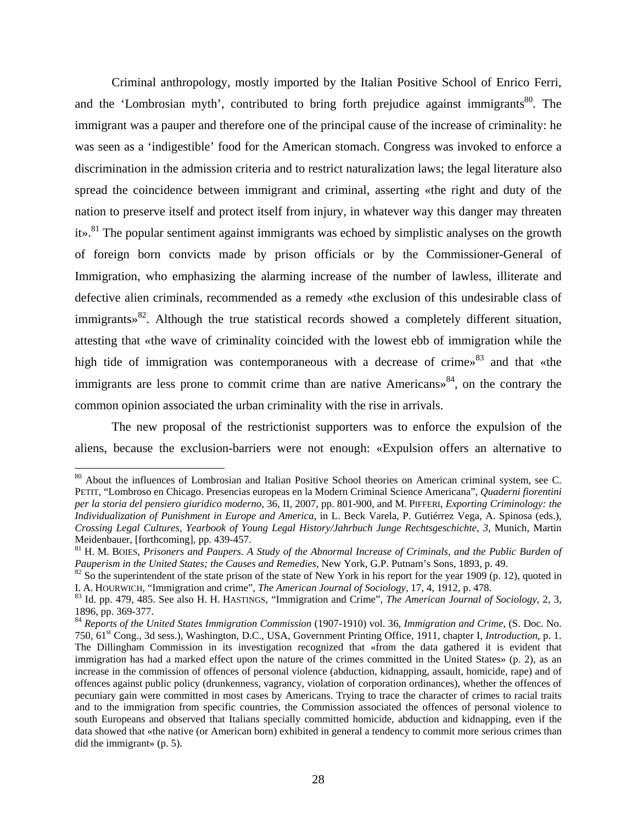Criminal anthropology, mostly imported by the Italian Positive School of Enrico Ferri, and the 'Lombrosian myth', contributed to bring forth prejudice against immigrants<sup>80</sup>. The immigrant was a pauper and therefore one of the principal cause of the increase of criminality: he was seen as a 'indigestible' food for the American stomach. Congress was invoked to enforce a discrimination in the admission criteria and to restrict naturalization laws; the legal literature also spread the coincidence between immigrant and criminal, asserting «the right and duty of the nation to preserve itself and protect itself from injury, in whatever way this danger may threaten it».<sup>81</sup> The popular sentiment against immigrants was echoed by simplistic analyses on the growth of foreign born convicts made by prison officials or by the Commissioner-General of Immigration, who emphasizing the alarming increase of the number of lawless, illiterate and defective alien criminals, recommended as a remedy «the exclusion of this undesirable class of immigrants»<sup>82</sup>. Although the true statistical records showed a completely different situation, attesting that «the wave of criminality coincided with the lowest ebb of immigration while the high tide of immigration was contemporaneous with a decrease of crime»<sup>83</sup> and that «the immigrants are less prone to commit crime than are native Americans $\frac{84}{3}$ , on the contrary the common opinion associated the urban criminality with the rise in arrivals.

The new proposal of the restrictionist supporters was to enforce the expulsion of the aliens, because the exclusion-barriers were not enough: «Expulsion offers an alternative to

<sup>&</sup>lt;sup>80</sup> About the influences of Lombrosian and Italian Positive School theories on American criminal system, see C. PETIT, "Lombroso en Chicago. Presencias europeas en la Modern Criminal Science Americana", *Quaderni fiorentini per la storia del pensiero giuridico moderno*, 36, II, 2007, pp. 801-900, and M. PIFFERI, *Exporting Criminology: the Individualization of Punishment in Europe and America*, in L. Beck Varela, P. Gutiérrez Vega, A. Spinosa (eds.), *Crossing Legal Cultures*, *Yearbook of Young Legal History/Jahrbuch Junge Rechtsgeschichte, 3,* Munich, Martin Meidenbauer, [forthcoming], pp. 439-457.

<sup>81</sup> H. M. BOIES, *Prisoners and Paupers. A Study of the Abnormal Increase of Criminals, and the Public Burden of* 

*Pauperism in the United States; the Causes and Remedies, New York, G.P. Putnam's Sons, 1893, p. 49.*<br><sup>82</sup> So the superintendent of the state prison of the state of New York in his report for the year 1909 (p. 12), quoted

<sup>1.</sup> A. Hourwich, *management and crime*", *The Lamingration and Crime", <i>The American Journal of Sociology*, 2, 3, 3, <sup>83</sup> Id. pp. 479, 485. See also H. H. HASTINGS, "Immigration and Crime", *The American Journal of Sociolo* 1896, pp. 369-377.

<sup>84</sup> *Reports of the United States Immigration Commission* (1907-1910) vol. 36, *Immigration and Crime*, (S. Doc. No. 750, 61st Cong., 3d sess.), Washington, D.C., USA, Government Printing Office, 1911, chapter I, *Introduction*, p. 1. The Dillingham Commission in its investigation recognized that «from the data gathered it is evident that immigration has had a marked effect upon the nature of the crimes committed in the United States» (p. 2), as an increase in the commission of offences of personal violence (abduction, kidnapping, assault, homicide, rape) and of offences against public policy (drunkenness, vagrancy, violation of corporation ordinances), whether the offences of pecuniary gain were committed in most cases by Americans. Trying to trace the character of crimes to racial traits and to the immigration from specific countries, the Commission associated the offences of personal violence to south Europeans and observed that Italians specially committed homicide, abduction and kidnapping, even if the data showed that «the native (or American born) exhibited in general a tendency to commit more serious crimes than did the immigrant» (p. 5).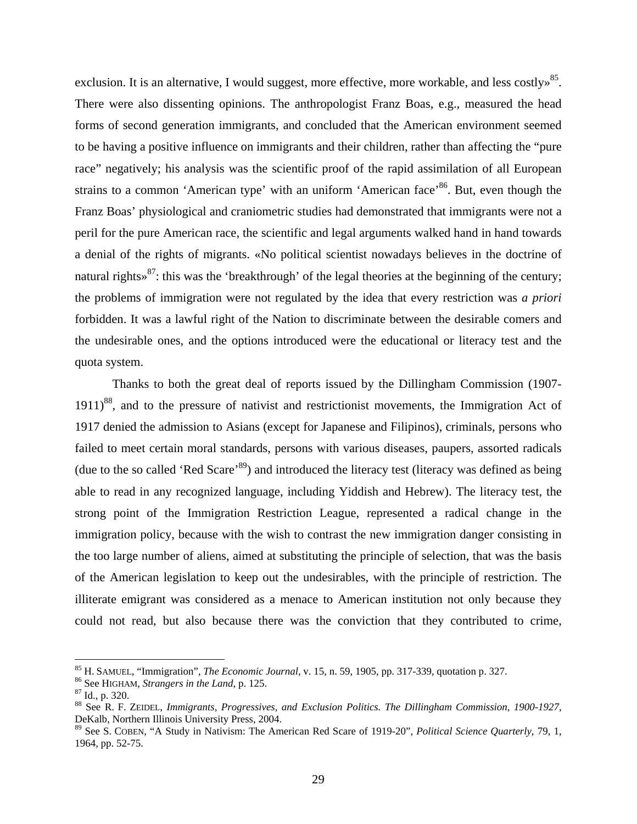exclusion. It is an alternative, I would suggest, more effective, more workable, and less costly $\frac{85}{5}$ . There were also dissenting opinions. The anthropologist Franz Boas, e.g., measured the head forms of second generation immigrants, and concluded that the American environment seemed to be having a positive influence on immigrants and their children, rather than affecting the "pure race" negatively; his analysis was the scientific proof of the rapid assimilation of all European strains to a common 'American type' with an uniform 'American face'<sup>86</sup>. But, even though the Franz Boas' physiological and craniometric studies had demonstrated that immigrants were not a peril for the pure American race, the scientific and legal arguments walked hand in hand towards a denial of the rights of migrants. «No political scientist nowadays believes in the doctrine of natural rights»<sup>87</sup>: this was the 'breakthrough' of the legal theories at the beginning of the century; the problems of immigration were not regulated by the idea that every restriction was *a priori* forbidden. It was a lawful right of the Nation to discriminate between the desirable comers and the undesirable ones, and the options introduced were the educational or literacy test and the quota system.

 Thanks to both the great deal of reports issued by the Dillingham Commission (1907- 1911)<sup>88</sup>, and to the pressure of nativist and restrictionist movements, the Immigration Act of 1917 denied the admission to Asians (except for Japanese and Filipinos), criminals, persons who failed to meet certain moral standards, persons with various diseases, paupers, assorted radicals (due to the so called 'Red Scare'<sup>89</sup>) and introduced the literacy test (literacy was defined as being able to read in any recognized language, including Yiddish and Hebrew). The literacy test, the strong point of the Immigration Restriction League, represented a radical change in the immigration policy, because with the wish to contrast the new immigration danger consisting in the too large number of aliens, aimed at substituting the principle of selection, that was the basis of the American legislation to keep out the undesirables, with the principle of restriction. The illiterate emigrant was considered as a menace to American institution not only because they could not read, but also because there was the conviction that they contributed to crime,

<u>.</u>

<sup>&</sup>lt;sup>85</sup> H. SAMUEL, "Immigration", *The Economic Journal*, v. 15, n. 59, 1905, pp. 317-339, quotation p. 327. <sup>86</sup> See HIGHAM, *Strangers in the Land*, p. 125. <sup>87</sup> Id., p. 320.

<sup>88</sup> See R. F. ZEIDEL, *Immigrants, Progressives, and Exclusion Politics. The Dillingham Commission, 1900-1927*, DeKalb, Northern Illinois University Press, 2004.

<sup>89</sup> See S. COBEN, "A Study in Nativism: The American Red Scare of 1919-20", *Political Science Quarterly*, 79, 1, 1964, pp. 52-75.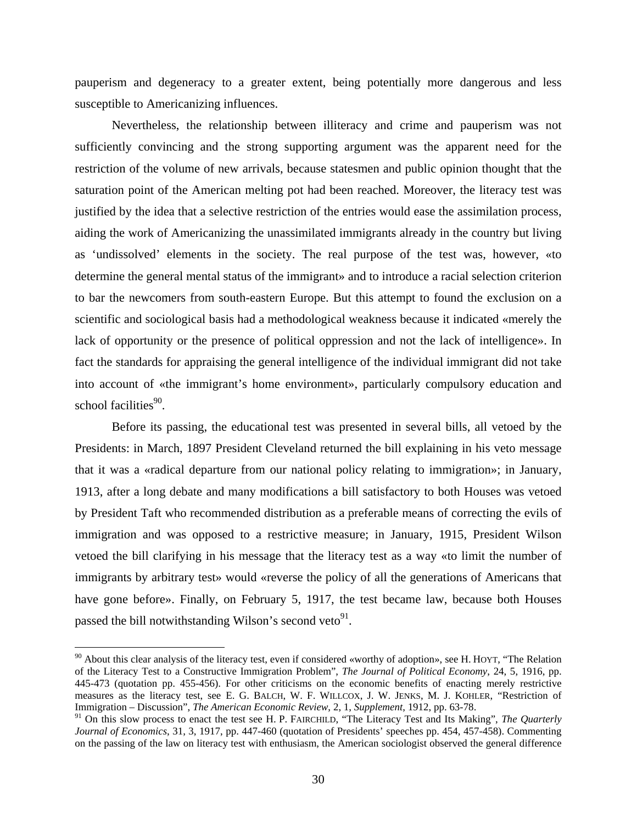pauperism and degeneracy to a greater extent, being potentially more dangerous and less susceptible to Americanizing influences.

Nevertheless, the relationship between illiteracy and crime and pauperism was not sufficiently convincing and the strong supporting argument was the apparent need for the restriction of the volume of new arrivals, because statesmen and public opinion thought that the saturation point of the American melting pot had been reached. Moreover, the literacy test was justified by the idea that a selective restriction of the entries would ease the assimilation process, aiding the work of Americanizing the unassimilated immigrants already in the country but living as 'undissolved' elements in the society. The real purpose of the test was, however, «to determine the general mental status of the immigrant» and to introduce a racial selection criterion to bar the newcomers from south-eastern Europe. But this attempt to found the exclusion on a scientific and sociological basis had a methodological weakness because it indicated «merely the lack of opportunity or the presence of political oppression and not the lack of intelligence». In fact the standards for appraising the general intelligence of the individual immigrant did not take into account of «the immigrant's home environment», particularly compulsory education and school facilities<sup>90</sup>.

Before its passing, the educational test was presented in several bills, all vetoed by the Presidents: in March, 1897 President Cleveland returned the bill explaining in his veto message that it was a «radical departure from our national policy relating to immigration»; in January, 1913, after a long debate and many modifications a bill satisfactory to both Houses was vetoed by President Taft who recommended distribution as a preferable means of correcting the evils of immigration and was opposed to a restrictive measure; in January, 1915, President Wilson vetoed the bill clarifying in his message that the literacy test as a way «to limit the number of immigrants by arbitrary test» would «reverse the policy of all the generations of Americans that have gone before». Finally, on February 5, 1917, the test became law, because both Houses passed the bill notwithstanding Wilson's second veto<sup>91</sup>.

<sup>&</sup>lt;sup>90</sup> About this clear analysis of the literacy test, even if considered «worthy of adoption», see H. HOYT, "The Relation of the Literacy Test to a Constructive Immigration Problem", *The Journal of Political Economy*, 24, 5, 1916, pp. 445-473 (quotation pp. 455-456). For other criticisms on the economic benefits of enacting merely restrictive measures as the literacy test, see E. G. BALCH, W. F. WILLCOX, J. W. JENKS, M. J. KOHLER, "Restriction of Immigration – Discussion", *The American Economic Review*, 2, 1, *Supplement*, 1912, pp. 63-78.

<sup>&</sup>lt;sup>91</sup> On this slow process to enact the test see H. P. FAIRCHILD, "The Literacy Test and Its Making", *The Quarterly Journal of Economics*, 31, 3, 1917, pp. 447-460 (quotation of Presidents' speeches pp. 454, 457-458). Commenting on the passing of the law on literacy test with enthusiasm, the American sociologist observed the general difference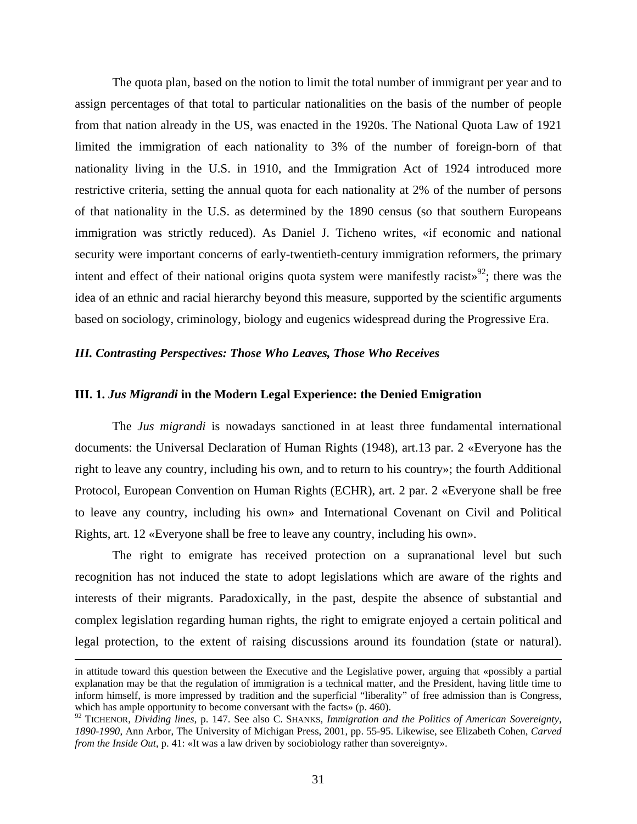The quota plan, based on the notion to limit the total number of immigrant per year and to assign percentages of that total to particular nationalities on the basis of the number of people from that nation already in the US, was enacted in the 1920s. The National Quota Law of 1921 limited the immigration of each nationality to 3% of the number of foreign-born of that nationality living in the U.S. in 1910, and the Immigration Act of 1924 introduced more restrictive criteria, setting the annual quota for each nationality at 2% of the number of persons of that nationality in the U.S. as determined by the 1890 census (so that southern Europeans immigration was strictly reduced). As Daniel J. Ticheno writes, «if economic and national security were important concerns of early-twentieth-century immigration reformers, the primary intent and effect of their national origins quota system were manifestly racists<sup>92</sup>; there was the idea of an ethnic and racial hierarchy beyond this measure, supported by the scientific arguments based on sociology, criminology, biology and eugenics widespread during the Progressive Era.

### *III. Contrasting Perspectives: Those Who Leaves, Those Who Receives*

### **III. 1.** *Jus Migrandi* **in the Modern Legal Experience: the Denied Emigration**

 The *Jus migrandi* is nowadays sanctioned in at least three fundamental international documents: the Universal Declaration of Human Rights (1948), art.13 par. 2 «Everyone has the right to leave any country, including his own, and to return to his country»; the fourth Additional Protocol, European Convention on Human Rights (ECHR), art. 2 par. 2 «Everyone shall be free to leave any country, including his own» and International Covenant on Civil and Political Rights, art. 12 «Everyone shall be free to leave any country, including his own».

 The right to emigrate has received protection on a supranational level but such recognition has not induced the state to adopt legislations which are aware of the rights and interests of their migrants. Paradoxically, in the past, despite the absence of substantial and complex legislation regarding human rights, the right to emigrate enjoyed a certain political and legal protection, to the extent of raising discussions around its foundation (state or natural).

in attitude toward this question between the Executive and the Legislative power, arguing that «possibly a partial explanation may be that the regulation of immigration is a technical matter, and the President, having little time to inform himself, is more impressed by tradition and the superficial "liberality" of free admission than is Congress, which has ample opportunity to become conversant with the facts» (p. 460).

<sup>92</sup> TICHENOR, *Dividing lines*, p. 147. See also C. SHANKS, *Immigration and the Politics of American Sovereignty, 1890-1990*, Ann Arbor, The University of Michigan Press, 2001, pp. 55-95. Likewise, see Elizabeth Cohen, *Carved from the Inside Out*, p. 41: «It was a law driven by sociobiology rather than sovereignty».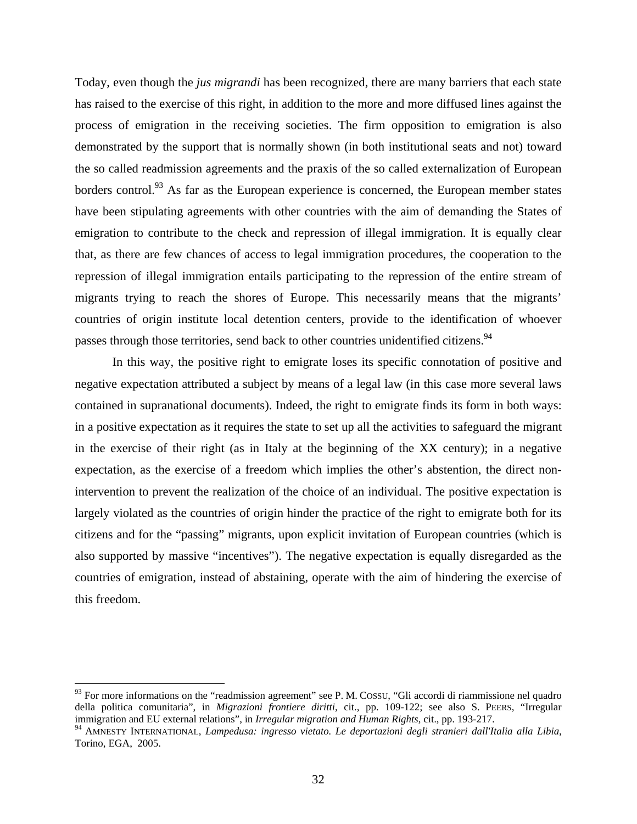Today, even though the *jus migrandi* has been recognized, there are many barriers that each state has raised to the exercise of this right, in addition to the more and more diffused lines against the process of emigration in the receiving societies. The firm opposition to emigration is also demonstrated by the support that is normally shown (in both institutional seats and not) toward the so called readmission agreements and the praxis of the so called externalization of European borders control.<sup>93</sup> As far as the European experience is concerned, the European member states have been stipulating agreements with other countries with the aim of demanding the States of emigration to contribute to the check and repression of illegal immigration. It is equally clear that, as there are few chances of access to legal immigration procedures, the cooperation to the repression of illegal immigration entails participating to the repression of the entire stream of migrants trying to reach the shores of Europe. This necessarily means that the migrants' countries of origin institute local detention centers, provide to the identification of whoever passes through those territories, send back to other countries unidentified citizens.<sup>94</sup>

 In this way, the positive right to emigrate loses its specific connotation of positive and negative expectation attributed a subject by means of a legal law (in this case more several laws contained in supranational documents). Indeed, the right to emigrate finds its form in both ways: in a positive expectation as it requires the state to set up all the activities to safeguard the migrant in the exercise of their right (as in Italy at the beginning of the XX century); in a negative expectation, as the exercise of a freedom which implies the other's abstention, the direct nonintervention to prevent the realization of the choice of an individual. The positive expectation is largely violated as the countries of origin hinder the practice of the right to emigrate both for its citizens and for the "passing" migrants, upon explicit invitation of European countries (which is also supported by massive "incentives"). The negative expectation is equally disregarded as the countries of emigration, instead of abstaining, operate with the aim of hindering the exercise of this freedom.

 $93$  For more informations on the "readmission agreement" see P. M. COSSU, "Gli accordi di riammissione nel quadro della politica comunitaria", in *Migrazioni frontiere diritti*, cit., pp. 109-122; see also S. PEERS, "Irregular immigration and EU external relations", in *Irregular migration and Human Rights,* cit., pp. 193-217.

<sup>94</sup> AMNESTY INTERNATIONAL, *Lampedusa: ingresso vietato. Le deportazioni degli stranieri dall'Italia alla Libia*, Torino, EGA, 2005.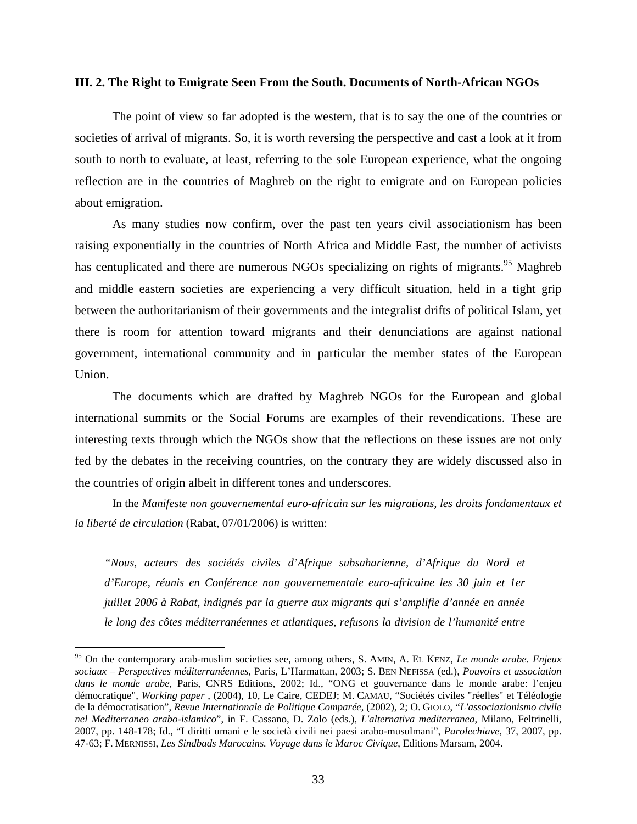### **III. 2. The Right to Emigrate Seen From the South. Documents of North-African NGOs**

 The point of view so far adopted is the western, that is to say the one of the countries or societies of arrival of migrants. So, it is worth reversing the perspective and cast a look at it from south to north to evaluate, at least, referring to the sole European experience, what the ongoing reflection are in the countries of Maghreb on the right to emigrate and on European policies about emigration.

 As many studies now confirm, over the past ten years civil associationism has been raising exponentially in the countries of North Africa and Middle East, the number of activists has centuplicated and there are numerous NGOs specializing on rights of migrants.<sup>95</sup> Maghreb and middle eastern societies are experiencing a very difficult situation, held in a tight grip between the authoritarianism of their governments and the integralist drifts of political Islam, yet there is room for attention toward migrants and their denunciations are against national government, international community and in particular the member states of the European Union.

 The documents which are drafted by Maghreb NGOs for the European and global international summits or the Social Forums are examples of their revendications. These are interesting texts through which the NGOs show that the reflections on these issues are not only fed by the debates in the receiving countries, on the contrary they are widely discussed also in the countries of origin albeit in different tones and underscores.

 In the *Manifeste non gouvernemental euro-africain sur les migrations, les droits fondamentaux et la liberté de circulation* (Rabat, 07/01/2006) is written:

*"Nous, acteurs des sociétés civiles d'Afrique subsaharienne, d'Afrique du Nord et d'Europe, réunis en Conférence non gouvernementale euro-africaine les 30 juin et 1er juillet 2006 à Rabat, indignés par la guerre aux migrants qui s'amplifie d'année en année le long des côtes méditerranéennes et atlantiques, refusons la division de l'humanité entre* 

<sup>95</sup> On the contemporary arab-muslim societies see, among others, S. AMIN, A. EL KENZ, *Le monde arabe. Enjeux sociaux – Perspectives méditerranéennes*, Paris, L'Harmattan, 2003; S. BEN NEFISSA (ed.), *Pouvoirs et association dans le monde arabe*, Paris, CNRS Editions, 2002; Id., "ONG et gouvernance dans le monde arabe: l'enjeu démocratique", *Working paper* , (2004), 10, Le Caire, CEDEJ; M. CAMAU, "Sociétés civiles "réelles" et Téléologie de la démocratisation", *Revue Internationale de Politique Comparée*, (2002), 2; O. GIOLO, "*L'associazionismo civile nel Mediterraneo arabo-islamico*", in F. Cassano, D. Zolo (eds.), *L'alternativa mediterranea*, Milano, Feltrinelli, 2007, pp. 148-178; Id., "I diritti umani e le società civili nei paesi arabo-musulmani", *Parolechiave*, 37, 2007, pp. 47-63; F. MERNISSI, *Les Sindbads Marocains. Voyage dans le Maroc Civique*, Editions Marsam, 2004.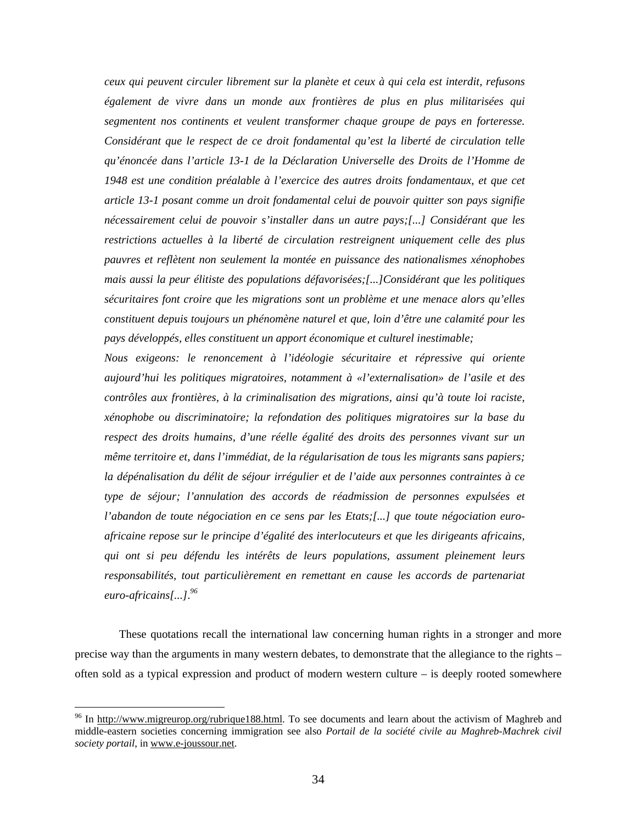*ceux qui peuvent circuler librement sur la planète et ceux à qui cela est interdit, refusons également de vivre dans un monde aux frontières de plus en plus militarisées qui segmentent nos continents et veulent transformer chaque groupe de pays en forteresse. Considérant que le respect de ce droit fondamental qu'est la liberté de circulation telle qu'énoncée dans l'article 13-1 de la Déclaration Universelle des Droits de l'Homme de 1948 est une condition préalable à l'exercice des autres droits fondamentaux, et que cet article 13-1 posant comme un droit fondamental celui de pouvoir quitter son pays signifie nécessairement celui de pouvoir s'installer dans un autre pays;[...] Considérant que les restrictions actuelles à la liberté de circulation restreignent uniquement celle des plus pauvres et reflètent non seulement la montée en puissance des nationalismes xénophobes mais aussi la peur élitiste des populations défavorisées;[...]Considérant que les politiques sécuritaires font croire que les migrations sont un problème et une menace alors qu'elles constituent depuis toujours un phénomène naturel et que, loin d'être une calamité pour les pays développés, elles constituent un apport économique et culturel inestimable;* 

*Nous exigeons: le renoncement à l'idéologie sécuritaire et répressive qui oriente aujourd'hui les politiques migratoires, notamment à «l'externalisation» de l'asile et des contrôles aux frontières, à la criminalisation des migrations, ainsi qu'à toute loi raciste, xénophobe ou discriminatoire; la refondation des politiques migratoires sur la base du respect des droits humains, d'une réelle égalité des droits des personnes vivant sur un même territoire et, dans l'immédiat, de la régularisation de tous les migrants sans papiers; la dépénalisation du délit de séjour irrégulier et de l'aide aux personnes contraintes à ce type de séjour; l'annulation des accords de réadmission de personnes expulsées et l'abandon de toute négociation en ce sens par les Etats;[...] que toute négociation euroafricaine repose sur le principe d'égalité des interlocuteurs et que les dirigeants africains, qui ont si peu défendu les intérêts de leurs populations, assument pleinement leurs responsabilités, tout particulièrement en remettant en cause les accords de partenariat euro-africains[...]*. *96*

These quotations recall the international law concerning human rights in a stronger and more precise way than the arguments in many western debates, to demonstrate that the allegiance to the rights – often sold as a typical expression and product of modern western culture – is deeply rooted somewhere

<sup>&</sup>lt;sup>96</sup> In http://www.migreurop.org/rubrique188.html. To see documents and learn about the activism of Maghreb and middle-eastern societies concerning immigration see also *Portail de la société civile au Maghreb-Machrek civil society portail*, in www.e-joussour.net.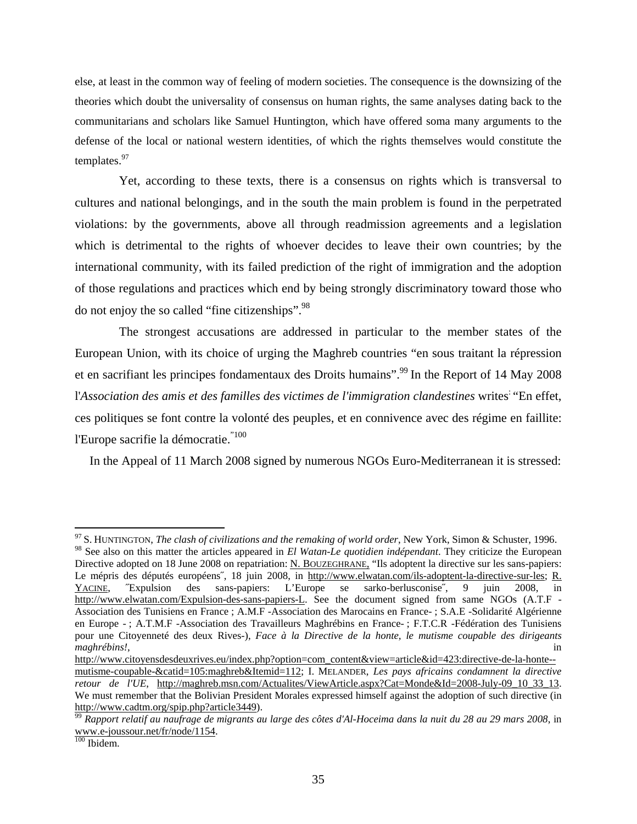else, at least in the common way of feeling of modern societies. The consequence is the downsizing of the theories which doubt the universality of consensus on human rights, the same analyses dating back to the communitarians and scholars like Samuel Huntington, which have offered soma many arguments to the defense of the local or national western identities, of which the rights themselves would constitute the templates.<sup>97</sup>

Yet, according to these texts, there is a consensus on rights which is transversal to cultures and national belongings, and in the south the main problem is found in the perpetrated violations: by the governments, above all through readmission agreements and a legislation which is detrimental to the rights of whoever decides to leave their own countries; by the international community, with its failed prediction of the right of immigration and the adoption of those regulations and practices which end by being strongly discriminatory toward those who do not enjoy the so called "fine citizenships".<sup>98</sup>

The strongest accusations are addressed in particular to the member states of the European Union, with its choice of urging the Maghreb countries "en sous traitant la répression et en sacrifiant les principes fondamentaux des Droits humains".<sup>99</sup> In the Report of 14 May 2008 l'Association des amis et des familles des victimes de l'immigration clandestines writes<sup>: "</sup>En effet, ces politiques se font contre la volonté des peuples, et en connivence avec des régime en faillite: l'Europe sacrifie la démocratie."100

In the Appeal of 11 March 2008 signed by numerous NGOs Euro-Mediterranean it is stressed:

<sup>97</sup> S. HUNTINGTON, *The clash of civilizations and the remaking of world order*, New York, Simon & Schuster, 1996. 98 See also on this matter the articles appeared in *El Watan-Le quotidien indépendant*. They criticize the European Directive adopted on 18 June 2008 on repatriation: N. BOUZEGHRANE, "Ils adoptent la directive sur les sans-papiers: Le mépris des députés européens", 18 juin 2008, in http://www.elwatan.com/ils-adoptent-la-directive-sur-les; R. YACINE, <sup>*"*</sup>Expulsion des sans-papiers: L'Europe se sarko-berlusconise", 9 juin 2008, in http://www.elwatan.com/Expulsion-des-sans-papiers-L. See the document signed from same NGOs (A.T.F - Association des Tunisiens en France ; A.M.F -Association des Marocains en France- ; S.A.E -Solidarité Algérienne en Europe - ; A.T.M.F -Association des Travailleurs Maghrébins en France- ; F.T.C.R -Fédération des Tunisiens pour une Citoyenneté des deux Rives-), *Face à la Directive de la honte, le mutisme coupable des dirigeants maghrébins!*, in

http://www.citoyensdesdeuxrives.eu/index.php?option=com\_content&view=article&id=423:directive-de-la-honte- mutisme-coupable-&catid=105:maghreb&Itemid=112; I. MELANDER, *Les pays africains condamnent la directive retour de l'UE*, http://maghreb.msn.com/Actualites/ViewArticle.aspx?Cat=Monde&Id=2008-July-09\_10\_33\_13. We must remember that the Bolivian President Morales expressed himself against the adoption of such directive (in http://www.cadtm.org/spip.php?article3449).<br><sup>99</sup> Rapport relatif au naufrage de migrants au large des côtes d'Al-Hoceima dans la nuit du 28 au 29 mars 2008, in

www.e-joussour.net/fr/node/1154. 100 Ibidem.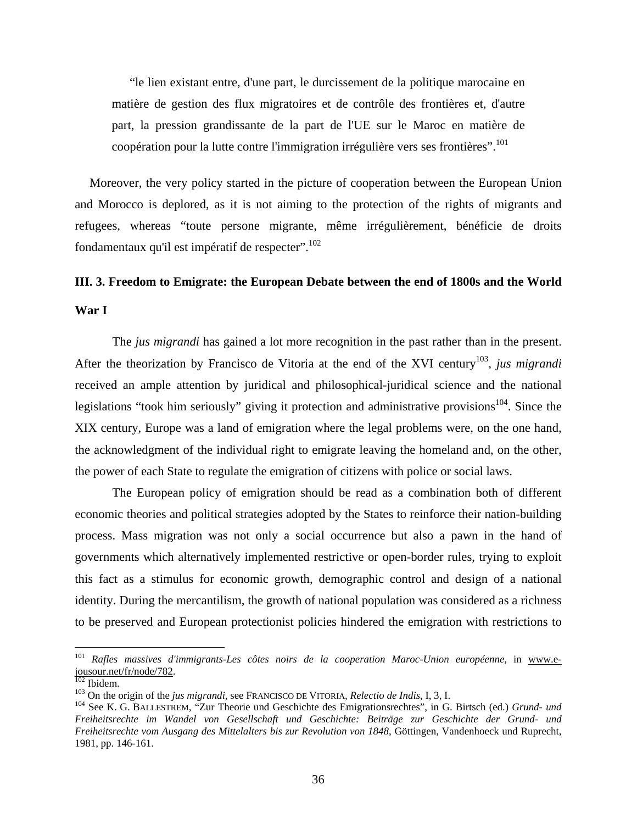"le lien existant entre, d'une part, le durcissement de la politique marocaine en matière de gestion des flux migratoires et de contrôle des frontières et, d'autre part, la pression grandissante de la part de l'UE sur le Maroc en matière de coopération pour la lutte contre l'immigration irrégulière vers ses frontières".<sup>101</sup>

Moreover, the very policy started in the picture of cooperation between the European Union and Morocco is deplored, as it is not aiming to the protection of the rights of migrants and refugees, whereas "toute persone migrante, même irrégulièrement, bénéficie de droits fondamentaux qu'il est impératif de respecter".<sup>102</sup>

## **III. 3. Freedom to Emigrate: the European Debate between the end of 1800s and the World War I**

 The *jus migrandi* has gained a lot more recognition in the past rather than in the present. After the theorization by Francisco de Vitoria at the end of the XVI century<sup>103</sup>, *jus migrandi* received an ample attention by juridical and philosophical-juridical science and the national legislations "took him seriously" giving it protection and administrative provisions $104$ . Since the XIX century, Europe was a land of emigration where the legal problems were, on the one hand, the acknowledgment of the individual right to emigrate leaving the homeland and, on the other, the power of each State to regulate the emigration of citizens with police or social laws.

 The European policy of emigration should be read as a combination both of different economic theories and political strategies adopted by the States to reinforce their nation-building process. Mass migration was not only a social occurrence but also a pawn in the hand of governments which alternatively implemented restrictive or open-border rules, trying to exploit this fact as a stimulus for economic growth, demographic control and design of a national identity. During the mercantilism, the growth of national population was considered as a richness to be preserved and European protectionist policies hindered the emigration with restrictions to

<sup>101</sup> *Rafles massives d'immigrants-Les côtes noirs de la cooperation Maroc-Union européenne*, in www.e- $\frac{\text{jousour.net/fr}/\text{node}/782.}{\text{102}}$  Ibidem.<br>  $\frac{103}{102}$  On the origin of the *jus migrandi*, see FRANCISCO DE VITORIA, *Relectio de Indis*, I, 3, I.<br>  $\frac{104}{104}$  See K. G. BALLESTREM, "Zur Theorie und Geschichte des Emig

*Freiheitsrechte im Wandel von Gesellschaft und Geschichte: Beiträge zur Geschichte der Grund- und Freiheitsrechte vom Ausgang des Mittelalters bis zur Revolution von 1848*, Göttingen, Vandenhoeck und Ruprecht, 1981, pp. 146-161.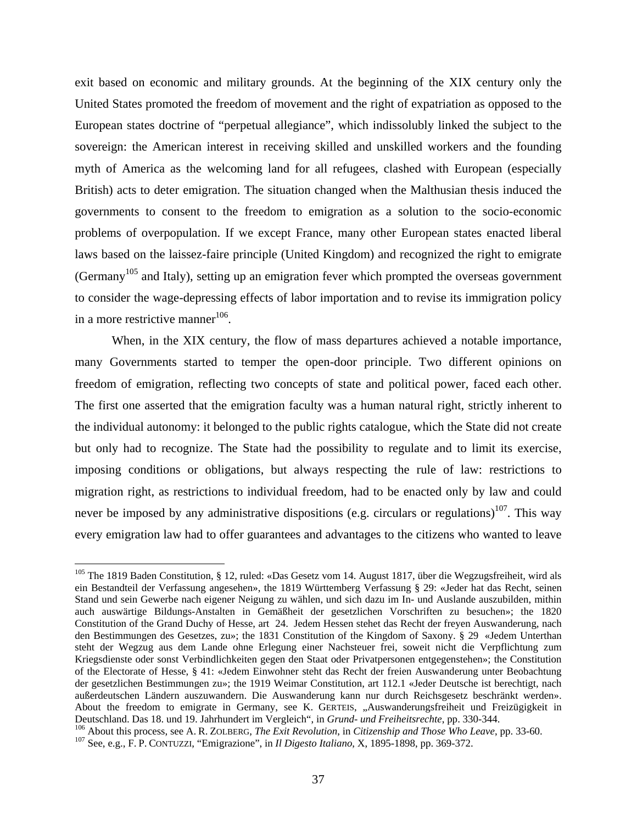exit based on economic and military grounds. At the beginning of the XIX century only the United States promoted the freedom of movement and the right of expatriation as opposed to the European states doctrine of "perpetual allegiance", which indissolubly linked the subject to the sovereign: the American interest in receiving skilled and unskilled workers and the founding myth of America as the welcoming land for all refugees, clashed with European (especially British) acts to deter emigration. The situation changed when the Malthusian thesis induced the governments to consent to the freedom to emigration as a solution to the socio-economic problems of overpopulation. If we except France, many other European states enacted liberal laws based on the laissez-faire principle (United Kingdom) and recognized the right to emigrate (Germany<sup>105</sup> and Italy), setting up an emigration fever which prompted the overseas government to consider the wage-depressing effects of labor importation and to revise its immigration policy in a more restrictive manner $106$ .

When, in the XIX century, the flow of mass departures achieved a notable importance, many Governments started to temper the open-door principle. Two different opinions on freedom of emigration, reflecting two concepts of state and political power, faced each other. The first one asserted that the emigration faculty was a human natural right, strictly inherent to the individual autonomy: it belonged to the public rights catalogue, which the State did not create but only had to recognize. The State had the possibility to regulate and to limit its exercise, imposing conditions or obligations, but always respecting the rule of law: restrictions to migration right, as restrictions to individual freedom, had to be enacted only by law and could never be imposed by any administrative dispositions (e.g. circulars or regulations)<sup>107</sup>. This way every emigration law had to offer guarantees and advantages to the citizens who wanted to leave

<sup>&</sup>lt;sup>105</sup> The 1819 Baden Constitution, § 12, ruled: «Das Gesetz vom 14. August 1817, über die Wegzugsfreiheit, wird als ein Bestandteil der Verfassung angesehen», the 1819 Württemberg Verfassung § 29: «Jeder hat das Recht, seinen Stand und sein Gewerbe nach eigener Neigung zu wählen, und sich dazu im In- und Auslande auszubilden, mithin auch auswärtige Bildungs-Anstalten in Gemäßheit der gesetzlichen Vorschriften zu besuchen»; the 1820 Constitution of the Grand Duchy of Hesse, art 24. Jedem Hessen stehet das Recht der freyen Auswanderung, nach den Bestimmungen des Gesetzes, zu»; the 1831 Constitution of the Kingdom of Saxony. § 29 «Jedem Unterthan steht der Wegzug aus dem Lande ohne Erlegung einer Nachsteuer frei, soweit nicht die Verpflichtung zum Kriegsdienste oder sonst Verbindlichkeiten gegen den Staat oder Privatpersonen entgegenstehen»; the Constitution of the Electorate of Hesse, § 41: «Jedem Einwohner steht das Recht der freien Auswanderung unter Beobachtung der gesetzlichen Bestimmungen zu»; the 1919 Weimar Constitution, art 112.1 «Jeder Deutsche ist berechtigt, nach außerdeutschen Ländern auszuwandern. Die Auswanderung kann nur durch Reichsgesetz beschränkt werden». About the freedom to emigrate in Germany, see K. GERTEIS, "Auswanderungsfreiheit und Freizügigkeit in Deutschland. Das 18. und 19. Jahrhundert im Vergleich", in *Grund- und Freiheitsrechte*, pp. 330-344.

<sup>&</sup>lt;sup>106</sup> About this process, see A. R. ZOLBERG, *The Exit Revolution*, in *Citizenship and Those Who Leave*, pp. 33-60.<br><sup>107</sup> See, e.g., F. P. CONTUZZI, "Emigrazione", in *Il Digesto Italiano*, X, 1895-1898, pp. 369-372.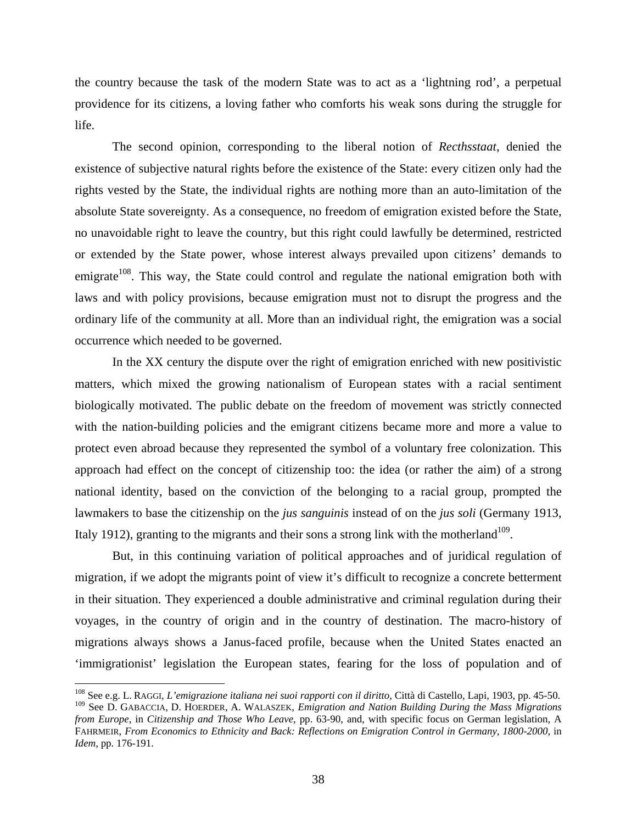the country because the task of the modern State was to act as a 'lightning rod', a perpetual providence for its citizens, a loving father who comforts his weak sons during the struggle for life.

 The second opinion, corresponding to the liberal notion of *Recthsstaat*, denied the existence of subjective natural rights before the existence of the State: every citizen only had the rights vested by the State, the individual rights are nothing more than an auto-limitation of the absolute State sovereignty. As a consequence, no freedom of emigration existed before the State, no unavoidable right to leave the country, but this right could lawfully be determined, restricted or extended by the State power, whose interest always prevailed upon citizens' demands to emigrate<sup>108</sup>. This way, the State could control and regulate the national emigration both with laws and with policy provisions, because emigration must not to disrupt the progress and the ordinary life of the community at all. More than an individual right, the emigration was a social occurrence which needed to be governed.

In the XX century the dispute over the right of emigration enriched with new positivistic matters, which mixed the growing nationalism of European states with a racial sentiment biologically motivated. The public debate on the freedom of movement was strictly connected with the nation-building policies and the emigrant citizens became more and more a value to protect even abroad because they represented the symbol of a voluntary free colonization. This approach had effect on the concept of citizenship too: the idea (or rather the aim) of a strong national identity, based on the conviction of the belonging to a racial group, prompted the lawmakers to base the citizenship on the *jus sanguinis* instead of on the *jus soli* (Germany 1913, Italy 1912), granting to the migrants and their sons a strong link with the motherland<sup>109</sup>.

But, in this continuing variation of political approaches and of juridical regulation of migration, if we adopt the migrants point of view it's difficult to recognize a concrete betterment in their situation. They experienced a double administrative and criminal regulation during their voyages, in the country of origin and in the country of destination. The macro-history of migrations always shows a Janus-faced profile, because when the United States enacted an 'immigrationist' legislation the European states, fearing for the loss of population and of

1

<sup>108</sup> See e.g. L. RAGGI, *L'emigrazione italiana nei suoi rapporti con il diritto*, Città di Castello, Lapi, 1903, pp. 45-50. 109 See D. GABACCIA, D. HOERDER, A. WALASZEK, *Emigration and Nation Building During the Mass Migrations from Europe*, in *Citizenship and Those Who Leave*, pp. 63-90, and, with specific focus on German legislation, A FAHRMEIR, *From Economics to Ethnicity and Back: Reflections on Emigration Control in Germany, 1800-2000*, in *Idem*, pp. 176-191.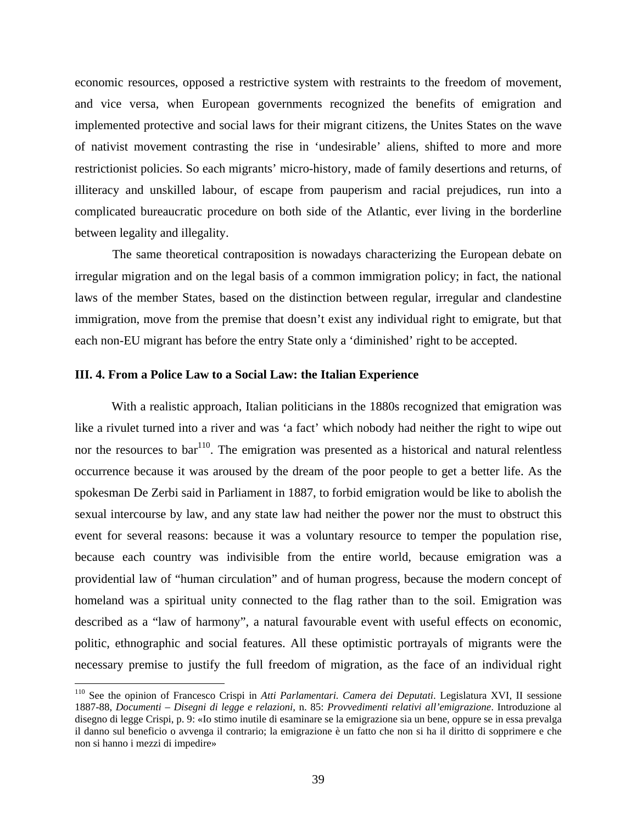economic resources, opposed a restrictive system with restraints to the freedom of movement, and vice versa, when European governments recognized the benefits of emigration and implemented protective and social laws for their migrant citizens, the Unites States on the wave of nativist movement contrasting the rise in 'undesirable' aliens, shifted to more and more restrictionist policies. So each migrants' micro-history, made of family desertions and returns, of illiteracy and unskilled labour, of escape from pauperism and racial prejudices, run into a complicated bureaucratic procedure on both side of the Atlantic, ever living in the borderline between legality and illegality.

 The same theoretical contraposition is nowadays characterizing the European debate on irregular migration and on the legal basis of a common immigration policy; in fact, the national laws of the member States, based on the distinction between regular, irregular and clandestine immigration, move from the premise that doesn't exist any individual right to emigrate, but that each non-EU migrant has before the entry State only a 'diminished' right to be accepted.

### **III. 4. From a Police Law to a Social Law: the Italian Experience**

1

With a realistic approach, Italian politicians in the 1880s recognized that emigration was like a rivulet turned into a river and was 'a fact' which nobody had neither the right to wipe out nor the resources to  $bar<sup>110</sup>$ . The emigration was presented as a historical and natural relentless occurrence because it was aroused by the dream of the poor people to get a better life. As the spokesman De Zerbi said in Parliament in 1887, to forbid emigration would be like to abolish the sexual intercourse by law, and any state law had neither the power nor the must to obstruct this event for several reasons: because it was a voluntary resource to temper the population rise, because each country was indivisible from the entire world, because emigration was a providential law of "human circulation" and of human progress, because the modern concept of homeland was a spiritual unity connected to the flag rather than to the soil. Emigration was described as a "law of harmony", a natural favourable event with useful effects on economic, politic, ethnographic and social features. All these optimistic portrayals of migrants were the necessary premise to justify the full freedom of migration, as the face of an individual right

<sup>110</sup> See the opinion of Francesco Crispi in *Atti Parlamentari. Camera dei Deputati*. Legislatura XVI, II sessione 1887-88, *Documenti – Disegni di legge e relazioni*, n. 85: *Provvedimenti relativi all'emigrazione*. Introduzione al disegno di legge Crispi, p. 9: «Io stimo inutile di esaminare se la emigrazione sia un bene, oppure se in essa prevalga il danno sul beneficio o avvenga il contrario; la emigrazione è un fatto che non si ha il diritto di sopprimere e che non si hanno i mezzi di impedire»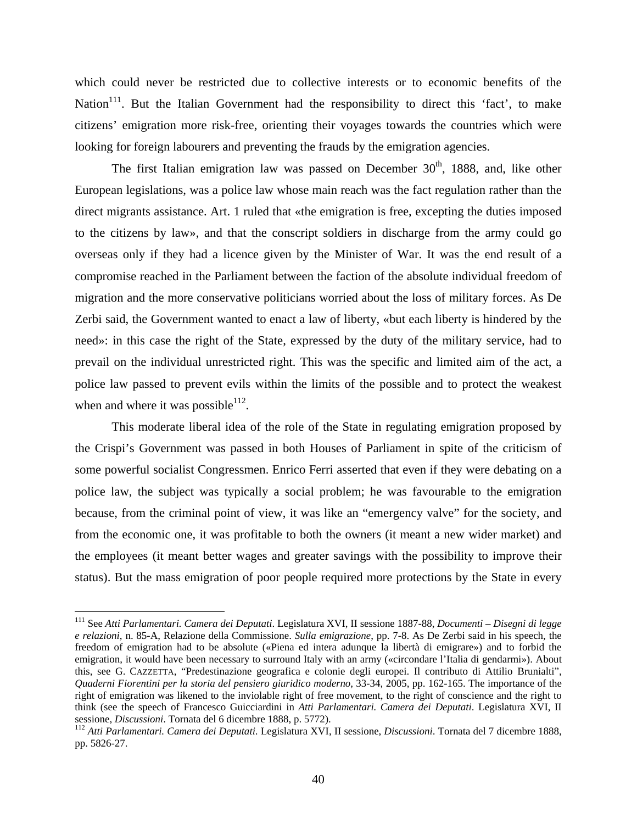which could never be restricted due to collective interests or to economic benefits of the Nation<sup>111</sup>. But the Italian Government had the responsibility to direct this 'fact', to make citizens' emigration more risk-free, orienting their voyages towards the countries which were looking for foreign labourers and preventing the frauds by the emigration agencies.

The first Italian emigration law was passed on December  $30<sup>th</sup>$ , 1888, and, like other European legislations, was a police law whose main reach was the fact regulation rather than the direct migrants assistance. Art. 1 ruled that «the emigration is free, excepting the duties imposed to the citizens by law», and that the conscript soldiers in discharge from the army could go overseas only if they had a licence given by the Minister of War. It was the end result of a compromise reached in the Parliament between the faction of the absolute individual freedom of migration and the more conservative politicians worried about the loss of military forces. As De Zerbi said, the Government wanted to enact a law of liberty, «but each liberty is hindered by the need»: in this case the right of the State, expressed by the duty of the military service, had to prevail on the individual unrestricted right. This was the specific and limited aim of the act, a police law passed to prevent evils within the limits of the possible and to protect the weakest when and where it was possible $112$ .

This moderate liberal idea of the role of the State in regulating emigration proposed by the Crispi's Government was passed in both Houses of Parliament in spite of the criticism of some powerful socialist Congressmen. Enrico Ferri asserted that even if they were debating on a police law, the subject was typically a social problem; he was favourable to the emigration because, from the criminal point of view, it was like an "emergency valve" for the society, and from the economic one, it was profitable to both the owners (it meant a new wider market) and the employees (it meant better wages and greater savings with the possibility to improve their status). But the mass emigration of poor people required more protections by the State in every

<sup>111</sup> See *Atti Parlamentari. Camera dei Deputati*. Legislatura XVI, II sessione 1887-88, *Documenti – Disegni di legge e relazioni*, n. 85-A, Relazione della Commissione. *Sulla emigrazione*, pp. 7-8. As De Zerbi said in his speech, the freedom of emigration had to be absolute («Piena ed intera adunque la libertà di emigrare») and to forbid the emigration, it would have been necessary to surround Italy with an army («circondare l'Italia di gendarmi»). About this, see G. CAZZETTA, "Predestinazione geografica e colonie degli europei. Il contributo di Attilio Brunialti", *Quaderni Fiorentini per la storia del pensiero giuridico moderno*, 33-34, 2005, pp. 162-165. The importance of the right of emigration was likened to the inviolable right of free movement, to the right of conscience and the right to think (see the speech of Francesco Guicciardini in *Atti Parlamentari. Camera dei Deputati*. Legislatura XVI, II sessione, *Discussioni*. Tornata del 6 dicembre 1888, p. 5772).<br><sup>112</sup> Atti Parlamentari. Camera dei Deputati. Legislatura XVI, II sessione, *Discussioni*. Tornata del 7 dicembre 1888,

pp. 5826-27.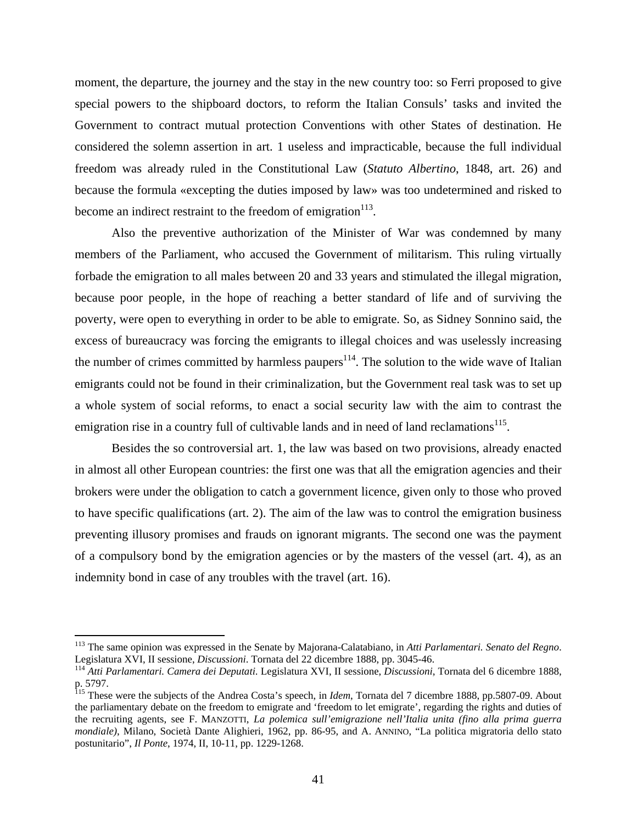moment, the departure, the journey and the stay in the new country too: so Ferri proposed to give special powers to the shipboard doctors, to reform the Italian Consuls' tasks and invited the Government to contract mutual protection Conventions with other States of destination. He considered the solemn assertion in art. 1 useless and impracticable, because the full individual freedom was already ruled in the Constitutional Law (*Statuto Albertino*, 1848, art. 26) and because the formula «excepting the duties imposed by law» was too undetermined and risked to become an indirect restraint to the freedom of emigration<sup>113</sup>.

Also the preventive authorization of the Minister of War was condemned by many members of the Parliament, who accused the Government of militarism. This ruling virtually forbade the emigration to all males between 20 and 33 years and stimulated the illegal migration, because poor people, in the hope of reaching a better standard of life and of surviving the poverty, were open to everything in order to be able to emigrate. So, as Sidney Sonnino said, the excess of bureaucracy was forcing the emigrants to illegal choices and was uselessly increasing the number of crimes committed by harmless paupers $114$ . The solution to the wide wave of Italian emigrants could not be found in their criminalization, but the Government real task was to set up a whole system of social reforms, to enact a social security law with the aim to contrast the emigration rise in a country full of cultivable lands and in need of land reclamations<sup>115</sup>.

Besides the so controversial art. 1, the law was based on two provisions, already enacted in almost all other European countries: the first one was that all the emigration agencies and their brokers were under the obligation to catch a government licence, given only to those who proved to have specific qualifications (art. 2). The aim of the law was to control the emigration business preventing illusory promises and frauds on ignorant migrants. The second one was the payment of a compulsory bond by the emigration agencies or by the masters of the vessel (art. 4), as an indemnity bond in case of any troubles with the travel (art. 16).

<sup>&</sup>lt;sup>113</sup> The same opinion was expressed in the Senate by Majorana-Calatabiano, in *Atti Parlamentari. Senato del Regno*.<br>Legislatura XVI, II sessione, *Discussioni*. Tornata del 22 dicembre 1888, pp. 3045-46.

Legislatura XVI, II sessione, *Discussioni*. Tornata del 22 dicembre 1888, pp. 3045-46. 114 *Atti Parlamentari. Camera dei Deputati*. Legislatura XVI, II sessione, *Discussioni*, Tornata del 6 dicembre 1888, p. 5797.

<sup>&</sup>lt;sup>115</sup> These were the subjects of the Andrea Costa's speech, in *Idem*, Tornata del 7 dicembre 1888, pp.5807-09. About the parliamentary debate on the freedom to emigrate and 'freedom to let emigrate', regarding the rights and duties of the recruiting agents, see F. MANZOTTI, *La polemica sull'emigrazione nell'Italia unita (fino alla prima guerra mondiale)*, Milano, Società Dante Alighieri, 1962, pp. 86-95, and A. ANNINO, "La politica migratoria dello stato postunitario", *Il Ponte*, 1974, II, 10-11, pp. 1229-1268.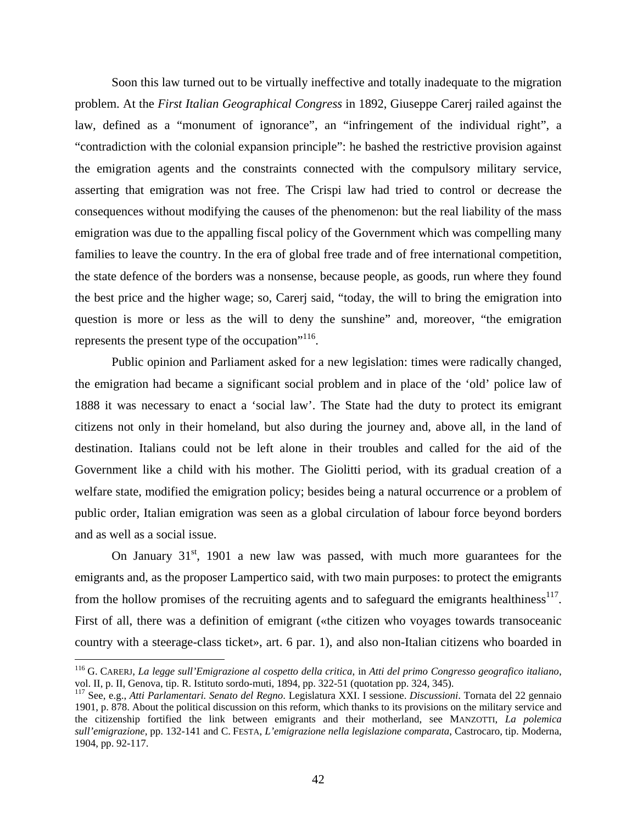Soon this law turned out to be virtually ineffective and totally inadequate to the migration problem. At the *First Italian Geographical Congress* in 1892, Giuseppe Carerj railed against the law, defined as a "monument of ignorance", an "infringement of the individual right", a "contradiction with the colonial expansion principle": he bashed the restrictive provision against the emigration agents and the constraints connected with the compulsory military service, asserting that emigration was not free. The Crispi law had tried to control or decrease the consequences without modifying the causes of the phenomenon: but the real liability of the mass emigration was due to the appalling fiscal policy of the Government which was compelling many families to leave the country. In the era of global free trade and of free international competition, the state defence of the borders was a nonsense, because people, as goods, run where they found the best price and the higher wage; so, Carerj said, "today, the will to bring the emigration into question is more or less as the will to deny the sunshine" and, moreover, "the emigration represents the present type of the occupation"<sup>116</sup>.

Public opinion and Parliament asked for a new legislation: times were radically changed, the emigration had became a significant social problem and in place of the 'old' police law of 1888 it was necessary to enact a 'social law'. The State had the duty to protect its emigrant citizens not only in their homeland, but also during the journey and, above all, in the land of destination. Italians could not be left alone in their troubles and called for the aid of the Government like a child with his mother. The Giolitti period, with its gradual creation of a welfare state, modified the emigration policy; besides being a natural occurrence or a problem of public order, Italian emigration was seen as a global circulation of labour force beyond borders and as well as a social issue.

On January  $31<sup>st</sup>$ , 1901 a new law was passed, with much more guarantees for the emigrants and, as the proposer Lampertico said, with two main purposes: to protect the emigrants from the hollow promises of the recruiting agents and to safeguard the emigrants healthiness<sup>117</sup>. First of all, there was a definition of emigrant («the citizen who voyages towards transoceanic country with a steerage-class ticket», art. 6 par. 1), and also non-Italian citizens who boarded in

<u>.</u>

<sup>116</sup> G. CARERJ, *La legge sull'Emigrazione al cospetto della critica*, in *Atti del primo Congresso geografico italiano*, vol. II, p. II, Genova, tip. R. Istituto sordo-muti, 1894, pp. 322-51 (quotation pp. 324, 345).<br><sup>117</sup> See, e.g., Atti Parlamentari. Senato del Regno. Legislatura XXI. I sessione. Discussioni. Tornata del 22 gennaio

<sup>1901,</sup> p. 878. About the political discussion on this reform, which thanks to its provisions on the military service and the citizenship fortified the link between emigrants and their motherland, see MANZOTTI, *La polemica sull'emigrazione*, pp. 132-141 and C. FESTA, *L'emigrazione nella legislazione comparata*, Castrocaro, tip. Moderna, 1904, pp. 92-117.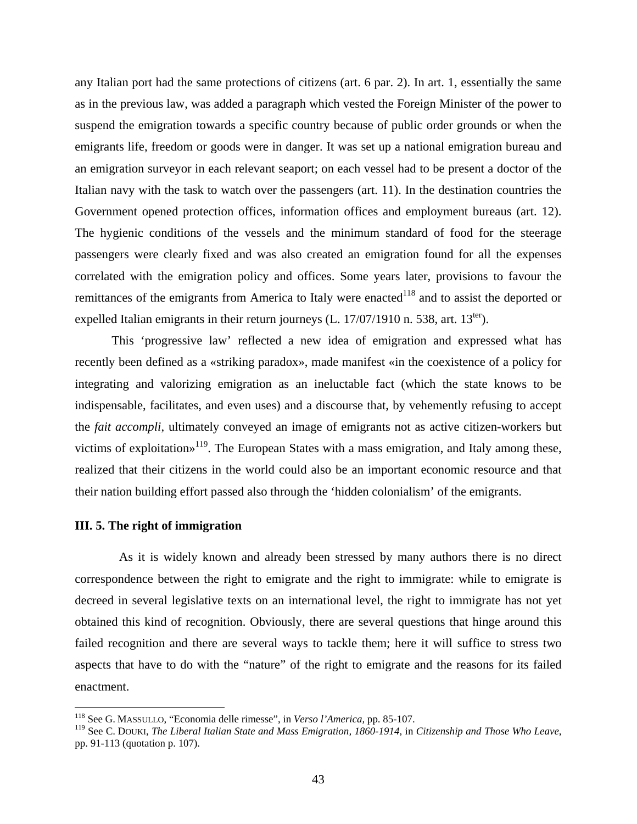any Italian port had the same protections of citizens (art. 6 par. 2). In art. 1, essentially the same as in the previous law, was added a paragraph which vested the Foreign Minister of the power to suspend the emigration towards a specific country because of public order grounds or when the emigrants life, freedom or goods were in danger. It was set up a national emigration bureau and an emigration surveyor in each relevant seaport; on each vessel had to be present a doctor of the Italian navy with the task to watch over the passengers (art. 11). In the destination countries the Government opened protection offices, information offices and employment bureaus (art. 12). The hygienic conditions of the vessels and the minimum standard of food for the steerage passengers were clearly fixed and was also created an emigration found for all the expenses correlated with the emigration policy and offices. Some years later, provisions to favour the remittances of the emigrants from America to Italy were enacted<sup>118</sup> and to assist the deported or expelled Italian emigrants in their return journeys (L.  $17/07/1910$  n. 538, art.  $13<sup>ter</sup>$ ).

This 'progressive law' reflected a new idea of emigration and expressed what has recently been defined as a «striking paradox», made manifest «in the coexistence of a policy for integrating and valorizing emigration as an ineluctable fact (which the state knows to be indispensable, facilitates, and even uses) and a discourse that, by vehemently refusing to accept the *fait accompli*, ultimately conveyed an image of emigrants not as active citizen-workers but victims of exploitation»<sup>119</sup>. The European States with a mass emigration, and Italy among these, realized that their citizens in the world could also be an important economic resource and that their nation building effort passed also through the 'hidden colonialism' of the emigrants.

### **III. 5. The right of immigration**

 $\overline{a}$ 

As it is widely known and already been stressed by many authors there is no direct correspondence between the right to emigrate and the right to immigrate: while to emigrate is decreed in several legislative texts on an international level, the right to immigrate has not yet obtained this kind of recognition. Obviously, there are several questions that hinge around this failed recognition and there are several ways to tackle them; here it will suffice to stress two aspects that have to do with the "nature" of the right to emigrate and the reasons for its failed enactment.

<sup>118</sup> See G. MASSULLO, "Economia delle rimesse", in *Verso l'America,* pp. 85-107.

<sup>119</sup> See C. DOUKI, *The Liberal Italian State and Mass Emigration, 1860-1914*, in *Citizenship and Those Who Leave*, pp. 91-113 (quotation p. 107).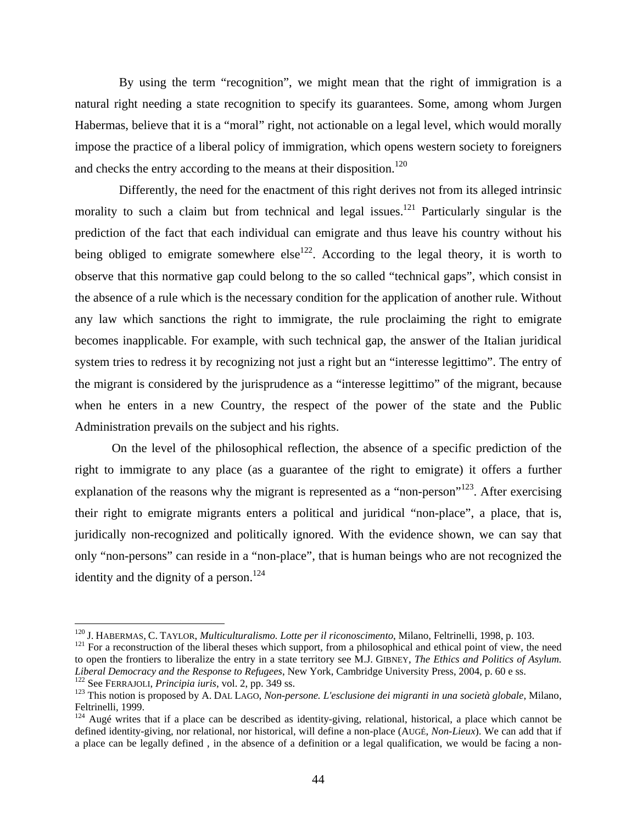By using the term "recognition", we might mean that the right of immigration is a natural right needing a state recognition to specify its guarantees. Some, among whom Jurgen Habermas, believe that it is a "moral" right, not actionable on a legal level, which would morally impose the practice of a liberal policy of immigration, which opens western society to foreigners and checks the entry according to the means at their disposition.<sup>120</sup>

Differently, the need for the enactment of this right derives not from its alleged intrinsic morality to such a claim but from technical and legal issues.<sup>121</sup> Particularly singular is the prediction of the fact that each individual can emigrate and thus leave his country without his being obliged to emigrate somewhere  $else^{122}$ . According to the legal theory, it is worth to observe that this normative gap could belong to the so called "technical gaps", which consist in the absence of a rule which is the necessary condition for the application of another rule. Without any law which sanctions the right to immigrate, the rule proclaiming the right to emigrate becomes inapplicable. For example, with such technical gap, the answer of the Italian juridical system tries to redress it by recognizing not just a right but an "interesse legittimo". The entry of the migrant is considered by the jurisprudence as a "interesse legittimo" of the migrant, because when he enters in a new Country, the respect of the power of the state and the Public Administration prevails on the subject and his rights.

On the level of the philosophical reflection, the absence of a specific prediction of the right to immigrate to any place (as a guarantee of the right to emigrate) it offers a further explanation of the reasons why the migrant is represented as a "non-person"<sup>123</sup>. After exercising their right to emigrate migrants enters a political and juridical "non-place", a place, that is, juridically non-recognized and politically ignored. With the evidence shown, we can say that only "non-persons" can reside in a "non-place", that is human beings who are not recognized the identity and the dignity of a person.<sup>124</sup>

<sup>&</sup>lt;sup>120</sup> J. HABERMAS, C. TAYLOR, *Multiculturalismo. Lotte per il riconoscimento*, Milano, Feltrinelli, 1998, p. 103.<br><sup>121</sup> For a reconstruction of the liberal theses which support, from a philosophical and ethical point of

to open the frontiers to liberalize the entry in a state territory see M.J. GIBNEY, *The Ethics and Politics of Asylum.* 

<sup>&</sup>lt;sup>122</sup> See FERRAJOLI, *Principia iuris*, vol. 2, pp. 349 ss.<br><sup>123</sup> This notion is proposed by A. DAL LAGO, *Non-persone. L'esclusione dei migranti in una società globale*, Milano, Feltrinelli, 1999.

 $124$  Augé writes that if a place can be described as identity-giving, relational, historical, a place which cannot be defined identity-giving, nor relational, nor historical, will define a non-place (AUGÉ, *Non-Lieux*). We can add that if a place can be legally defined , in the absence of a definition or a legal qualification, we would be facing a non-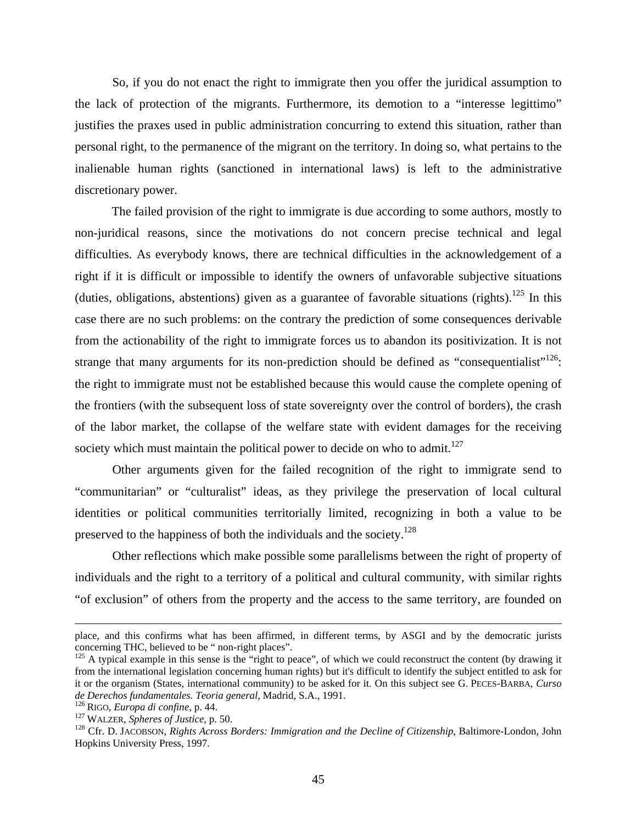So, if you do not enact the right to immigrate then you offer the juridical assumption to the lack of protection of the migrants. Furthermore, its demotion to a "interesse legittimo" justifies the praxes used in public administration concurring to extend this situation, rather than personal right, to the permanence of the migrant on the territory. In doing so, what pertains to the inalienable human rights (sanctioned in international laws) is left to the administrative discretionary power.

The failed provision of the right to immigrate is due according to some authors, mostly to non-juridical reasons, since the motivations do not concern precise technical and legal difficulties. As everybody knows, there are technical difficulties in the acknowledgement of a right if it is difficult or impossible to identify the owners of unfavorable subjective situations (duties, obligations, abstentions) given as a guarantee of favorable situations (rights).<sup>125</sup> In this case there are no such problems: on the contrary the prediction of some consequences derivable from the actionability of the right to immigrate forces us to abandon its positivization. It is not strange that many arguments for its non-prediction should be defined as "consequentialist"<sup>126</sup>: the right to immigrate must not be established because this would cause the complete opening of the frontiers (with the subsequent loss of state sovereignty over the control of borders), the crash of the labor market, the collapse of the welfare state with evident damages for the receiving society which must maintain the political power to decide on who to admit.<sup>127</sup>

 Other arguments given for the failed recognition of the right to immigrate send to "communitarian" or "culturalist" ideas, as they privilege the preservation of local cultural identities or political communities territorially limited, recognizing in both a value to be preserved to the happiness of both the individuals and the society.<sup>128</sup>

 Other reflections which make possible some parallelisms between the right of property of individuals and the right to a territory of a political and cultural community, with similar rights "of exclusion" of others from the property and the access to the same territory, are founded on

place, and this confirms what has been affirmed, in different terms, by ASGI and by the democratic jurists concerning THC, believed to be " non-right places".

 $125$  A typical example in this sense is the "right to peace", of which we could reconstruct the content (by drawing it from the international legislation concerning human rights) but it's difficult to identify the subject entitled to ask for it or the organism (States, international community) to be asked for it. On this subject see G. PECES-BARBA, *Curso*  de Derechos fundamentales. Teoria general, Madrid, S.A., 1991.<br><sup>126</sup> RIGO, *Europa di confine*, p. 44.<br><sup>127</sup> WALZER, *Spheres of Justice*, p. 50.<br><sup>128</sup> Cfr. D. JACOBSON, *Rights Across Borders: Immigration and the Decline* 

Hopkins University Press, 1997.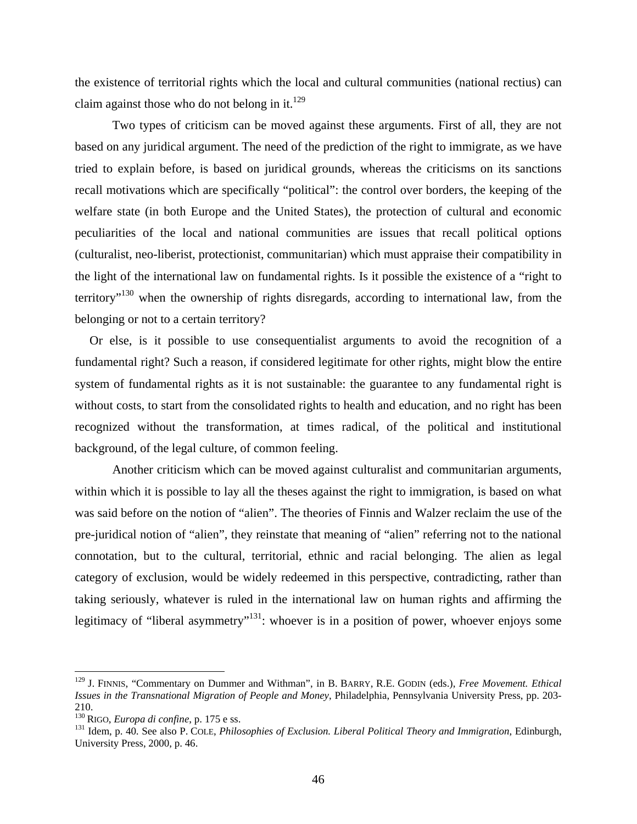the existence of territorial rights which the local and cultural communities (national rectius) can claim against those who do not belong in it.<sup>129</sup>

 Two types of criticism can be moved against these arguments. First of all, they are not based on any juridical argument. The need of the prediction of the right to immigrate, as we have tried to explain before, is based on juridical grounds, whereas the criticisms on its sanctions recall motivations which are specifically "political": the control over borders, the keeping of the welfare state (in both Europe and the United States), the protection of cultural and economic peculiarities of the local and national communities are issues that recall political options (culturalist, neo-liberist, protectionist, communitarian) which must appraise their compatibility in the light of the international law on fundamental rights. Is it possible the existence of a "right to territory"130 when the ownership of rights disregards, according to international law, from the belonging or not to a certain territory?

Or else, is it possible to use consequentialist arguments to avoid the recognition of a fundamental right? Such a reason, if considered legitimate for other rights, might blow the entire system of fundamental rights as it is not sustainable: the guarantee to any fundamental right is without costs, to start from the consolidated rights to health and education, and no right has been recognized without the transformation, at times radical, of the political and institutional background, of the legal culture, of common feeling.

 Another criticism which can be moved against culturalist and communitarian arguments, within which it is possible to lay all the theses against the right to immigration, is based on what was said before on the notion of "alien". The theories of Finnis and Walzer reclaim the use of the pre-juridical notion of "alien", they reinstate that meaning of "alien" referring not to the national connotation, but to the cultural, territorial, ethnic and racial belonging. The alien as legal category of exclusion, would be widely redeemed in this perspective, contradicting, rather than taking seriously, whatever is ruled in the international law on human rights and affirming the legitimacy of "liberal asymmetry"<sup>131</sup>: whoever is in a position of power, whoever enjoys some

<sup>129</sup> J. FINNIS, "Commentary on Dummer and Withman", in B. BARRY, R.E. GODIN (eds.), *Free Movement. Ethical Issues in the Transnational Migration of People and Money*, Philadelphia, Pennsylvania University Press, pp. 203- 210.<br><sup>130</sup> RIGO, *Europa di confine*, p. 175 e ss.

<sup>&</sup>lt;sup>131</sup> Idem, p. 40. See also P. COLE, *Philosophies of Exclusion. Liberal Political Theory and Immigration*, Edinburgh, University Press, 2000, p. 46.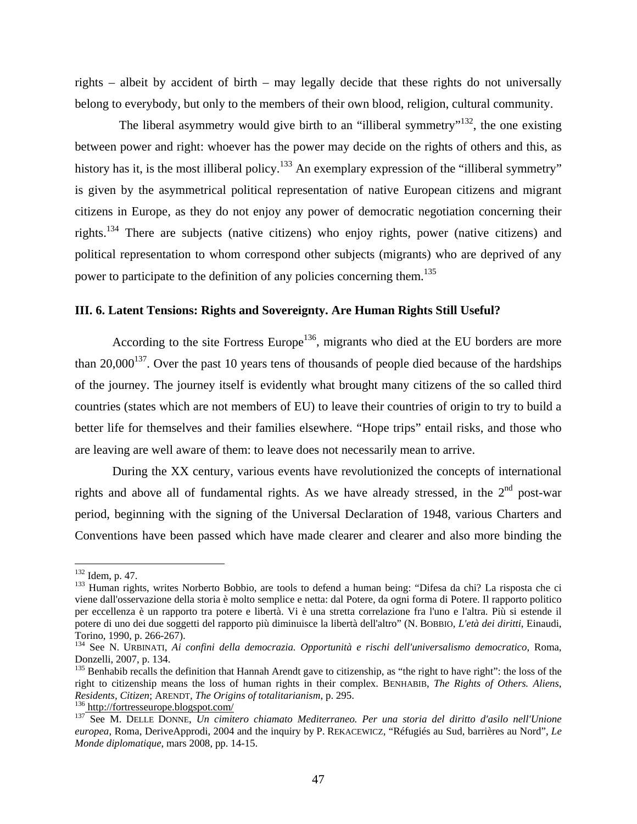rights – albeit by accident of birth – may legally decide that these rights do not universally belong to everybody, but only to the members of their own blood, religion, cultural community.

The liberal asymmetry would give birth to an "illiberal symmetry"<sup>132</sup>, the one existing between power and right: whoever has the power may decide on the rights of others and this, as history has it, is the most illiberal policy.<sup>133</sup> An exemplary expression of the "illiberal symmetry" is given by the asymmetrical political representation of native European citizens and migrant citizens in Europe, as they do not enjoy any power of democratic negotiation concerning their rights.134 There are subjects (native citizens) who enjoy rights, power (native citizens) and political representation to whom correspond other subjects (migrants) who are deprived of any power to participate to the definition of any policies concerning them.<sup>135</sup>

#### **III. 6. Latent Tensions: Rights and Sovereignty. Are Human Rights Still Useful?**

According to the site Fortress Europe<sup>136</sup>, migrants who died at the EU borders are more than  $20,000^{137}$ . Over the past 10 years tens of thousands of people died because of the hardships of the journey. The journey itself is evidently what brought many citizens of the so called third countries (states which are not members of EU) to leave their countries of origin to try to build a better life for themselves and their families elsewhere. "Hope trips" entail risks, and those who are leaving are well aware of them: to leave does not necessarily mean to arrive.

 During the XX century, various events have revolutionized the concepts of international rights and above all of fundamental rights. As we have already stressed, in the  $2<sup>nd</sup>$  post-war period, beginning with the signing of the Universal Declaration of 1948, various Charters and Conventions have been passed which have made clearer and clearer and also more binding the

 $132$  Idem, p. 47.

<sup>&</sup>lt;sup>133</sup> Human rights, writes Norberto Bobbio, are tools to defend a human being: "Difesa da chi? La risposta che ci viene dall'osservazione della storia è molto semplice e netta: dal Potere, da ogni forma di Potere. Il rapporto politico per eccellenza è un rapporto tra potere e libertà. Vi è una stretta correlazione fra l'uno e l'altra. Più si estende il potere di uno dei due soggetti del rapporto più diminuisce la libertà dell'altro" (N. BOBBIO, *L'età dei diritti*, Einaudi, Torino, 1990, p. 266-267).

<sup>134</sup> See N. URBINATI, *Ai confini della democrazia. Opportunità e rischi dell'universalismo democratico*, Roma, Donzelli, 2007, p. 134.

 $135$  Benhabib recalls the definition that Hannah Arendt gave to citizenship, as "the right to have right": the loss of the right to citizenship means the loss of human rights in their complex. BENHABIB, *The Rights of Others. Aliens,*  Residents, Citizen; ARENDT, The Origins of totalitarianism, p. 295.<br><sup>136</sup> http://fortresseurope.blogspot.com/<br><sup>137</sup> See M. DELLE DONNE, *Un cimitero chiamato Mediterraneo. Per una storia del diritto d'asilo nell'Unione* 

*europea*, Roma, DeriveApprodi, 2004 and the inquiry by P. REKACEWICZ, "Réfugiés au Sud, barrières au Nord", *Le Monde diplomatique*, mars 2008, pp. 14-15.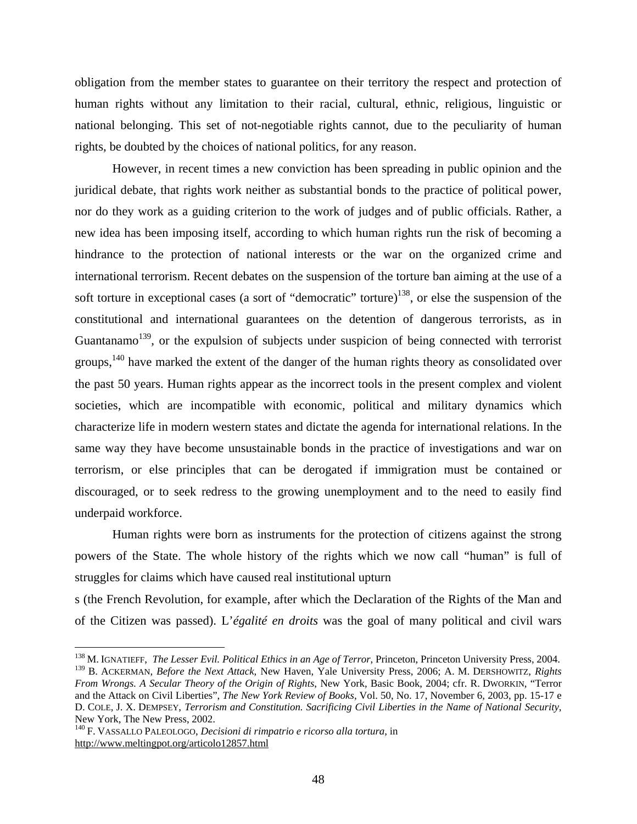obligation from the member states to guarantee on their territory the respect and protection of human rights without any limitation to their racial, cultural, ethnic, religious, linguistic or national belonging. This set of not-negotiable rights cannot, due to the peculiarity of human rights, be doubted by the choices of national politics, for any reason.

 However, in recent times a new conviction has been spreading in public opinion and the juridical debate, that rights work neither as substantial bonds to the practice of political power, nor do they work as a guiding criterion to the work of judges and of public officials. Rather, a new idea has been imposing itself, according to which human rights run the risk of becoming a hindrance to the protection of national interests or the war on the organized crime and international terrorism. Recent debates on the suspension of the torture ban aiming at the use of a soft torture in exceptional cases (a sort of "democratic" torture)<sup>138</sup>, or else the suspension of the constitutional and international guarantees on the detention of dangerous terrorists, as in Guantanamo<sup>139</sup>, or the expulsion of subjects under suspicion of being connected with terrorist groups,  $140$  have marked the extent of the danger of the human rights theory as consolidated over the past 50 years. Human rights appear as the incorrect tools in the present complex and violent societies, which are incompatible with economic, political and military dynamics which characterize life in modern western states and dictate the agenda for international relations. In the same way they have become unsustainable bonds in the practice of investigations and war on terrorism, or else principles that can be derogated if immigration must be contained or discouraged, or to seek redress to the growing unemployment and to the need to easily find underpaid workforce.

 Human rights were born as instruments for the protection of citizens against the strong powers of the State. The whole history of the rights which we now call "human" is full of struggles for claims which have caused real institutional upturn

s (the French Revolution, for example, after which the Declaration of the Rights of the Man and of the Citizen was passed). L'*égalité en droits* was the goal of many political and civil wars

<sup>138</sup> M. IGNATIEFF, *The Lesser Evil. Political Ethics in an Age of Terror*, Princeton, Princeton University Press, 2004. <sup>139</sup> B. ACKERMAN, *Before the Next Attack*, New Haven, Yale University Press, 2006; A. M. DERSHOWITZ, *Rights From Wrongs. A Secular Theory of the Origin of Rights*, New York, Basic Book, 2004; cfr. R. DWORKIN, "Terror and the Attack on Civil Liberties", *The New York Review of Books*, Vol. 50, No. 17, November 6, 2003, pp. 15-17 e D. COLE, J. X. DEMPSEY, *Terrorism and Constitution. Sacrificing Civil Liberties in the Name of National Security*, New York, The New Press, 2002.

<sup>140</sup> F. VASSALLO PALEOLOGO, *Decisioni di rimpatrio e ricorso alla tortura*, in http://www.meltingpot.org/articolo12857.html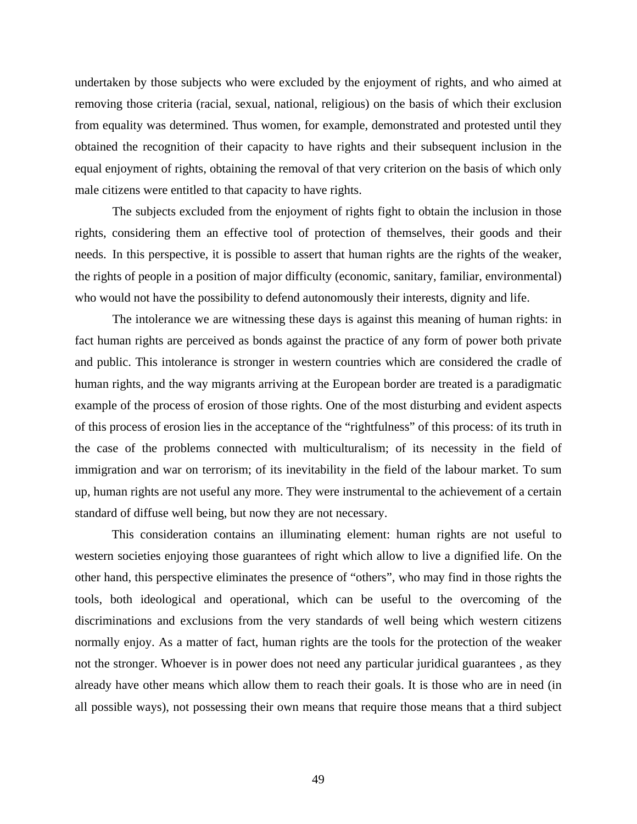undertaken by those subjects who were excluded by the enjoyment of rights, and who aimed at removing those criteria (racial, sexual, national, religious) on the basis of which their exclusion from equality was determined. Thus women, for example, demonstrated and protested until they obtained the recognition of their capacity to have rights and their subsequent inclusion in the equal enjoyment of rights, obtaining the removal of that very criterion on the basis of which only male citizens were entitled to that capacity to have rights.

 The subjects excluded from the enjoyment of rights fight to obtain the inclusion in those rights, considering them an effective tool of protection of themselves, their goods and their needs. In this perspective, it is possible to assert that human rights are the rights of the weaker, the rights of people in a position of major difficulty (economic, sanitary, familiar, environmental) who would not have the possibility to defend autonomously their interests, dignity and life.

 The intolerance we are witnessing these days is against this meaning of human rights: in fact human rights are perceived as bonds against the practice of any form of power both private and public. This intolerance is stronger in western countries which are considered the cradle of human rights, and the way migrants arriving at the European border are treated is a paradigmatic example of the process of erosion of those rights. One of the most disturbing and evident aspects of this process of erosion lies in the acceptance of the "rightfulness" of this process: of its truth in the case of the problems connected with multiculturalism; of its necessity in the field of immigration and war on terrorism; of its inevitability in the field of the labour market. To sum up, human rights are not useful any more. They were instrumental to the achievement of a certain standard of diffuse well being, but now they are not necessary.

This consideration contains an illuminating element: human rights are not useful to western societies enjoying those guarantees of right which allow to live a dignified life. On the other hand, this perspective eliminates the presence of "others", who may find in those rights the tools, both ideological and operational, which can be useful to the overcoming of the discriminations and exclusions from the very standards of well being which western citizens normally enjoy. As a matter of fact, human rights are the tools for the protection of the weaker not the stronger. Whoever is in power does not need any particular juridical guarantees , as they already have other means which allow them to reach their goals. It is those who are in need (in all possible ways), not possessing their own means that require those means that a third subject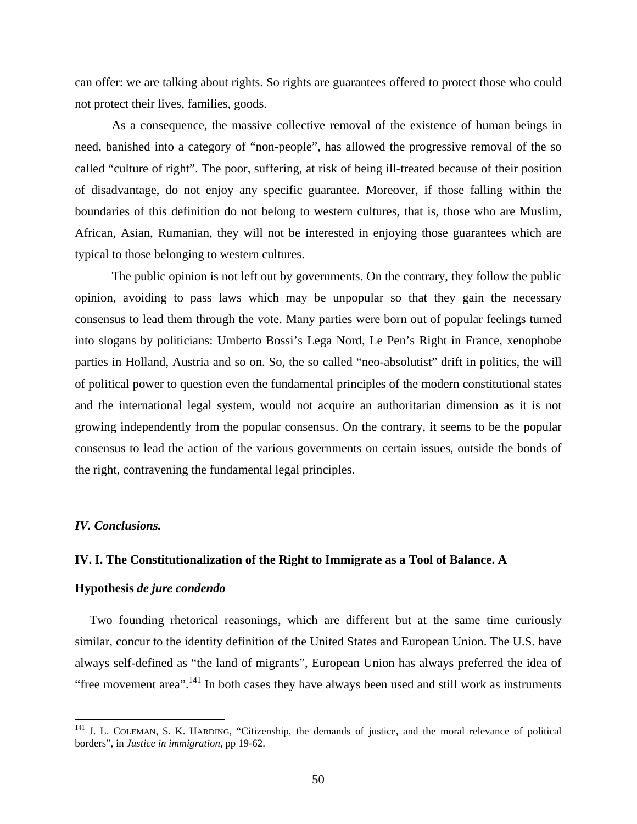can offer: we are talking about rights. So rights are guarantees offered to protect those who could not protect their lives, families, goods.

As a consequence, the massive collective removal of the existence of human beings in need, banished into a category of "non-people", has allowed the progressive removal of the so called "culture of right". The poor, suffering, at risk of being ill-treated because of their position of disadvantage, do not enjoy any specific guarantee. Moreover, if those falling within the boundaries of this definition do not belong to western cultures, that is, those who are Muslim, African, Asian, Rumanian, they will not be interested in enjoying those guarantees which are typical to those belonging to western cultures.

The public opinion is not left out by governments. On the contrary, they follow the public opinion, avoiding to pass laws which may be unpopular so that they gain the necessary consensus to lead them through the vote. Many parties were born out of popular feelings turned into slogans by politicians: Umberto Bossi's Lega Nord, Le Pen's Right in France, xenophobe parties in Holland, Austria and so on. So, the so called "neo-absolutist" drift in politics, the will of political power to question even the fundamental principles of the modern constitutional states and the international legal system, would not acquire an authoritarian dimension as it is not growing independently from the popular consensus. On the contrary, it seems to be the popular consensus to lead the action of the various governments on certain issues, outside the bonds of the right, contravening the fundamental legal principles.

### *IV. Conclusions.*

1

### **IV. I. The Constitutionalization of the Right to Immigrate as a Tool of Balance. A**

#### **Hypothesis** *de jure condendo*

Two founding rhetorical reasonings, which are different but at the same time curiously similar, concur to the identity definition of the United States and European Union. The U.S. have always self-defined as "the land of migrants", European Union has always preferred the idea of "free movement area". $^{141}$  In both cases they have always been used and still work as instruments

<sup>&</sup>lt;sup>141</sup> J. L. COLEMAN, S. K. HARDING, "Citizenship, the demands of justice, and the moral relevance of political borders", in *Justice in immigration*, pp 19-62.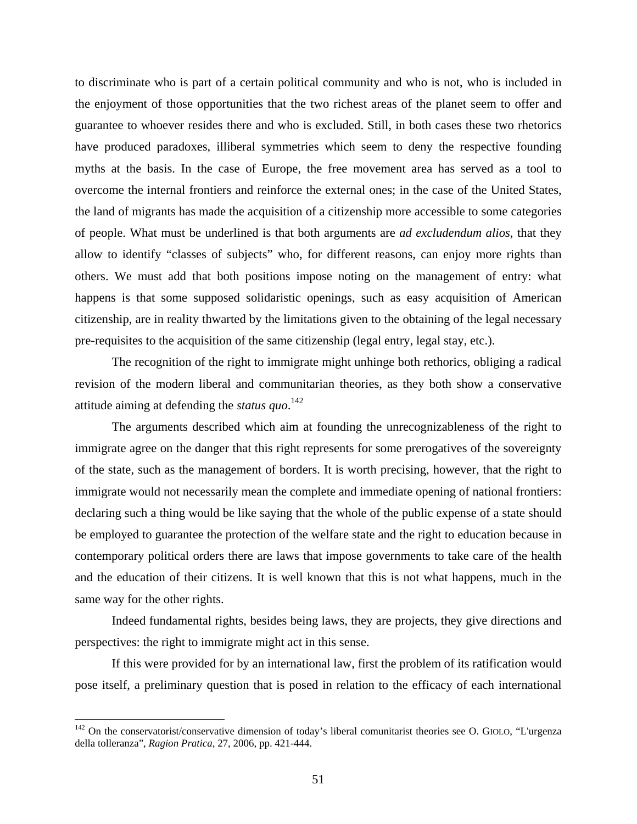to discriminate who is part of a certain political community and who is not, who is included in the enjoyment of those opportunities that the two richest areas of the planet seem to offer and guarantee to whoever resides there and who is excluded. Still, in both cases these two rhetorics have produced paradoxes, illiberal symmetries which seem to deny the respective founding myths at the basis. In the case of Europe, the free movement area has served as a tool to overcome the internal frontiers and reinforce the external ones; in the case of the United States, the land of migrants has made the acquisition of a citizenship more accessible to some categories of people. What must be underlined is that both arguments are *ad excludendum alios*, that they allow to identify "classes of subjects" who, for different reasons, can enjoy more rights than others. We must add that both positions impose noting on the management of entry: what happens is that some supposed solidaristic openings, such as easy acquisition of American citizenship, are in reality thwarted by the limitations given to the obtaining of the legal necessary pre-requisites to the acquisition of the same citizenship (legal entry, legal stay, etc.).

The recognition of the right to immigrate might unhinge both rethorics, obliging a radical revision of the modern liberal and communitarian theories, as they both show a conservative attitude aiming at defending the *status quo*. 142

The arguments described which aim at founding the unrecognizableness of the right to immigrate agree on the danger that this right represents for some prerogatives of the sovereignty of the state, such as the management of borders. It is worth precising, however, that the right to immigrate would not necessarily mean the complete and immediate opening of national frontiers: declaring such a thing would be like saying that the whole of the public expense of a state should be employed to guarantee the protection of the welfare state and the right to education because in contemporary political orders there are laws that impose governments to take care of the health and the education of their citizens. It is well known that this is not what happens, much in the same way for the other rights.

Indeed fundamental rights, besides being laws, they are projects, they give directions and perspectives: the right to immigrate might act in this sense.

If this were provided for by an international law, first the problem of its ratification would pose itself, a preliminary question that is posed in relation to the efficacy of each international

 $142$  On the conservatorist/conservative dimension of today's liberal comunitarist theories see O. GIOLO, "L'urgenza della tolleranza", *Ragion Pratica,* 27, 2006, pp. 421-444.